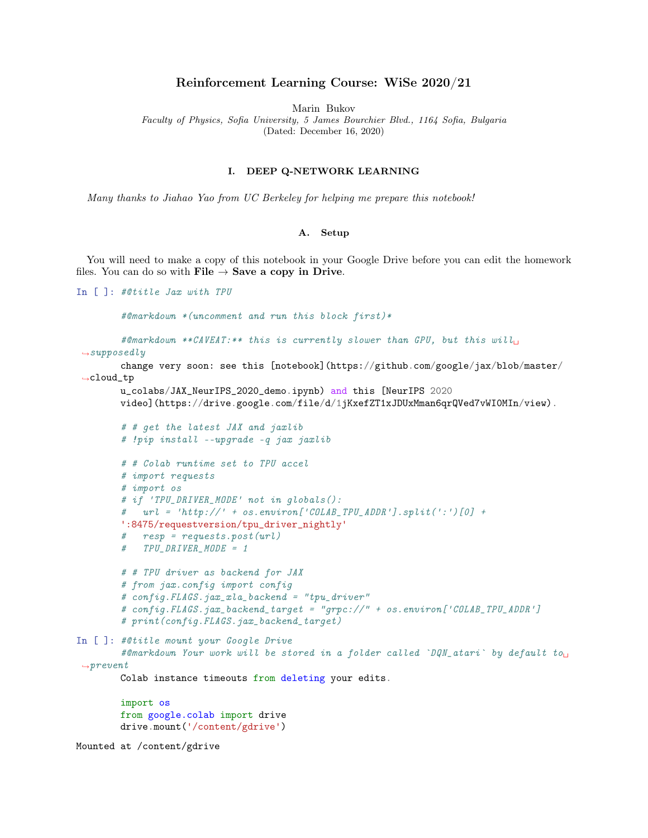## Reinforcement Learning Course: WiSe 2020/21

Marin Bukov Faculty of Physics, Sofia University, 5 James Bourchier Blvd., 1164 Sofia, Bulgaria (Dated: December 16, 2020)

## I. DEEP Q-NETWORK LEARNING

Many thanks to Jiahao Yao from UC Berkeley for helping me prepare this notebook!

## A. Setup

You will need to make a copy of this notebook in your Google Drive before you can edit the homework files. You can do so with File  $\rightarrow$  Save a copy in Drive.

```
In [ ]: #@title Jax with TPU
        #@markdown *(uncomment and run this block first)*
        #@markdown **CAVEAT:** this is currently slower than GPU, but this will_{\text{L}}\rightarrowsupposedly
        change very soon: see this [notebook](https://github.com/google/jax/blob/master/
 \rightarrowcloud_tp
        u_colabs/JAX_NeurIPS_2020_demo.ipynb) and this [NeurIPS 2020
        video](https://drive.google.com/file/d/1jKxefZT1xJDUxMman6qrQVed7vWI0MIn/view).
        # # get the latest JAX and jaxlib
        # !pip install --upgrade -q jax jaxlib
        # # Colab runtime set to TPU accel
        # import requests
        # import os
        # if 'TPU_DRIVER_MODE' not in globals():
           url = 'http://' + os.environ['COLAB_TPU_ADDR'] .split(':')[0] +':8475/requestversion/tpu_driver_nightly'
        # resp = requests.post(url)
        # TPU_DRIVER_MODE = 1
        # # TPU driver as backend for JAX
        # from jax.config import config
        # config.FLAGS.jax_xla_backend = "tpu_driver"
        # config.FLAGS.jax_backend_target = "grpc://" + os.environ['COLAB_TPU_ADDR']
        # print(config.FLAGS.jax_backend_target)
In [ ]: #@title mount your Google Drive
        #@markdown Your work will be stored in a folder called `DQN_atari` by default to
\rightarrowprevent
        Colab instance timeouts from deleting your edits.
        import os
        from google.colab import drive
        drive.mount('/content/gdrive')
Mounted at /content/gdrive
```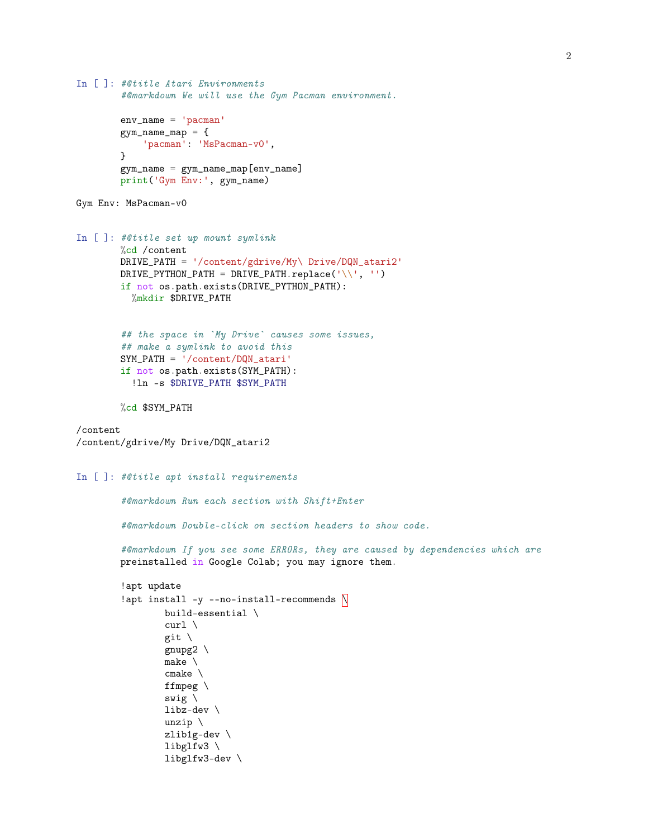```
In [ ]: #@title Atari Environments
        #@markdown We will use the Gym Pacman environment.
        env_name = 'pacman'
        gym_name_map = {
            'pacman': 'MsPacman-v0',
        }
        gym_name = gym_name_map[env_name]
        print('Gym Env:', gym_name)
Gym Env: MsPacman-v0
In [ ]: #@title set up mount symlink
        %cd /content
        DRIVE_PATH = '/content/gdrive/My\ Drive/DQN_atari2'
        DRIVE_PYTHON_PATH = DRIVE_PATH.replace('\\', '')
        if not os.path.exists(DRIVE_PYTHON_PATH):
          %mkdir $DRIVE_PATH
        ## the space in `My Drive` causes some issues,
        ## make a symlink to avoid this
        SYM_PATH = '/content/DQN_atari'
        if not os.path.exists(SYM_PATH):
          !ln -s $DRIVE_PATH $SYM_PATH
        %cd $SYM_PATH
/content
/content/gdrive/My Drive/DQN_atari2
In [ ]: #@title apt install requirements
        #@markdown Run each section with Shift+Enter
        #@markdown Double-click on section headers to show code.
        #@markdown If you see some ERRORs, they are caused by dependencies which are
        preinstalled in Google Colab; you may ignore them.
        !apt update
        !apt install -y --no-install-recommends \mathbb Nbuild-essential \
                curl \setminusgit \
                gnupg2 \setminusmake \
                cmake \
                ffmpeg \
                swig \
                libz-dev \
                unzip \
                zlib1g-dev \
                libglfw3 \
                libglfw3-dev \
```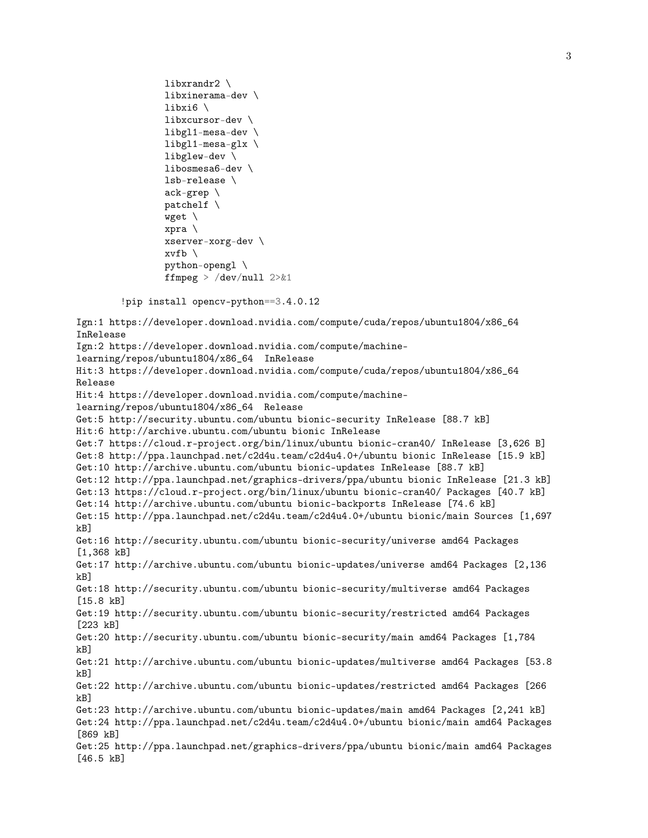```
libxrandr2 \
                libxinerama-dev \
                libxi6 \
                libxcursor-dev \
                libgl1-mesa-dev \
                libgl1-mesa-glx \
                libglew-dev \
                libosmesa6-dev \
                lsb-release \
                ack-grep \
                patchelf \
                wget \
                xpra \
                xserver-xorg-dev \
                xvfb \setminuspython-opengl \
                ffmpeg > /dev/null 2>&1
        !pip install opencv-python==3.4.0.12
Ign:1 https://developer.download.nvidia.com/compute/cuda/repos/ubuntu1804/x86_64
InRelease
Ign:2 https://developer.download.nvidia.com/compute/machine-
learning/repos/ubuntu1804/x86_64 InRelease
Hit:3 https://developer.download.nvidia.com/compute/cuda/repos/ubuntu1804/x86_64
Release
Hit:4 https://developer.download.nvidia.com/compute/machine-
learning/repos/ubuntu1804/x86_64 Release
Get:5 http://security.ubuntu.com/ubuntu bionic-security InRelease [88.7 kB]
Hit:6 http://archive.ubuntu.com/ubuntu bionic InRelease
Get:7 https://cloud.r-project.org/bin/linux/ubuntu bionic-cran40/ InRelease [3,626 B]
Get:8 http://ppa.launchpad.net/c2d4u.team/c2d4u4.0+/ubuntu bionic InRelease [15.9 kB]
Get:10 http://archive.ubuntu.com/ubuntu bionic-updates InRelease [88.7 kB]
Get:12 http://ppa.launchpad.net/graphics-drivers/ppa/ubuntu bionic InRelease [21.3 kB]
Get:13 https://cloud.r-project.org/bin/linux/ubuntu bionic-cran40/ Packages [40.7 kB]
Get:14 http://archive.ubuntu.com/ubuntu bionic-backports InRelease [74.6 kB]
Get:15 http://ppa.launchpad.net/c2d4u.team/c2d4u4.0+/ubuntu bionic/main Sources [1,697
kB]
Get:16 http://security.ubuntu.com/ubuntu bionic-security/universe amd64 Packages
[1,368 kB]
Get:17 http://archive.ubuntu.com/ubuntu bionic-updates/universe amd64 Packages [2,136
kB]
Get:18 http://security.ubuntu.com/ubuntu bionic-security/multiverse amd64 Packages
[15.8 kB]
Get:19 http://security.ubuntu.com/ubuntu bionic-security/restricted amd64 Packages
[223 kB]
Get:20 http://security.ubuntu.com/ubuntu bionic-security/main amd64 Packages [1,784
kB]
Get:21 http://archive.ubuntu.com/ubuntu bionic-updates/multiverse amd64 Packages [53.8
kB]
Get:22 http://archive.ubuntu.com/ubuntu bionic-updates/restricted amd64 Packages [266
kB]
Get:23 http://archive.ubuntu.com/ubuntu bionic-updates/main amd64 Packages [2,241 kB]
Get:24 http://ppa.launchpad.net/c2d4u.team/c2d4u4.0+/ubuntu bionic/main amd64 Packages
[869 kB]
Get:25 http://ppa.launchpad.net/graphics-drivers/ppa/ubuntu bionic/main amd64 Packages
[46.5 kB]
```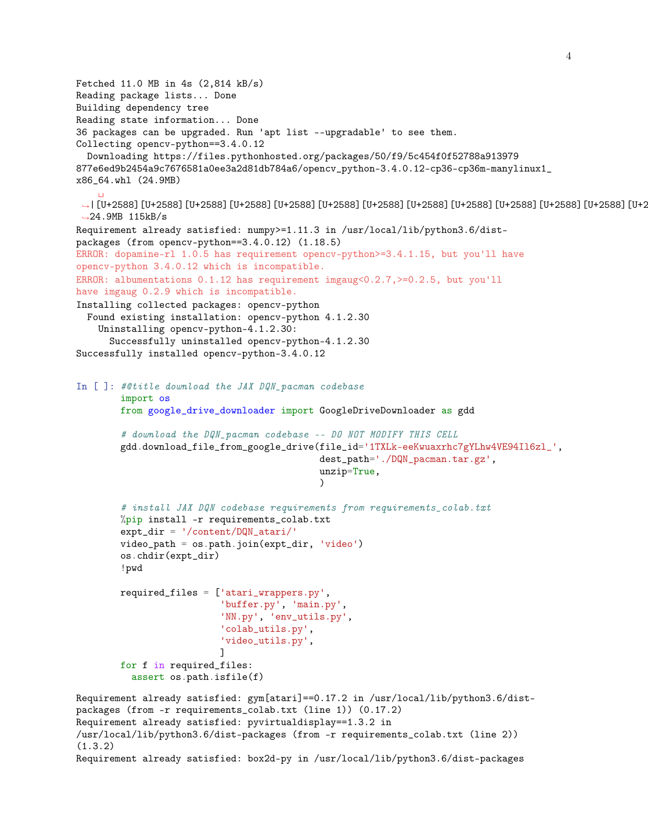```
Fetched 11.0 MB in 4s (2,814 kB/s)
Reading package lists... Done
Building dependency tree
Reading state information... Done
36 packages can be upgraded. Run 'apt list --upgradable' to see them.
Collecting opencv-python==3.4.0.12
 Downloading https://files.pythonhosted.org/packages/50/f9/5c454f0f52788a913979
877e6ed9b2454a9c7676581a0ee3a2d81db784a6/opencv_python-3.4.0.12-cp36-cp36m-manylinux1_
x86_64.whl (24.9MB)
    ␣
→ | [U+2588] [U+2588] [U+2588] [U+2588] [U+2588] [U+2588] [U+2588] [U+2588] [U+2588] [U+2588] [U+2588] [U+2588] [U+2588]
 \rightarrow24.9MB 115kB/s
Requirement already satisfied: numpy>=1.11.3 in /usr/local/lib/python3.6/dist-
packages (from opencv-python==3.4.0.12) (1.18.5)
ERROR: dopamine-rl 1.0.5 has requirement opencv-python>=3.4.1.15, but you'll have
opencv-python 3.4.0.12 which is incompatible.
ERROR: albumentations 0.1.12 has requirement imgaug<0.2.7, >=0.2.5, but you'll
have imgaug 0.2.9 which is incompatible.
Installing collected packages: opencv-python
  Found existing installation: opencv-python 4.1.2.30
    Uninstalling opencv-python-4.1.2.30:
      Successfully uninstalled opencv-python-4.1.2.30
Successfully installed opencv-python-3.4.0.12
In [ ]: #@title download the JAX DQN_pacman codebase
        import os
        from google_drive_downloader import GoogleDriveDownloader as gdd
        # download the DQN_pacman codebase -- DO NOT MODIFY THIS CELL
        gdd.download_file_from_google_drive(file_id='1TXLk-eeKwuaxrhc7gYLhw4VE94Il6zl_',
                                             dest_path='./DQN_pacman.tar.gz',
                                             unzip=True,
                                             \lambda# install JAX DQN codebase requirements from requirements_colab.txt
        %pip install -r requirements_colab.txt
        expt_dir = '/content/DQN_atari/'
        video_path = os.path.join(expt_dir, 'video')
        os.chdir(expt_dir)
        !pwd
        required_files = ['atari_wrappers.py',
                          'buffer.py', 'main.py',
                          'NN.py', 'env_utils.py',
                          'colab_utils.py',
                          'video_utils.py',
                          ]
        for f in required_files:
          assert os.path.isfile(f)
Requirement already satisfied: gym[atari]==0.17.2 in /usr/local/lib/python3.6/dist-
packages (from -r requirements_colab.txt (line 1)) (0.17.2)
Requirement already satisfied: pyvirtualdisplay==1.3.2 in
/usr/local/lib/python3.6/dist-packages (from -r requirements_colab.txt (line 2))
(1.3.2)
Requirement already satisfied: box2d-py in /usr/local/lib/python3.6/dist-packages
```
4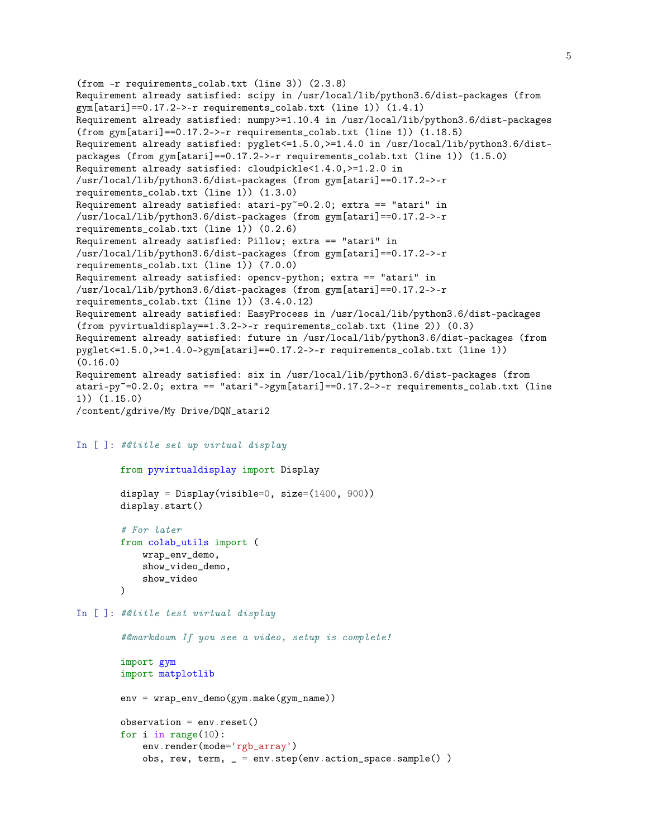```
(from -r requirements_colab.txt (line 3)) (2.3.8)
Requirement already satisfied: scipy in /usr/local/lib/python3.6/dist-packages (from
gym[atari]==0.17.2->-r requirements_colab.txt (line 1)) (1.4.1)
Requirement already satisfied: numpy>=1.10.4 in /usr/local/lib/python3.6/dist-packages
(from gym[atari]==0.17.2->-r requirements_colab.txt (line 1)) (1.18.5)
Requirement already satisfied: pyglet<=1.5.0,>=1.4.0 in /usr/local/lib/python3.6/dist-
packages (from gym[atari]==0.17.2->-r requirements_colab.txt (line 1)) (1.5.0)
Requirement already satisfied: cloudpickle<1.4.0,>=1.2.0 in
/usr/local/lib/python3.6/dist-packages (from gym[atari]==0.17.2->-r
requirements_colab.txt (line 1)) (1.3.0)
Requirement already satisfied: atari-py<sup>\sim=0.2.0; extra == "atari" in</sup>
/usr/local/lib/python3.6/dist-packages (from gym[atari]==0.17.2->-r
requirements_colab.txt (line 1)) (0.2.6)
Requirement already satisfied: Pillow; extra == "atari" in
/usr/local/lib/python3.6/dist-packages (from gym[atari]==0.17.2->-r
requirements_colab.txt (line 1)) (7.0.0)
Requirement already satisfied: opencv-python; extra == "atari" in
/usr/local/lib/python3.6/dist-packages (from gym[atari]==0.17.2->-r
requirements_colab.txt (line 1)) (3.4.0.12)
Requirement already satisfied: EasyProcess in /usr/local/lib/python3.6/dist-packages
(from pyvirtualdisplay==1.3.2->-r requirements_colab.txt (line 2)) (0.3)
Requirement already satisfied: future in /usr/local/lib/python3.6/dist-packages (from
pyglet \leq 1.5.0, \geq 1.4.0 - \gamma gym[atari] == 0.17.2 - \gamma - r requires the total.txt (line 1))(0.16.0)
Requirement already satisfied: six in /usr/local/lib/python3.6/dist-packages (from
\arcsin-\frac{1}{2}.0; extra == "atari"->gym[atari]==0.17.2->-r requirements_colab.txt (line
1)) (1.15.0)
/content/gdrive/My Drive/DQN_atari2
```

```
In [ ]: #@title set up virtual display
```

```
from pyvirtualdisplay import Display
display = Display(visible=0, size=(1400, 900))display.start()
```

```
# For later
from colab_utils import (
    wrap_env_demo,
    show_video_demo,
    show_video
\lambda
```

```
In [ ]: #@title test virtual display
```

```
#@markdown If you see a video, setup is complete!
import gym
import matplotlib
env = wrap_env_demo(gym.make(gym_name))
observation = env.reset()
for i in range(10):
    env.render(mode='rgb_array')
    obs, rew, term, _ = env.step(env.action_space.sample() )
```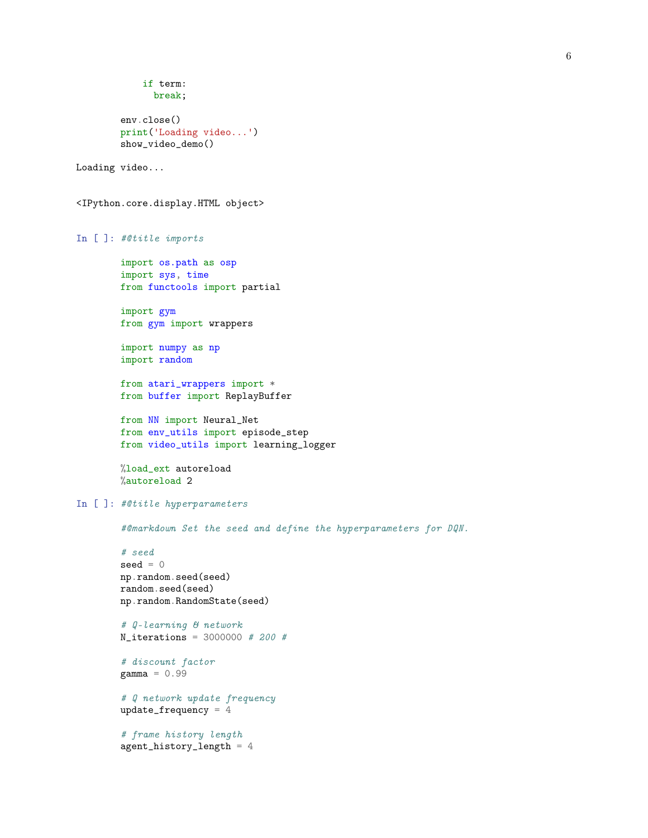```
if term:
              break;
        env.close()
        print('Loading video...')
        show_video_demo()
Loading video...
<IPython.core.display.HTML object>
In [ ]: #@title imports
        import os.path as osp
        import sys, time
        from functools import partial
        import gym
        from gym import wrappers
        import numpy as np
        import random
        from atari_wrappers import *
        from buffer import ReplayBuffer
        from NN import Neural_Net
        from env_utils import episode_step
        from video_utils import learning_logger
        %load_ext autoreload
        %autoreload 2
In [ ]: #@title hyperparameters
        #@markdown Set the seed and define the hyperparameters for DQN.
        # seed
        seed = 0np.random.seed(seed)
        random.seed(seed)
        np.random.RandomState(seed)
        # Q-learning & network
        N_iterations = 3000000 # 200 #
        # discount factor
        gamma = 0.99# Q network update frequency
        update_frequency = 4
        # frame history length
        agent_history_length = 4
```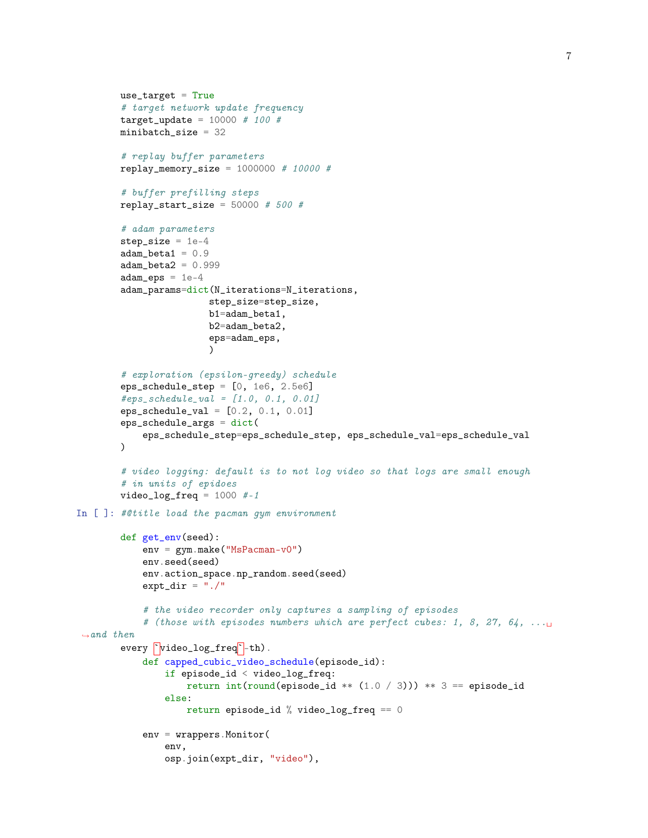```
use_target = True
        # target network update frequency
        target\_update = 10000 # 100 #minibatch_size = 32
        # replay buffer parameters
        replay_memory_size = 1000000 # 10000 ## buffer prefilling steps
        replay_start_size = 50000 # 500 #
        # adam parameters
        step_size = 1e-4adam_beta1 = 0.9adam_beta2 = 0.999adam_eps = 1e-4adam_params=dict(N_iterations=N_iterations,
                        step_size=step_size,
                        b1=adam_beta1,
                        b2=adam_beta2,
                        eps=adam_eps,
                        \lambda# exploration (epsilon-greedy) schedule
        eps_schedule_step = [0, 1e6, 2.5e6]
        #eps\_schedule\_val = [1.0, 0.1, 0.01]eps\_schedule\_val = [0.2, 0.1, 0.01]eps_schedule_args = dict(
            eps_schedule_step=eps_schedule_step, eps_schedule_val=eps_schedule_val
        )
        # video logging: default is to not log video so that logs are small enough
        # in units of epidoes
        video\_log\_freq = 1000 #-1
In [ ]: #@title load the pacman gym environment
        def get_env(seed):
            env = gym.make("MsPacman-v0")env.seed(seed)
            env.action_space.np_random.seed(seed)
            expt_dir = "./"
            # the video recorder only captures a sampling of episodes
            # (those with episodes numbers which are perfect cubes: 1, 8, 27, 64, \dots\rightarrowand then
        every \text{'video_log\_freq'}-th.
            def capped_cubic_video_schedule(episode_id):
                if episode_id < video_log_freq:
                    return int(round(ep isode_id ** (1.0 / 3))) ** 3 == episode_idelse:
                    return episode_id % video_log_freq == 0
            env = wrappers.Monitor(
                env,
                osp.join(expt_dir, "video"),
```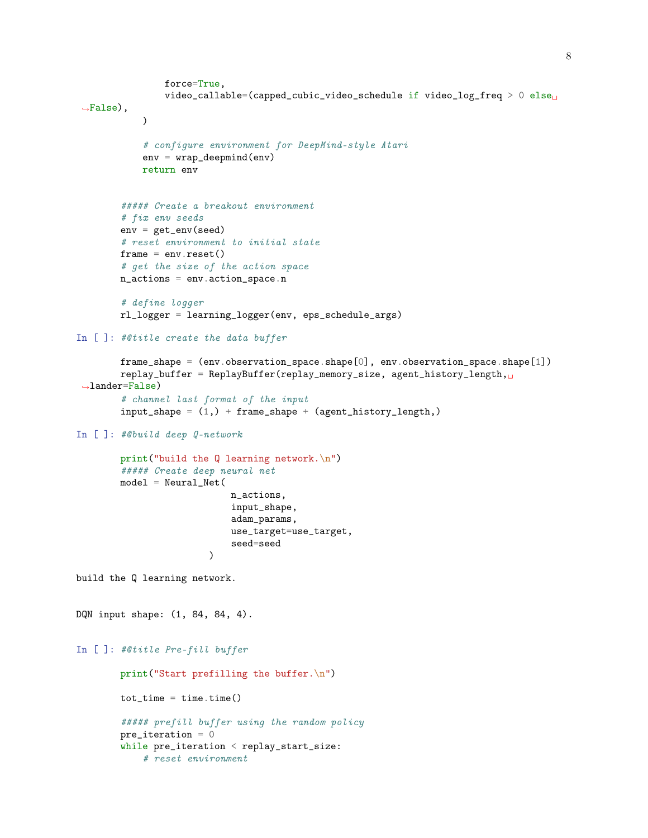```
force=True,
                video_callable=(capped_cubic_video_schedule if video_log_freq > 0 else<sub>U</sub>
\rightarrowFalse),
            \lambda# configure environment for DeepMind-style Atari
            env = wrap_deepmind(env)
            return env
        ##### Create a breakout environment
        # fix env seeds
        env = get_env(seed)
        # reset environment to initial state
        frame = env.reset()# get the size of the action space
        n_actions = env.action_space.n
        # define logger
        rl_logger = learning_logger(env, eps_schedule_args)
In [ ]: #@title create the data buffer
        frame_shape = (env.observation_space.shape[0], env.observation_space.shape[1])
        replay_buffer = ReplayBuffer(replay_memory_size, agent_history_length,
\rightarrowlander=False)
        # channel last format of the input
        input\_shape = (1,) + frame\_shape + (agent\_history\_length, )In [ ]: #@build deep Q-network
        print("build the Q learning network.\n")
        ##### Create deep neural net
        model = NeuralNet(n_actions,
                            input_shape,
                             adam_params,
                             use_target=use_target,
                             seed=seed
                         )
build the Q learning network.
DQN input shape: (1, 84, 84, 4).
In [ ]: #@title Pre-fill buffer
        print("Start prefilling the buffer.\n")
        tot_time = time.time()##### prefill buffer using the random policy
        pre\_iteration = 0while pre_iteration < replay_start_size:
            # reset environment
```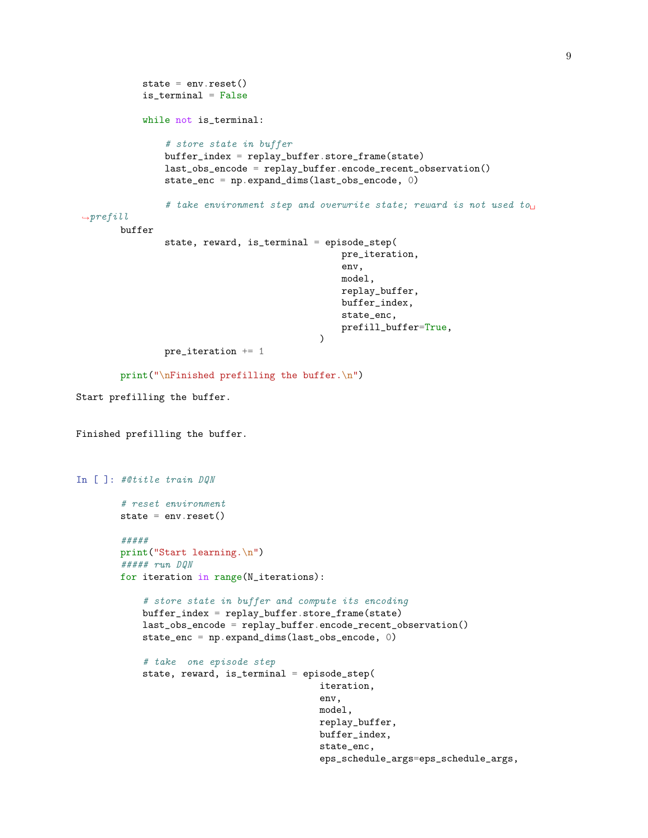```
state = env \t{.} reset()is_terminal = False
            while not is_terminal:
                # store state in buffer
                buffer_index = replay_buffer.store_frame(state)
                last_obs_encode = replay_buffer.encode_recent_observation()
                state_enc = np.expand_dims(last_obs_encode, 0)
                # take environment step and overwrite state; reward is not used to
 \rightarrowprefill
        buffer
                state, reward, is_terminal = episode_step(
                                                  pre_iteration,
                                                  env,
                                                  model,
                                                  replay_buffer,
                                                  buffer_index,
                                                  state_enc,
                                                  prefill_buffer=True,
                                              \lambdapre_iteration += 1
        print("\nFinished prefilling the buffer.\n")
Start prefilling the buffer.
Finished prefilling the buffer.
In [ ]: #@title train DQN
        # reset environment
        state = env \t{.} reset()#####
        print("Start learning.\n")
        ##### run DQN
        for iteration in range(N_iterations):
            # store state in buffer and compute its encoding
            buffer_index = replay_buffer.store_frame(state)
            last_obs_encode = replay_buffer.encode_recent_observation()
            state_enc = np.expand_dims(last_obs_encode, 0)
            # take one episode step
            state, reward, is_terminal = episode_step(
                                              iteration,
                                              env,
                                             model,
                                             replay_buffer,
                                             buffer_index,
                                             state_enc,
                                              eps_schedule_args=eps_schedule_args,
```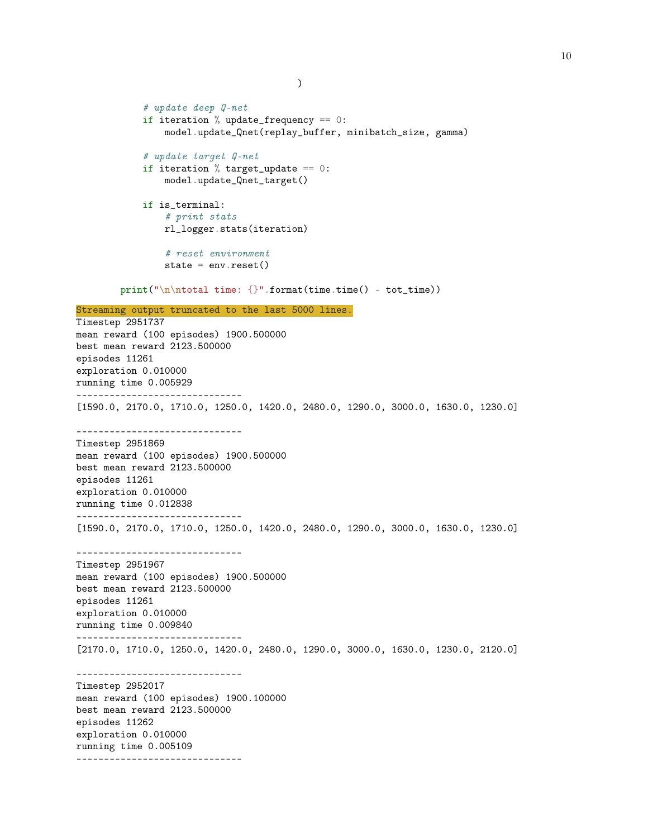```
# update deep Q-net
            if iteration % update_frequency == 0:
                model.update_Qnet(replay_buffer, minibatch_size, gamma)
            # update target Q-net
            if iteration % target_update == 0:
                model.update_Qnet_target()
            if is_terminal:
                # print stats
                rl_logger.stats(iteration)
                # reset environment
                state = env.read()print("\n\ntotal time: {}".format(time.time() - tot_time))
Streaming output truncated to the last 5000 lines.
Timestep 2951737
mean reward (100 episodes) 1900.500000
best mean reward 2123.500000
episodes 11261
exploration 0.010000
running time 0.005929
------------------------------
[1590.0, 2170.0, 1710.0, 1250.0, 1420.0, 2480.0, 1290.0, 3000.0, 1630.0, 1230.0]
------------------------------
Timestep 2951869
mean reward (100 episodes) 1900.500000
best mean reward 2123.500000
episodes 11261
exploration 0.010000
running time 0.012838
------------------------------
[1590.0, 2170.0, 1710.0, 1250.0, 1420.0, 2480.0, 1290.0, 3000.0, 1630.0, 1230.0]
------------------------------
Timestep 2951967
mean reward (100 episodes) 1900.500000
best mean reward 2123.500000
episodes 11261
exploration 0.010000
running time 0.009840
------------------------------
[2170.0, 1710.0, 1250.0, 1420.0, 2480.0, 1290.0, 3000.0, 1630.0, 1230.0, 2120.0]
------------------------------
Timestep 2952017
mean reward (100 episodes) 1900.100000
best mean reward 2123.500000
episodes 11262
exploration 0.010000
running time 0.005109
------------------------------
```
)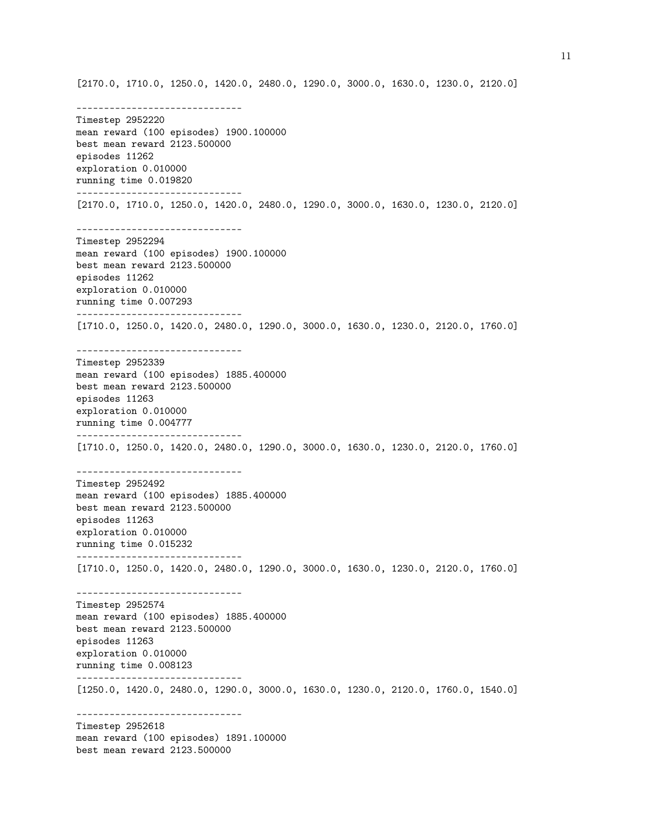[2170.0, 1710.0, 1250.0, 1420.0, 2480.0, 1290.0, 3000.0, 1630.0, 1230.0, 2120.0]

------------------------------ Timestep 2952220 mean reward (100 episodes) 1900.100000 best mean reward 2123.500000 episodes 11262 exploration 0.010000 running time 0.019820 ------------------------------ [2170.0, 1710.0, 1250.0, 1420.0, 2480.0, 1290.0, 3000.0, 1630.0, 1230.0, 2120.0] ------------------------------ Timestep 2952294 mean reward (100 episodes) 1900.100000 best mean reward 2123.500000 episodes 11262 exploration 0.010000 running time 0.007293 ------------------------------ [1710.0, 1250.0, 1420.0, 2480.0, 1290.0, 3000.0, 1630.0, 1230.0, 2120.0, 1760.0] ------------------------------ Timestep 2952339 mean reward (100 episodes) 1885.400000 best mean reward 2123.500000 episodes 11263 exploration 0.010000 running time 0.004777 ------------------------------ [1710.0, 1250.0, 1420.0, 2480.0, 1290.0, 3000.0, 1630.0, 1230.0, 2120.0, 1760.0] ------------------------------ Timestep 2952492 mean reward (100 episodes) 1885.400000 best mean reward 2123.500000 episodes 11263 exploration 0.010000 running time 0.015232 ------------------------------ [1710.0, 1250.0, 1420.0, 2480.0, 1290.0, 3000.0, 1630.0, 1230.0, 2120.0, 1760.0] ------------------------------ Timestep 2952574 mean reward (100 episodes) 1885.400000 best mean reward 2123.500000 episodes 11263 exploration 0.010000 running time 0.008123 ------------------------------ [1250.0, 1420.0, 2480.0, 1290.0, 3000.0, 1630.0, 1230.0, 2120.0, 1760.0, 1540.0] ------------------------------ Timestep 2952618 mean reward (100 episodes) 1891.100000 best mean reward 2123.500000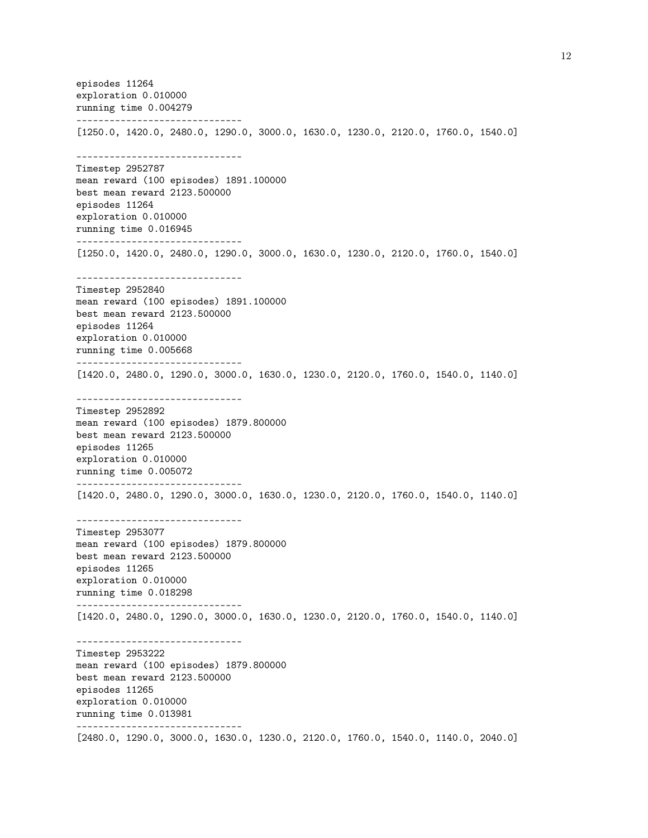episodes 11264 exploration 0.010000 running time 0.004279 ------------------------------ [1250.0, 1420.0, 2480.0, 1290.0, 3000.0, 1630.0, 1230.0, 2120.0, 1760.0, 1540.0] ------------------------------ Timestep 2952787 mean reward (100 episodes) 1891.100000 best mean reward 2123.500000 episodes 11264 exploration 0.010000 running time 0.016945 ------------------------------ [1250.0, 1420.0, 2480.0, 1290.0, 3000.0, 1630.0, 1230.0, 2120.0, 1760.0, 1540.0] ------------------------------ Timestep 2952840 mean reward (100 episodes) 1891.100000 best mean reward 2123.500000 episodes 11264 exploration 0.010000 running time 0.005668 ------------------------------ [1420.0, 2480.0, 1290.0, 3000.0, 1630.0, 1230.0, 2120.0, 1760.0, 1540.0, 1140.0] ------------------------------ Timestep 2952892 mean reward (100 episodes) 1879.800000 best mean reward 2123.500000 episodes 11265 exploration 0.010000 running time 0.005072 ------------------------------ [1420.0, 2480.0, 1290.0, 3000.0, 1630.0, 1230.0, 2120.0, 1760.0, 1540.0, 1140.0] ------------------------------ Timestep 2953077 mean reward (100 episodes) 1879.800000 best mean reward 2123.500000 episodes 11265 exploration 0.010000 running time 0.018298 ------------------------------ [1420.0, 2480.0, 1290.0, 3000.0, 1630.0, 1230.0, 2120.0, 1760.0, 1540.0, 1140.0] ------------------------------ Timestep 2953222 mean reward (100 episodes) 1879.800000 best mean reward 2123.500000 episodes 11265 exploration 0.010000 running time 0.013981 ------------------------------ [2480.0, 1290.0, 3000.0, 1630.0, 1230.0, 2120.0, 1760.0, 1540.0, 1140.0, 2040.0]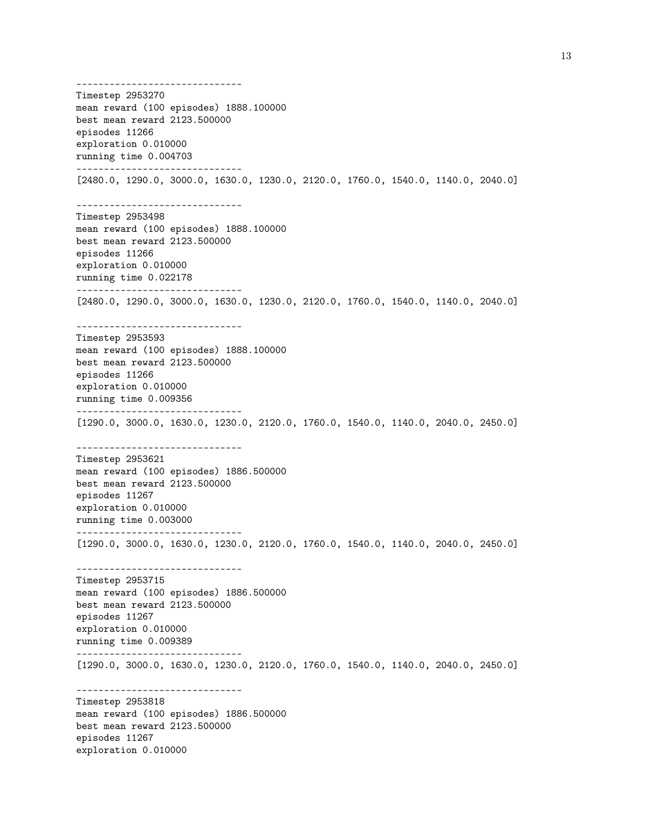------------------------------ Timestep 2953270 mean reward (100 episodes) 1888.100000 best mean reward 2123.500000 episodes 11266 exploration 0.010000 running time 0.004703 ------------------------------ [2480.0, 1290.0, 3000.0, 1630.0, 1230.0, 2120.0, 1760.0, 1540.0, 1140.0, 2040.0] ------------------------------ Timestep 2953498 mean reward (100 episodes) 1888.100000 best mean reward 2123.500000 episodes 11266 exploration 0.010000 running time 0.022178 ------------------------------ [2480.0, 1290.0, 3000.0, 1630.0, 1230.0, 2120.0, 1760.0, 1540.0, 1140.0, 2040.0] ------------------------------ Timestep 2953593 mean reward (100 episodes) 1888.100000 best mean reward 2123.500000 episodes 11266 exploration 0.010000 running time 0.009356 ------------------------------ [1290.0, 3000.0, 1630.0, 1230.0, 2120.0, 1760.0, 1540.0, 1140.0, 2040.0, 2450.0] ------------------------------ Timestep 2953621 mean reward (100 episodes) 1886.500000 best mean reward 2123.500000 episodes 11267 exploration 0.010000 running time 0.003000 ------------------------------ [1290.0, 3000.0, 1630.0, 1230.0, 2120.0, 1760.0, 1540.0, 1140.0, 2040.0, 2450.0] ------------------------------ Timestep 2953715 mean reward (100 episodes) 1886.500000 best mean reward 2123.500000 episodes 11267 exploration 0.010000 running time 0.009389 ------------------------------ [1290.0, 3000.0, 1630.0, 1230.0, 2120.0, 1760.0, 1540.0, 1140.0, 2040.0, 2450.0] ------------------------------ Timestep 2953818 mean reward (100 episodes) 1886.500000 best mean reward 2123.500000 episodes 11267 exploration 0.010000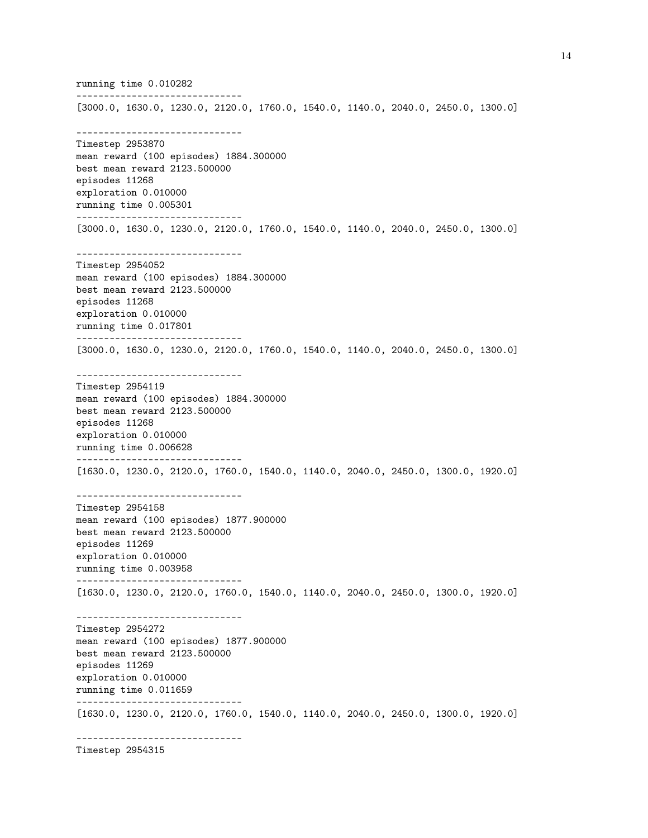running time 0.010282 ------------------------------ [3000.0, 1630.0, 1230.0, 2120.0, 1760.0, 1540.0, 1140.0, 2040.0, 2450.0, 1300.0] ------------------------------ Timestep 2953870 mean reward (100 episodes) 1884.300000 best mean reward 2123.500000 episodes 11268 exploration 0.010000 running time 0.005301 ------------------------------ [3000.0, 1630.0, 1230.0, 2120.0, 1760.0, 1540.0, 1140.0, 2040.0, 2450.0, 1300.0] ------------------------------ Timestep 2954052 mean reward (100 episodes) 1884.300000 best mean reward 2123.500000 episodes 11268 exploration 0.010000 running time 0.017801 ------------------------------ [3000.0, 1630.0, 1230.0, 2120.0, 1760.0, 1540.0, 1140.0, 2040.0, 2450.0, 1300.0] ------------------------------ Timestep 2954119 mean reward (100 episodes) 1884.300000 best mean reward 2123.500000 episodes 11268 exploration 0.010000 running time 0.006628 ------------------------------ [1630.0, 1230.0, 2120.0, 1760.0, 1540.0, 1140.0, 2040.0, 2450.0, 1300.0, 1920.0] ------------------------------ Timestep 2954158 mean reward (100 episodes) 1877.900000 best mean reward 2123.500000 episodes 11269 exploration 0.010000 running time 0.003958 ------------------------------ [1630.0, 1230.0, 2120.0, 1760.0, 1540.0, 1140.0, 2040.0, 2450.0, 1300.0, 1920.0] ------------------------------ Timestep 2954272 mean reward (100 episodes) 1877.900000 best mean reward 2123.500000 episodes 11269 exploration 0.010000 running time 0.011659 ------------------------------ [1630.0, 1230.0, 2120.0, 1760.0, 1540.0, 1140.0, 2040.0, 2450.0, 1300.0, 1920.0] ------------------------------

Timestep 2954315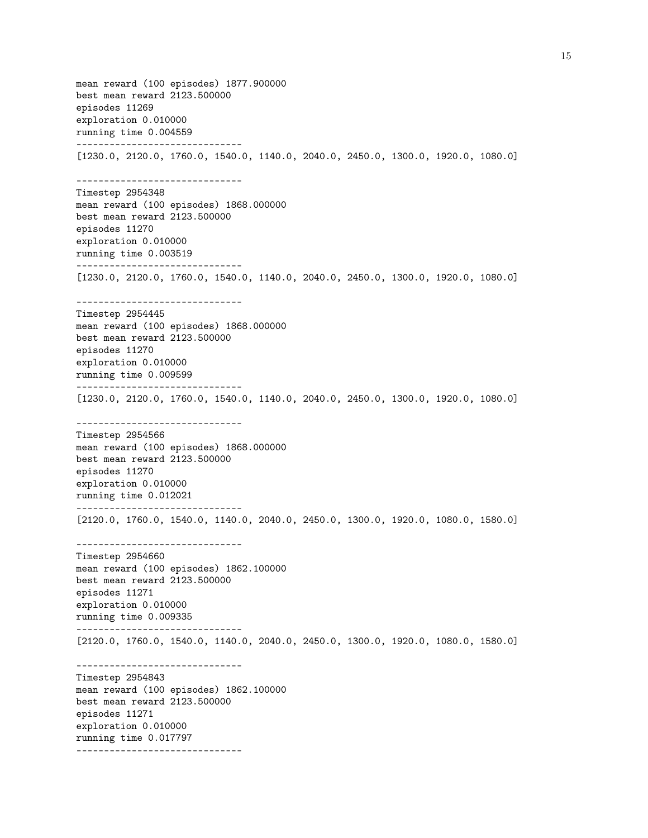mean reward (100 episodes) 1877.900000 best mean reward 2123.500000 episodes 11269 exploration 0.010000 running time 0.004559 ------------------------------ [1230.0, 2120.0, 1760.0, 1540.0, 1140.0, 2040.0, 2450.0, 1300.0, 1920.0, 1080.0] ------------------------------ Timestep 2954348 mean reward (100 episodes) 1868.000000 best mean reward 2123.500000 episodes 11270 exploration 0.010000 running time 0.003519 ------------------------------ [1230.0, 2120.0, 1760.0, 1540.0, 1140.0, 2040.0, 2450.0, 1300.0, 1920.0, 1080.0] ------------------------------ Timestep 2954445 mean reward (100 episodes) 1868.000000 best mean reward 2123.500000 episodes 11270 exploration 0.010000 running time 0.009599 ------------------------------ [1230.0, 2120.0, 1760.0, 1540.0, 1140.0, 2040.0, 2450.0, 1300.0, 1920.0, 1080.0] ------------------------------ Timestep 2954566 mean reward (100 episodes) 1868.000000 best mean reward 2123.500000 episodes 11270 exploration 0.010000 running time 0.012021 ------------------------------ [2120.0, 1760.0, 1540.0, 1140.0, 2040.0, 2450.0, 1300.0, 1920.0, 1080.0, 1580.0] ------------------------------ Timestep 2954660 mean reward (100 episodes) 1862.100000 best mean reward 2123.500000 episodes 11271 exploration 0.010000 running time 0.009335 ------------------------------ [2120.0, 1760.0, 1540.0, 1140.0, 2040.0, 2450.0, 1300.0, 1920.0, 1080.0, 1580.0] ------------------------------ Timestep 2954843 mean reward (100 episodes) 1862.100000 best mean reward 2123.500000 episodes 11271 exploration 0.010000 running time 0.017797 ------------------------------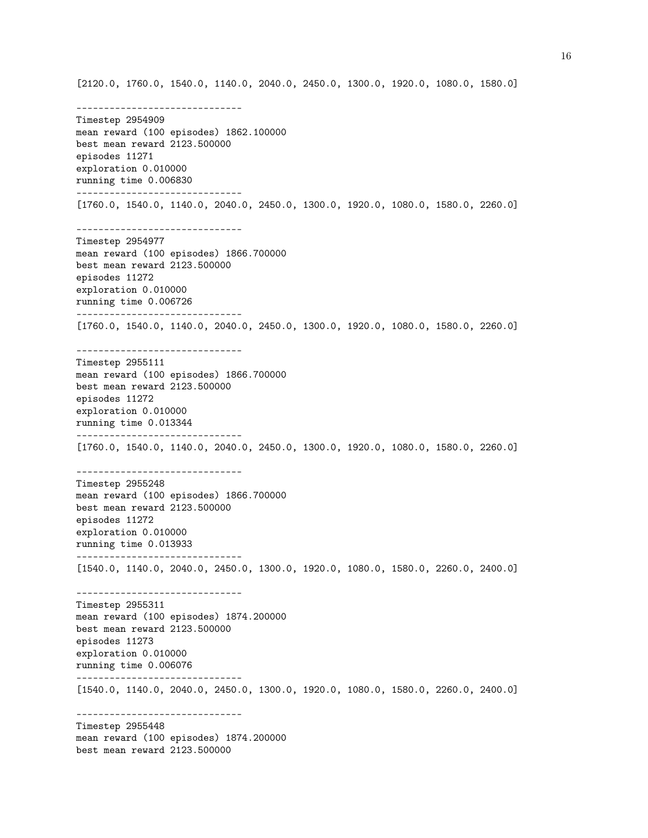[2120.0, 1760.0, 1540.0, 1140.0, 2040.0, 2450.0, 1300.0, 1920.0, 1080.0, 1580.0]

------------------------------ Timestep 2954909 mean reward (100 episodes) 1862.100000 best mean reward 2123.500000 episodes 11271 exploration 0.010000 running time 0.006830 ------------------------------ [1760.0, 1540.0, 1140.0, 2040.0, 2450.0, 1300.0, 1920.0, 1080.0, 1580.0, 2260.0] ------------------------------ Timestep 2954977 mean reward (100 episodes) 1866.700000 best mean reward 2123.500000 episodes 11272 exploration 0.010000 running time 0.006726 ------------------------------ [1760.0, 1540.0, 1140.0, 2040.0, 2450.0, 1300.0, 1920.0, 1080.0, 1580.0, 2260.0] ------------------------------ Timestep 2955111 mean reward (100 episodes) 1866.700000 best mean reward 2123.500000 episodes 11272 exploration 0.010000 running time 0.013344 ------------------------------ [1760.0, 1540.0, 1140.0, 2040.0, 2450.0, 1300.0, 1920.0, 1080.0, 1580.0, 2260.0] ------------------------------ Timestep 2955248 mean reward (100 episodes) 1866.700000 best mean reward 2123.500000 episodes 11272 exploration 0.010000 running time 0.013933 ------------------------------ [1540.0, 1140.0, 2040.0, 2450.0, 1300.0, 1920.0, 1080.0, 1580.0, 2260.0, 2400.0] ------------------------------ Timestep 2955311 mean reward (100 episodes) 1874.200000 best mean reward 2123.500000 episodes 11273 exploration 0.010000 running time 0.006076 ------------------------------ [1540.0, 1140.0, 2040.0, 2450.0, 1300.0, 1920.0, 1080.0, 1580.0, 2260.0, 2400.0] ------------------------------ Timestep 2955448 mean reward (100 episodes) 1874.200000 best mean reward 2123.500000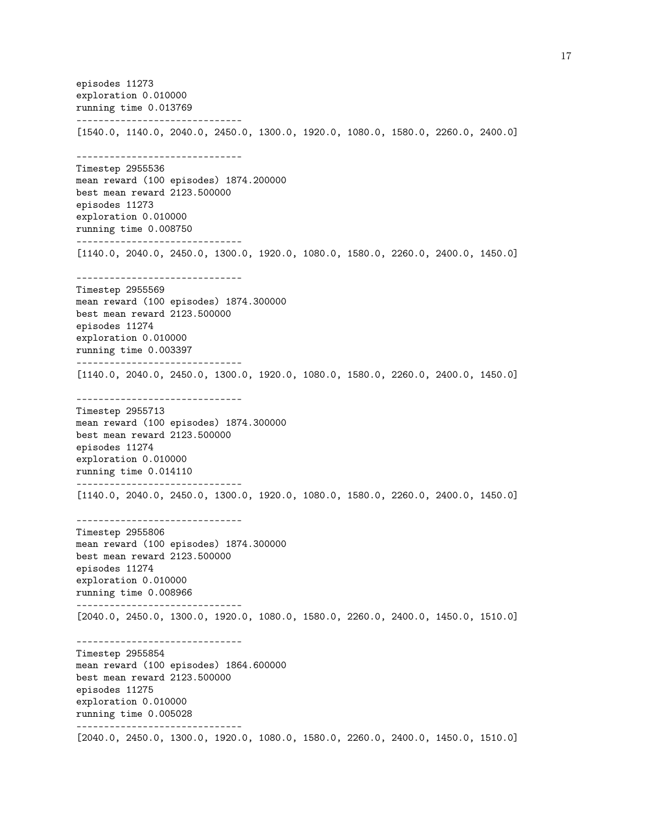episodes 11273 exploration 0.010000 running time 0.013769 ------------------------------ [1540.0, 1140.0, 2040.0, 2450.0, 1300.0, 1920.0, 1080.0, 1580.0, 2260.0, 2400.0] ------------------------------ Timestep 2955536 mean reward (100 episodes) 1874.200000 best mean reward 2123.500000 episodes 11273 exploration 0.010000 running time 0.008750 ------------------------------ [1140.0, 2040.0, 2450.0, 1300.0, 1920.0, 1080.0, 1580.0, 2260.0, 2400.0, 1450.0] ------------------------------ Timestep 2955569 mean reward (100 episodes) 1874.300000 best mean reward 2123.500000 episodes 11274 exploration 0.010000 running time 0.003397 ------------------------------ [1140.0, 2040.0, 2450.0, 1300.0, 1920.0, 1080.0, 1580.0, 2260.0, 2400.0, 1450.0] ------------------------------ Timestep 2955713 mean reward (100 episodes) 1874.300000 best mean reward 2123.500000 episodes 11274 exploration 0.010000 running time 0.014110 ------------------------------ [1140.0, 2040.0, 2450.0, 1300.0, 1920.0, 1080.0, 1580.0, 2260.0, 2400.0, 1450.0] ------------------------------ Timestep 2955806 mean reward (100 episodes) 1874.300000 best mean reward 2123.500000 episodes 11274 exploration 0.010000 running time 0.008966 ------------------------------ [2040.0, 2450.0, 1300.0, 1920.0, 1080.0, 1580.0, 2260.0, 2400.0, 1450.0, 1510.0] ------------------------------ Timestep 2955854 mean reward (100 episodes) 1864.600000 best mean reward 2123.500000 episodes 11275 exploration 0.010000 running time 0.005028 ------------------------------ [2040.0, 2450.0, 1300.0, 1920.0, 1080.0, 1580.0, 2260.0, 2400.0, 1450.0, 1510.0]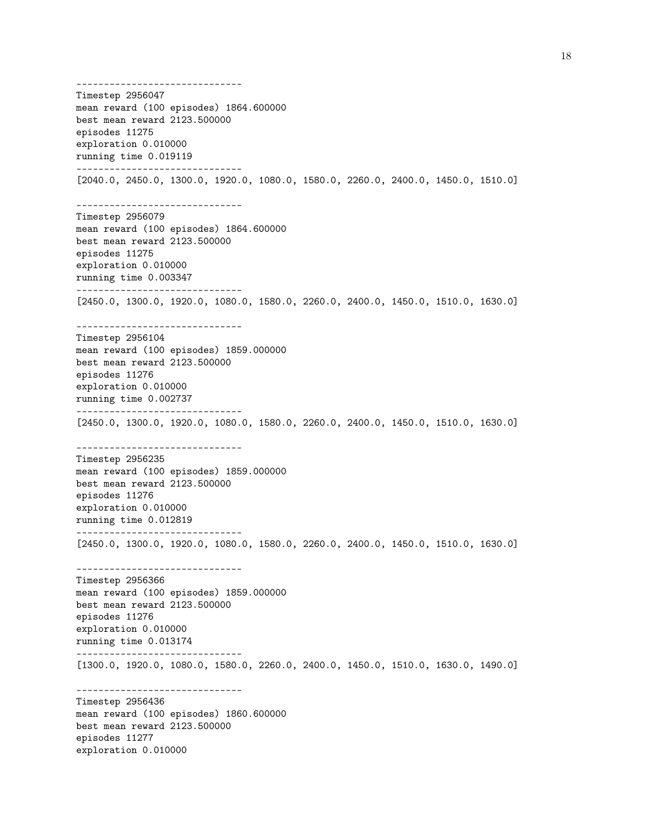------------------------------ Timestep 2956047 mean reward (100 episodes) 1864.600000 best mean reward 2123.500000 episodes 11275 exploration 0.010000 running time 0.019119 ------------------------------ [2040.0, 2450.0, 1300.0, 1920.0, 1080.0, 1580.0, 2260.0, 2400.0, 1450.0, 1510.0] ------------------------------ Timestep 2956079 mean reward (100 episodes) 1864.600000 best mean reward 2123.500000 episodes 11275 exploration 0.010000 running time 0.003347 ------------------------------ [2450.0, 1300.0, 1920.0, 1080.0, 1580.0, 2260.0, 2400.0, 1450.0, 1510.0, 1630.0] ------------------------------ Timestep 2956104 mean reward (100 episodes) 1859.000000 best mean reward 2123.500000 episodes 11276 exploration 0.010000 running time 0.002737 ------------------------------ [2450.0, 1300.0, 1920.0, 1080.0, 1580.0, 2260.0, 2400.0, 1450.0, 1510.0, 1630.0] ------------------------------ Timestep 2956235 mean reward (100 episodes) 1859.000000 best mean reward 2123.500000 episodes 11276 exploration 0.010000 running time 0.012819 ------------------------------ [2450.0, 1300.0, 1920.0, 1080.0, 1580.0, 2260.0, 2400.0, 1450.0, 1510.0, 1630.0] ------------------------------ Timestep 2956366 mean reward (100 episodes) 1859.000000 best mean reward 2123.500000 episodes 11276 exploration 0.010000 running time 0.013174 ------------------------------ [1300.0, 1920.0, 1080.0, 1580.0, 2260.0, 2400.0, 1450.0, 1510.0, 1630.0, 1490.0] ------------------------------ Timestep 2956436 mean reward (100 episodes) 1860.600000 best mean reward 2123.500000 episodes 11277 exploration 0.010000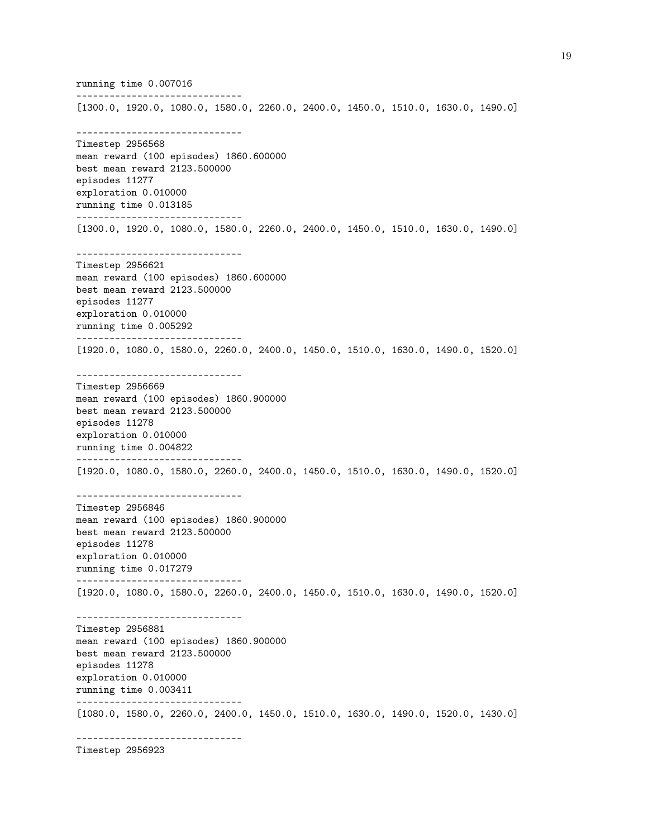running time 0.007016 ------------------------------ [1300.0, 1920.0, 1080.0, 1580.0, 2260.0, 2400.0, 1450.0, 1510.0, 1630.0, 1490.0] ------------------------------ Timestep 2956568 mean reward (100 episodes) 1860.600000 best mean reward 2123.500000 episodes 11277 exploration 0.010000 running time 0.013185 ------------------------------ [1300.0, 1920.0, 1080.0, 1580.0, 2260.0, 2400.0, 1450.0, 1510.0, 1630.0, 1490.0] ------------------------------ Timestep 2956621 mean reward (100 episodes) 1860.600000 best mean reward 2123.500000 episodes 11277 exploration 0.010000 running time 0.005292 ------------------------------ [1920.0, 1080.0, 1580.0, 2260.0, 2400.0, 1450.0, 1510.0, 1630.0, 1490.0, 1520.0] ------------------------------ Timestep 2956669 mean reward (100 episodes) 1860.900000 best mean reward 2123.500000 episodes 11278 exploration 0.010000 running time 0.004822 ------------------------------ [1920.0, 1080.0, 1580.0, 2260.0, 2400.0, 1450.0, 1510.0, 1630.0, 1490.0, 1520.0] ------------------------------ Timestep 2956846 mean reward (100 episodes) 1860.900000 best mean reward 2123.500000 episodes 11278 exploration 0.010000 running time 0.017279 ------------------------------ [1920.0, 1080.0, 1580.0, 2260.0, 2400.0, 1450.0, 1510.0, 1630.0, 1490.0, 1520.0] ------------------------------ Timestep 2956881 mean reward (100 episodes) 1860.900000 best mean reward 2123.500000 episodes 11278 exploration 0.010000 running time 0.003411 ------------------------------ [1080.0, 1580.0, 2260.0, 2400.0, 1450.0, 1510.0, 1630.0, 1490.0, 1520.0, 1430.0] ------------------------------

Timestep 2956923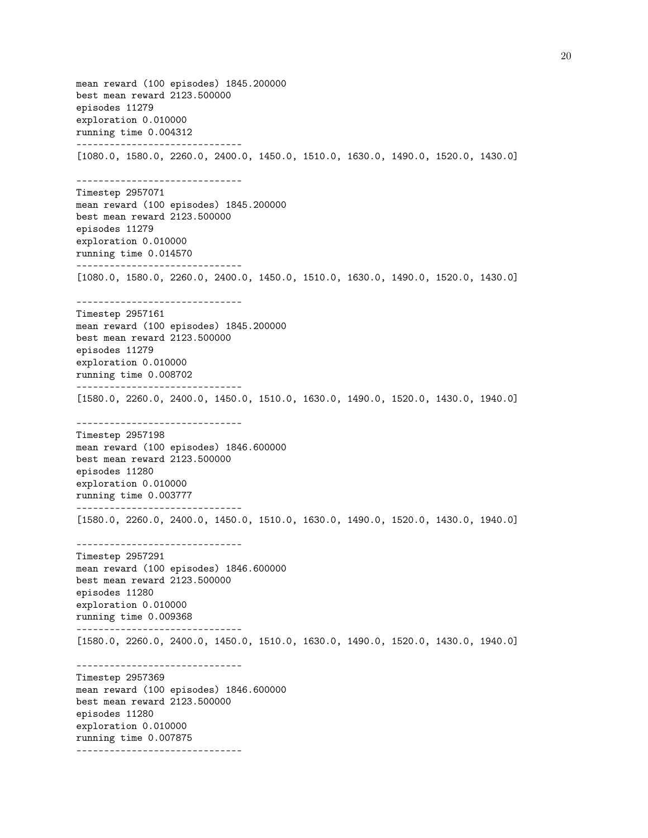mean reward (100 episodes) 1845.200000 best mean reward 2123.500000 episodes 11279 exploration 0.010000 running time 0.004312 ------------------------------ [1080.0, 1580.0, 2260.0, 2400.0, 1450.0, 1510.0, 1630.0, 1490.0, 1520.0, 1430.0] ------------------------------ Timestep 2957071 mean reward (100 episodes) 1845.200000 best mean reward 2123.500000 episodes 11279 exploration 0.010000 running time 0.014570 ------------------------------ [1080.0, 1580.0, 2260.0, 2400.0, 1450.0, 1510.0, 1630.0, 1490.0, 1520.0, 1430.0] ------------------------------ Timestep 2957161 mean reward (100 episodes) 1845.200000 best mean reward 2123.500000 episodes 11279 exploration 0.010000 running time 0.008702 ------------------------------ [1580.0, 2260.0, 2400.0, 1450.0, 1510.0, 1630.0, 1490.0, 1520.0, 1430.0, 1940.0] ------------------------------ Timestep 2957198 mean reward (100 episodes) 1846.600000 best mean reward 2123.500000 episodes 11280 exploration 0.010000 running time 0.003777 ------------------------------ [1580.0, 2260.0, 2400.0, 1450.0, 1510.0, 1630.0, 1490.0, 1520.0, 1430.0, 1940.0] ------------------------------ Timestep 2957291 mean reward (100 episodes) 1846.600000 best mean reward 2123.500000 episodes 11280 exploration 0.010000 running time 0.009368 ------------------------------ [1580.0, 2260.0, 2400.0, 1450.0, 1510.0, 1630.0, 1490.0, 1520.0, 1430.0, 1940.0] ------------------------------ Timestep 2957369 mean reward (100 episodes) 1846.600000 best mean reward 2123.500000 episodes 11280 exploration 0.010000 running time 0.007875 ------------------------------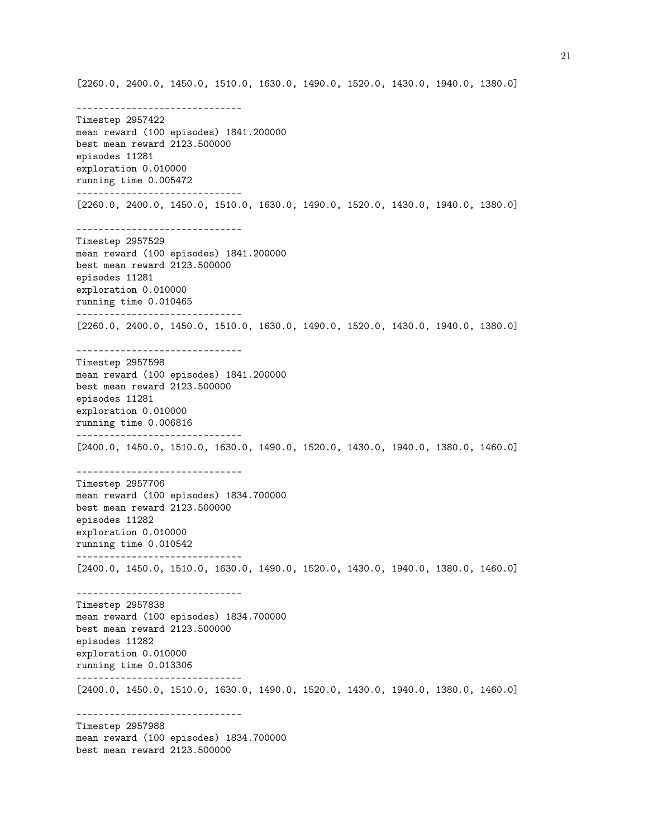[2260.0, 2400.0, 1450.0, 1510.0, 1630.0, 1490.0, 1520.0, 1430.0, 1940.0, 1380.0] ------------------------------ Timestep 2957422 mean reward (100 episodes) 1841.200000 best mean reward 2123.500000 episodes 11281 exploration 0.010000 running time 0.005472 ------------------------------ [2260.0, 2400.0, 1450.0, 1510.0, 1630.0, 1490.0, 1520.0, 1430.0, 1940.0, 1380.0] ------------------------------ Timestep 2957529 mean reward (100 episodes) 1841.200000 best mean reward 2123.500000 episodes 11281 exploration 0.010000 running time 0.010465 ------------------------------ [2260.0, 2400.0, 1450.0, 1510.0, 1630.0, 1490.0, 1520.0, 1430.0, 1940.0, 1380.0] ------------------------------ Timestep 2957598 mean reward (100 episodes) 1841.200000 best mean reward 2123.500000 episodes 11281 exploration 0.010000 running time 0.006816 ------------------------------ [2400.0, 1450.0, 1510.0, 1630.0, 1490.0, 1520.0, 1430.0, 1940.0, 1380.0, 1460.0] ------------------------------ Timestep 2957706 mean reward (100 episodes) 1834.700000 best mean reward 2123.500000 episodes 11282 exploration 0.010000 running time 0.010542 ------------------------------ [2400.0, 1450.0, 1510.0, 1630.0, 1490.0, 1520.0, 1430.0, 1940.0, 1380.0, 1460.0] ------------------------------ Timestep 2957838 mean reward (100 episodes) 1834.700000 best mean reward 2123.500000 episodes 11282 exploration 0.010000 running time 0.013306 ------------------------------ [2400.0, 1450.0, 1510.0, 1630.0, 1490.0, 1520.0, 1430.0, 1940.0, 1380.0, 1460.0] ------------------------------ Timestep 2957988 mean reward (100 episodes) 1834.700000 best mean reward 2123.500000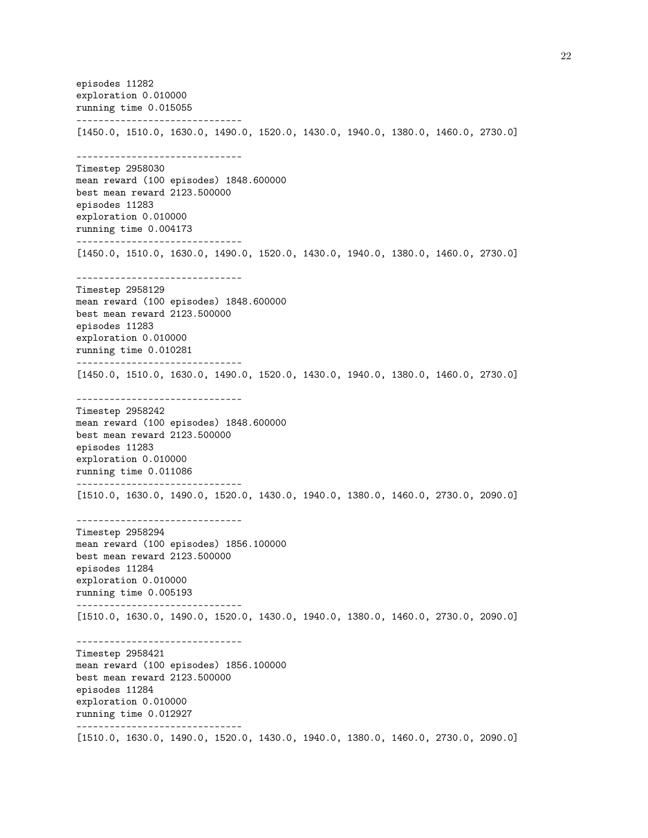episodes 11282 exploration 0.010000 running time 0.015055 ------------------------------ [1450.0, 1510.0, 1630.0, 1490.0, 1520.0, 1430.0, 1940.0, 1380.0, 1460.0, 2730.0] ------------------------------ Timestep 2958030 mean reward (100 episodes) 1848.600000 best mean reward 2123.500000 episodes 11283 exploration 0.010000 running time 0.004173 ------------------------------ [1450.0, 1510.0, 1630.0, 1490.0, 1520.0, 1430.0, 1940.0, 1380.0, 1460.0, 2730.0] ------------------------------ Timestep 2958129 mean reward (100 episodes) 1848.600000 best mean reward 2123.500000 episodes 11283 exploration 0.010000 running time 0.010281 ------------------------------ [1450.0, 1510.0, 1630.0, 1490.0, 1520.0, 1430.0, 1940.0, 1380.0, 1460.0, 2730.0] ------------------------------ Timestep 2958242 mean reward (100 episodes) 1848.600000 best mean reward 2123.500000 episodes 11283 exploration 0.010000 running time 0.011086 ------------------------------ [1510.0, 1630.0, 1490.0, 1520.0, 1430.0, 1940.0, 1380.0, 1460.0, 2730.0, 2090.0] ------------------------------ Timestep 2958294 mean reward (100 episodes) 1856.100000 best mean reward 2123.500000 episodes 11284 exploration 0.010000 running time 0.005193 ------------------------------ [1510.0, 1630.0, 1490.0, 1520.0, 1430.0, 1940.0, 1380.0, 1460.0, 2730.0, 2090.0] ------------------------------ Timestep 2958421 mean reward (100 episodes) 1856.100000 best mean reward 2123.500000 episodes 11284 exploration 0.010000 running time 0.012927 ------------------------------ [1510.0, 1630.0, 1490.0, 1520.0, 1430.0, 1940.0, 1380.0, 1460.0, 2730.0, 2090.0]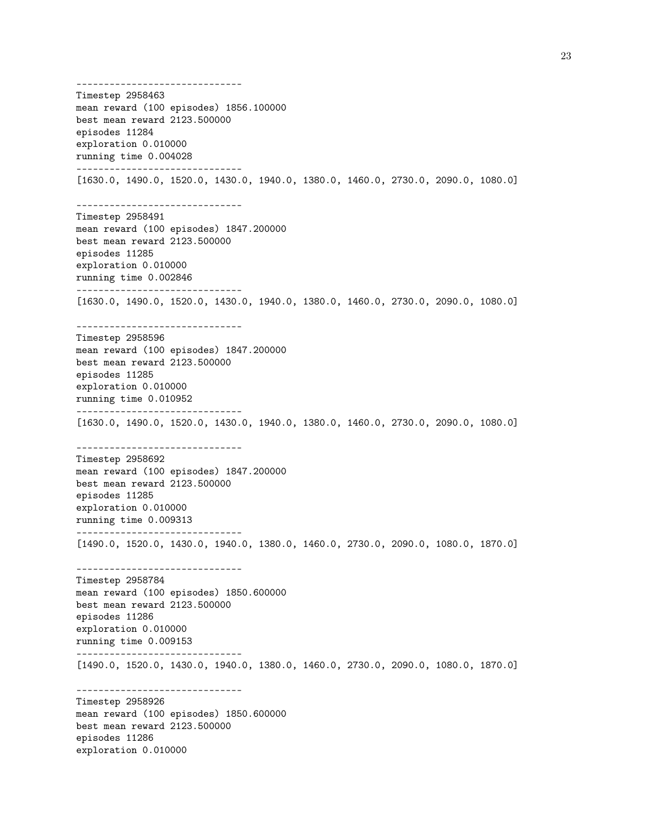------------------------------ Timestep 2958463 mean reward (100 episodes) 1856.100000 best mean reward 2123.500000 episodes 11284 exploration 0.010000 running time 0.004028 ------------------------------ [1630.0, 1490.0, 1520.0, 1430.0, 1940.0, 1380.0, 1460.0, 2730.0, 2090.0, 1080.0] ------------------------------ Timestep 2958491 mean reward (100 episodes) 1847.200000 best mean reward 2123.500000 episodes 11285 exploration 0.010000 running time 0.002846 ------------------------------ [1630.0, 1490.0, 1520.0, 1430.0, 1940.0, 1380.0, 1460.0, 2730.0, 2090.0, 1080.0] ------------------------------ Timestep 2958596 mean reward (100 episodes) 1847.200000 best mean reward 2123.500000 episodes 11285 exploration 0.010000 running time 0.010952 ------------------------------ [1630.0, 1490.0, 1520.0, 1430.0, 1940.0, 1380.0, 1460.0, 2730.0, 2090.0, 1080.0] ------------------------------ Timestep 2958692 mean reward (100 episodes) 1847.200000 best mean reward 2123.500000 episodes 11285 exploration 0.010000 running time 0.009313 ------------------------------ [1490.0, 1520.0, 1430.0, 1940.0, 1380.0, 1460.0, 2730.0, 2090.0, 1080.0, 1870.0] ------------------------------ Timestep 2958784 mean reward (100 episodes) 1850.600000 best mean reward 2123.500000 episodes 11286 exploration 0.010000 running time 0.009153 ------------------------------ [1490.0, 1520.0, 1430.0, 1940.0, 1380.0, 1460.0, 2730.0, 2090.0, 1080.0, 1870.0] ------------------------------ Timestep 2958926 mean reward (100 episodes) 1850.600000 best mean reward 2123.500000 episodes 11286 exploration 0.010000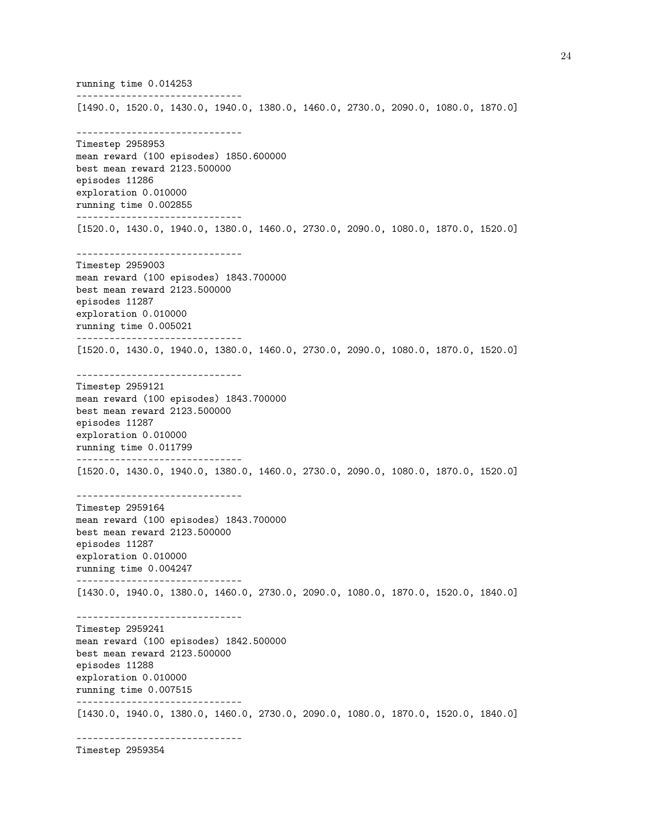running time 0.014253 ------------------------------ [1490.0, 1520.0, 1430.0, 1940.0, 1380.0, 1460.0, 2730.0, 2090.0, 1080.0, 1870.0] ------------------------------ Timestep 2958953 mean reward (100 episodes) 1850.600000 best mean reward 2123.500000 episodes 11286 exploration 0.010000 running time 0.002855 ------------------------------ [1520.0, 1430.0, 1940.0, 1380.0, 1460.0, 2730.0, 2090.0, 1080.0, 1870.0, 1520.0] ------------------------------ Timestep 2959003 mean reward (100 episodes) 1843.700000 best mean reward 2123.500000 episodes 11287 exploration 0.010000 running time 0.005021 ------------------------------ [1520.0, 1430.0, 1940.0, 1380.0, 1460.0, 2730.0, 2090.0, 1080.0, 1870.0, 1520.0] ------------------------------ Timestep 2959121 mean reward (100 episodes) 1843.700000 best mean reward 2123.500000 episodes 11287 exploration 0.010000 running time 0.011799 ------------------------------ [1520.0, 1430.0, 1940.0, 1380.0, 1460.0, 2730.0, 2090.0, 1080.0, 1870.0, 1520.0] ------------------------------ Timestep 2959164 mean reward (100 episodes) 1843.700000 best mean reward 2123.500000 episodes 11287 exploration 0.010000 running time 0.004247 ------------------------------ [1430.0, 1940.0, 1380.0, 1460.0, 2730.0, 2090.0, 1080.0, 1870.0, 1520.0, 1840.0] ------------------------------ Timestep 2959241 mean reward (100 episodes) 1842.500000 best mean reward 2123.500000 episodes 11288 exploration 0.010000 running time 0.007515 ------------------------------ [1430.0, 1940.0, 1380.0, 1460.0, 2730.0, 2090.0, 1080.0, 1870.0, 1520.0, 1840.0] ------------------------------

Timestep 2959354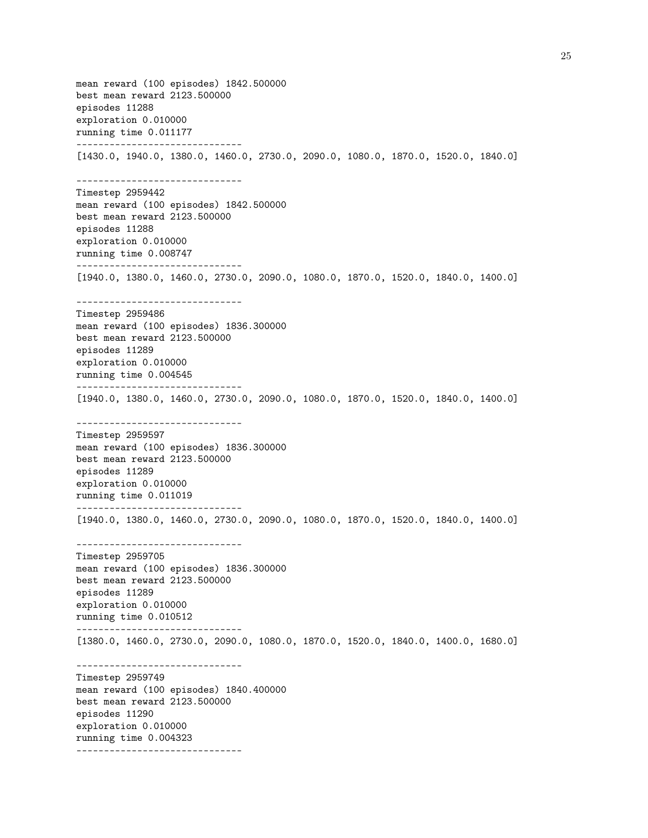mean reward (100 episodes) 1842.500000 best mean reward 2123.500000 episodes 11288 exploration 0.010000 running time 0.011177 ------------------------------ [1430.0, 1940.0, 1380.0, 1460.0, 2730.0, 2090.0, 1080.0, 1870.0, 1520.0, 1840.0] ------------------------------ Timestep 2959442 mean reward (100 episodes) 1842.500000 best mean reward 2123.500000 episodes 11288 exploration 0.010000 running time 0.008747 ------------------------------ [1940.0, 1380.0, 1460.0, 2730.0, 2090.0, 1080.0, 1870.0, 1520.0, 1840.0, 1400.0] ------------------------------ Timestep 2959486 mean reward (100 episodes) 1836.300000 best mean reward 2123.500000 episodes 11289 exploration 0.010000 running time 0.004545 ------------------------------ [1940.0, 1380.0, 1460.0, 2730.0, 2090.0, 1080.0, 1870.0, 1520.0, 1840.0, 1400.0] ------------------------------ Timestep 2959597 mean reward (100 episodes) 1836.300000 best mean reward 2123.500000 episodes 11289 exploration 0.010000 running time 0.011019 ------------------------------ [1940.0, 1380.0, 1460.0, 2730.0, 2090.0, 1080.0, 1870.0, 1520.0, 1840.0, 1400.0] ------------------------------ Timestep 2959705 mean reward (100 episodes) 1836.300000 best mean reward 2123.500000 episodes 11289 exploration 0.010000 running time 0.010512 ------------------------------ [1380.0, 1460.0, 2730.0, 2090.0, 1080.0, 1870.0, 1520.0, 1840.0, 1400.0, 1680.0] ------------------------------ Timestep 2959749 mean reward (100 episodes) 1840.400000 best mean reward 2123.500000 episodes 11290 exploration 0.010000 running time 0.004323 ------------------------------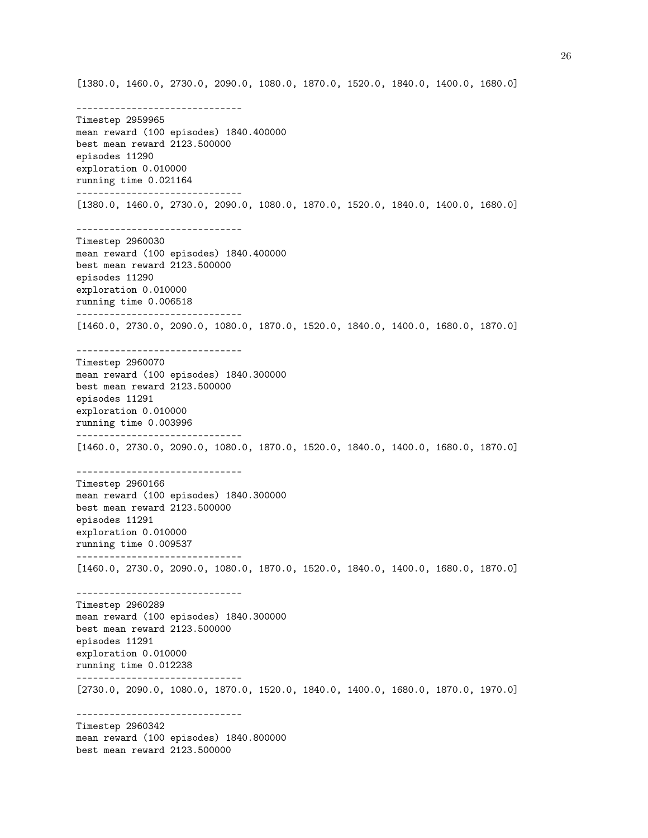[1380.0, 1460.0, 2730.0, 2090.0, 1080.0, 1870.0, 1520.0, 1840.0, 1400.0, 1680.0]

------------------------------ Timestep 2959965 mean reward (100 episodes) 1840.400000 best mean reward 2123.500000 episodes 11290 exploration 0.010000 running time 0.021164 ------------------------------ [1380.0, 1460.0, 2730.0, 2090.0, 1080.0, 1870.0, 1520.0, 1840.0, 1400.0, 1680.0] ------------------------------ Timestep 2960030 mean reward (100 episodes) 1840.400000 best mean reward 2123.500000 episodes 11290 exploration 0.010000 running time 0.006518 ------------------------------ [1460.0, 2730.0, 2090.0, 1080.0, 1870.0, 1520.0, 1840.0, 1400.0, 1680.0, 1870.0] ------------------------------ Timestep 2960070 mean reward (100 episodes) 1840.300000 best mean reward 2123.500000 episodes 11291 exploration 0.010000 running time 0.003996 ------------------------------ [1460.0, 2730.0, 2090.0, 1080.0, 1870.0, 1520.0, 1840.0, 1400.0, 1680.0, 1870.0] ------------------------------ Timestep 2960166 mean reward (100 episodes) 1840.300000 best mean reward 2123.500000 episodes 11291 exploration 0.010000 running time 0.009537 ------------------------------ [1460.0, 2730.0, 2090.0, 1080.0, 1870.0, 1520.0, 1840.0, 1400.0, 1680.0, 1870.0] ------------------------------ Timestep 2960289 mean reward (100 episodes) 1840.300000 best mean reward 2123.500000 episodes 11291 exploration 0.010000 running time 0.012238 ------------------------------ [2730.0, 2090.0, 1080.0, 1870.0, 1520.0, 1840.0, 1400.0, 1680.0, 1870.0, 1970.0] ------------------------------ Timestep 2960342 mean reward (100 episodes) 1840.800000 best mean reward 2123.500000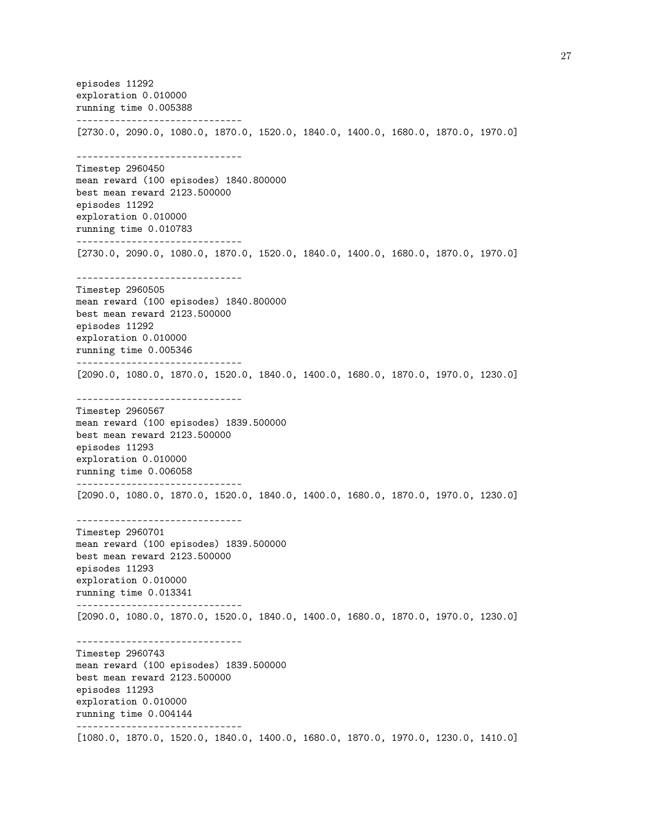episodes 11292 exploration 0.010000 running time 0.005388 ------------------------------ [2730.0, 2090.0, 1080.0, 1870.0, 1520.0, 1840.0, 1400.0, 1680.0, 1870.0, 1970.0] ------------------------------ Timestep 2960450 mean reward (100 episodes) 1840.800000 best mean reward 2123.500000 episodes 11292 exploration 0.010000 running time 0.010783 ------------------------------ [2730.0, 2090.0, 1080.0, 1870.0, 1520.0, 1840.0, 1400.0, 1680.0, 1870.0, 1970.0] ------------------------------ Timestep 2960505 mean reward (100 episodes) 1840.800000 best mean reward 2123.500000 episodes 11292 exploration 0.010000 running time 0.005346 ------------------------------ [2090.0, 1080.0, 1870.0, 1520.0, 1840.0, 1400.0, 1680.0, 1870.0, 1970.0, 1230.0] ------------------------------ Timestep 2960567 mean reward (100 episodes) 1839.500000 best mean reward 2123.500000 episodes 11293 exploration 0.010000 running time 0.006058 ------------------------------ [2090.0, 1080.0, 1870.0, 1520.0, 1840.0, 1400.0, 1680.0, 1870.0, 1970.0, 1230.0] ------------------------------ Timestep 2960701 mean reward (100 episodes) 1839.500000 best mean reward 2123.500000 episodes 11293 exploration 0.010000 running time 0.013341 ------------------------------ [2090.0, 1080.0, 1870.0, 1520.0, 1840.0, 1400.0, 1680.0, 1870.0, 1970.0, 1230.0] ------------------------------ Timestep 2960743 mean reward (100 episodes) 1839.500000 best mean reward 2123.500000 episodes 11293 exploration 0.010000 running time 0.004144 ------------------------------ [1080.0, 1870.0, 1520.0, 1840.0, 1400.0, 1680.0, 1870.0, 1970.0, 1230.0, 1410.0]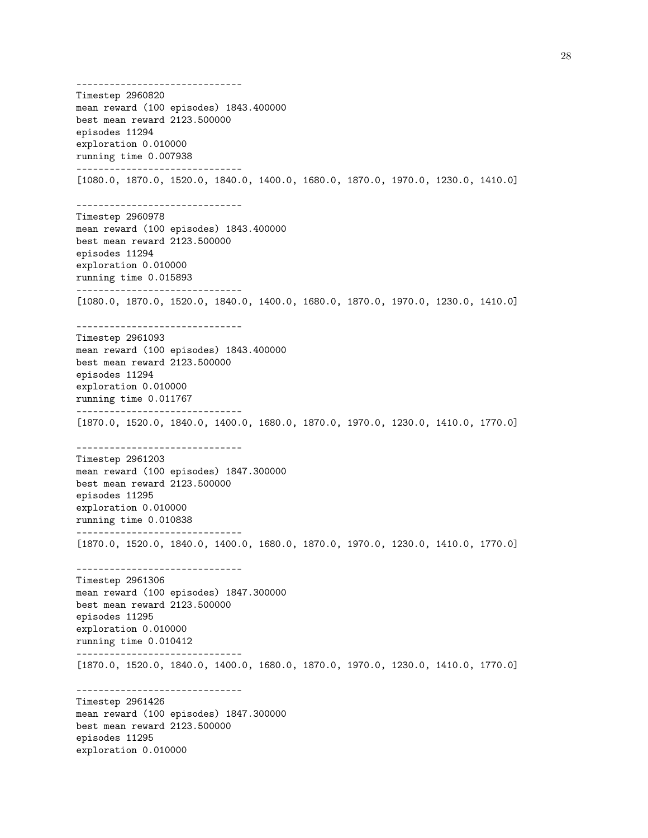------------------------------ Timestep 2960820 mean reward (100 episodes) 1843.400000 best mean reward 2123.500000 episodes 11294 exploration 0.010000 running time 0.007938 ------------------------------ [1080.0, 1870.0, 1520.0, 1840.0, 1400.0, 1680.0, 1870.0, 1970.0, 1230.0, 1410.0] ------------------------------ Timestep 2960978 mean reward (100 episodes) 1843.400000 best mean reward 2123.500000 episodes 11294 exploration 0.010000 running time 0.015893 ------------------------------ [1080.0, 1870.0, 1520.0, 1840.0, 1400.0, 1680.0, 1870.0, 1970.0, 1230.0, 1410.0] ------------------------------ Timestep 2961093 mean reward (100 episodes) 1843.400000 best mean reward 2123.500000 episodes 11294 exploration 0.010000 running time 0.011767 ------------------------------ [1870.0, 1520.0, 1840.0, 1400.0, 1680.0, 1870.0, 1970.0, 1230.0, 1410.0, 1770.0] ------------------------------ Timestep 2961203 mean reward (100 episodes) 1847.300000 best mean reward 2123.500000 episodes 11295 exploration 0.010000 running time 0.010838 ------------------------------ [1870.0, 1520.0, 1840.0, 1400.0, 1680.0, 1870.0, 1970.0, 1230.0, 1410.0, 1770.0] ------------------------------ Timestep 2961306 mean reward (100 episodes) 1847.300000 best mean reward 2123.500000 episodes 11295 exploration 0.010000 running time 0.010412 ------------------------------ [1870.0, 1520.0, 1840.0, 1400.0, 1680.0, 1870.0, 1970.0, 1230.0, 1410.0, 1770.0] ------------------------------ Timestep 2961426 mean reward (100 episodes) 1847.300000 best mean reward 2123.500000 episodes 11295 exploration 0.010000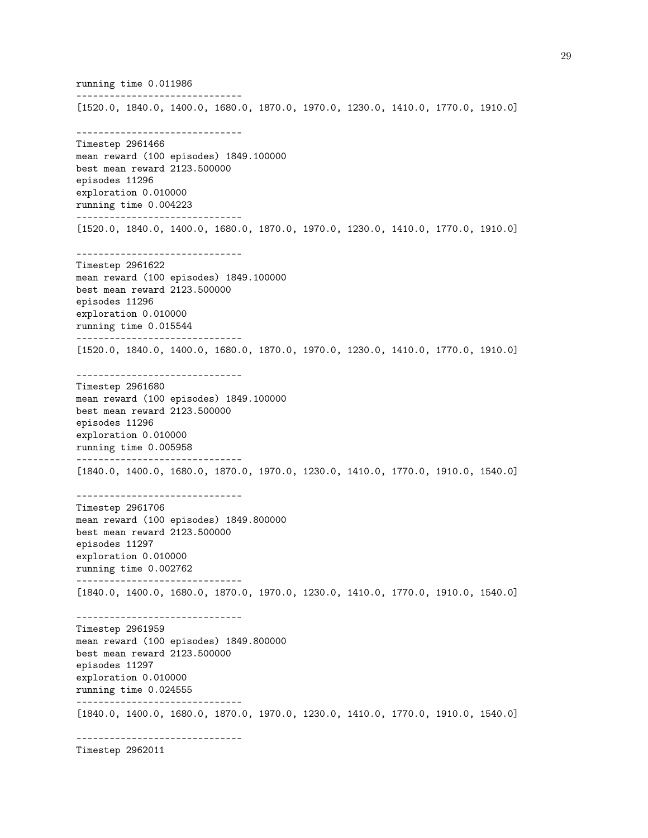running time 0.011986 ------------------------------ [1520.0, 1840.0, 1400.0, 1680.0, 1870.0, 1970.0, 1230.0, 1410.0, 1770.0, 1910.0] ------------------------------ Timestep 2961466 mean reward (100 episodes) 1849.100000 best mean reward 2123.500000 episodes 11296 exploration 0.010000 running time 0.004223 ------------------------------ [1520.0, 1840.0, 1400.0, 1680.0, 1870.0, 1970.0, 1230.0, 1410.0, 1770.0, 1910.0] ------------------------------ Timestep 2961622 mean reward (100 episodes) 1849.100000 best mean reward 2123.500000 episodes 11296 exploration 0.010000 running time 0.015544 ------------------------------ [1520.0, 1840.0, 1400.0, 1680.0, 1870.0, 1970.0, 1230.0, 1410.0, 1770.0, 1910.0] ------------------------------ Timestep 2961680 mean reward (100 episodes) 1849.100000 best mean reward 2123.500000 episodes 11296 exploration 0.010000 running time 0.005958 ------------------------------ [1840.0, 1400.0, 1680.0, 1870.0, 1970.0, 1230.0, 1410.0, 1770.0, 1910.0, 1540.0] ------------------------------ Timestep 2961706 mean reward (100 episodes) 1849.800000 best mean reward 2123.500000 episodes 11297 exploration 0.010000 running time 0.002762 ------------------------------ [1840.0, 1400.0, 1680.0, 1870.0, 1970.0, 1230.0, 1410.0, 1770.0, 1910.0, 1540.0] ------------------------------ Timestep 2961959 mean reward (100 episodes) 1849.800000 best mean reward 2123.500000 episodes 11297 exploration 0.010000 running time 0.024555 ------------------------------ [1840.0, 1400.0, 1680.0, 1870.0, 1970.0, 1230.0, 1410.0, 1770.0, 1910.0, 1540.0] ------------------------------

Timestep 2962011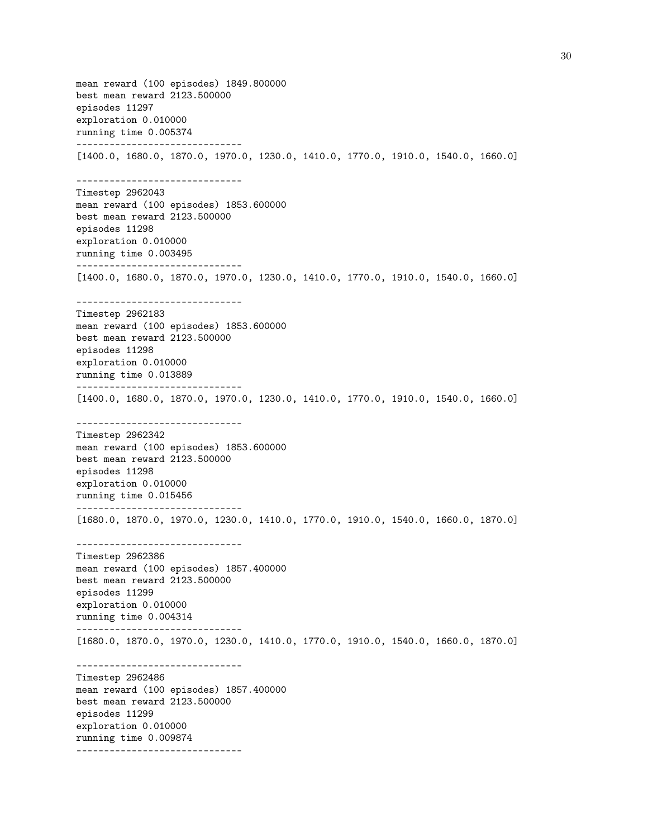mean reward (100 episodes) 1849.800000 best mean reward 2123.500000 episodes 11297 exploration 0.010000 running time 0.005374 ------------------------------ [1400.0, 1680.0, 1870.0, 1970.0, 1230.0, 1410.0, 1770.0, 1910.0, 1540.0, 1660.0] ------------------------------ Timestep 2962043 mean reward (100 episodes) 1853.600000 best mean reward 2123.500000 episodes 11298 exploration 0.010000 running time 0.003495 ------------------------------ [1400.0, 1680.0, 1870.0, 1970.0, 1230.0, 1410.0, 1770.0, 1910.0, 1540.0, 1660.0] ------------------------------ Timestep 2962183 mean reward (100 episodes) 1853.600000 best mean reward 2123.500000 episodes 11298 exploration 0.010000 running time 0.013889 ------------------------------ [1400.0, 1680.0, 1870.0, 1970.0, 1230.0, 1410.0, 1770.0, 1910.0, 1540.0, 1660.0] ------------------------------ Timestep 2962342 mean reward (100 episodes) 1853.600000 best mean reward 2123.500000 episodes 11298 exploration 0.010000 running time 0.015456 ------------------------------ [1680.0, 1870.0, 1970.0, 1230.0, 1410.0, 1770.0, 1910.0, 1540.0, 1660.0, 1870.0] ------------------------------ Timestep 2962386 mean reward (100 episodes) 1857.400000 best mean reward 2123.500000 episodes 11299 exploration 0.010000 running time 0.004314 ------------------------------ [1680.0, 1870.0, 1970.0, 1230.0, 1410.0, 1770.0, 1910.0, 1540.0, 1660.0, 1870.0] ------------------------------ Timestep 2962486 mean reward (100 episodes) 1857.400000 best mean reward 2123.500000 episodes 11299 exploration 0.010000 running time 0.009874 ------------------------------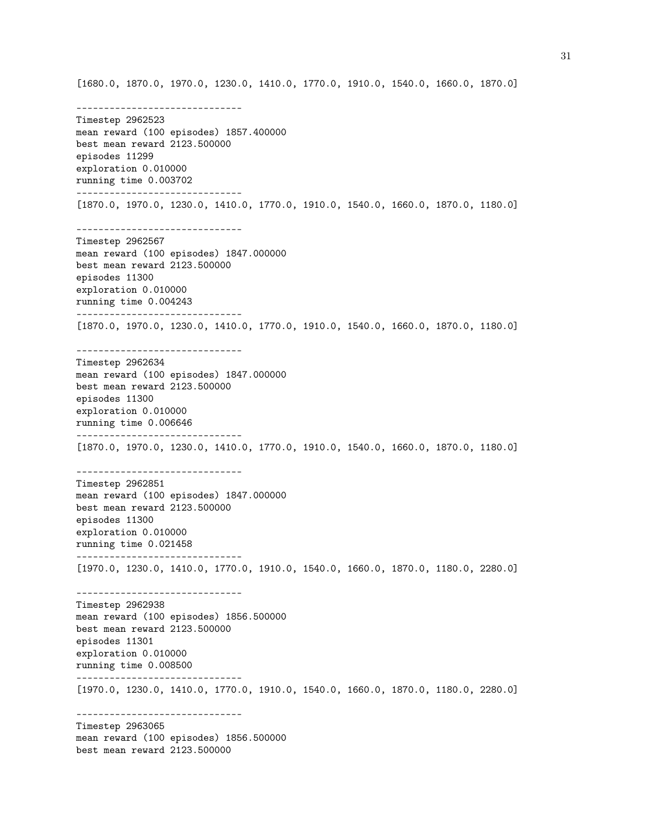[1680.0, 1870.0, 1970.0, 1230.0, 1410.0, 1770.0, 1910.0, 1540.0, 1660.0, 1870.0]

------------------------------ Timestep 2962523 mean reward (100 episodes) 1857.400000 best mean reward 2123.500000 episodes 11299 exploration 0.010000 running time 0.003702 ------------------------------ [1870.0, 1970.0, 1230.0, 1410.0, 1770.0, 1910.0, 1540.0, 1660.0, 1870.0, 1180.0] ------------------------------ Timestep 2962567 mean reward (100 episodes) 1847.000000 best mean reward 2123.500000 episodes 11300 exploration 0.010000 running time 0.004243 ------------------------------ [1870.0, 1970.0, 1230.0, 1410.0, 1770.0, 1910.0, 1540.0, 1660.0, 1870.0, 1180.0] ------------------------------ Timestep 2962634 mean reward (100 episodes) 1847.000000 best mean reward 2123.500000 episodes 11300 exploration 0.010000 running time 0.006646 ------------------------------ [1870.0, 1970.0, 1230.0, 1410.0, 1770.0, 1910.0, 1540.0, 1660.0, 1870.0, 1180.0] ------------------------------ Timestep 2962851 mean reward (100 episodes) 1847.000000 best mean reward 2123.500000 episodes 11300 exploration 0.010000 running time 0.021458 ------------------------------ [1970.0, 1230.0, 1410.0, 1770.0, 1910.0, 1540.0, 1660.0, 1870.0, 1180.0, 2280.0] ------------------------------ Timestep 2962938 mean reward (100 episodes) 1856.500000 best mean reward 2123.500000 episodes 11301 exploration 0.010000 running time 0.008500 ------------------------------ [1970.0, 1230.0, 1410.0, 1770.0, 1910.0, 1540.0, 1660.0, 1870.0, 1180.0, 2280.0] ------------------------------ Timestep 2963065 mean reward (100 episodes) 1856.500000 best mean reward 2123.500000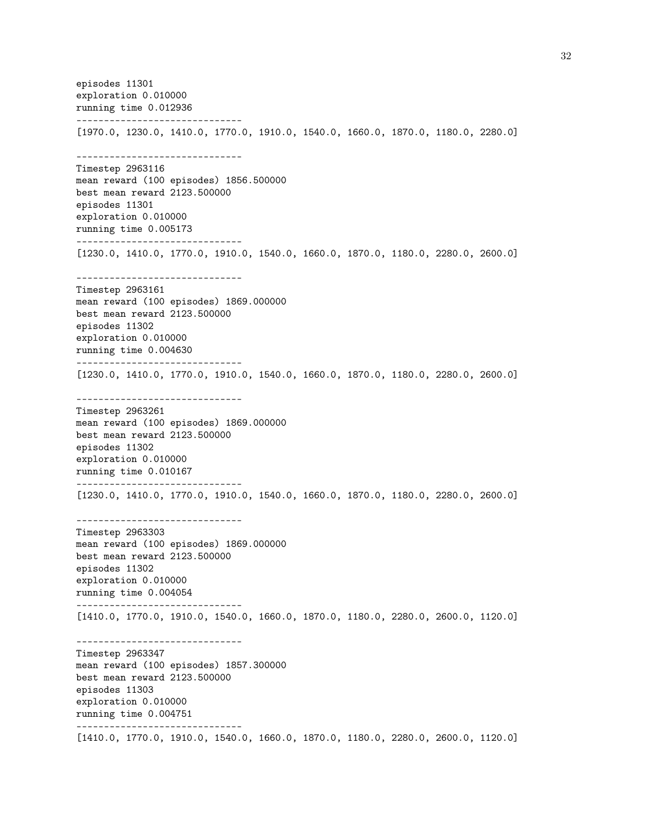episodes 11301 exploration 0.010000 running time 0.012936 ------------------------------ [1970.0, 1230.0, 1410.0, 1770.0, 1910.0, 1540.0, 1660.0, 1870.0, 1180.0, 2280.0] ------------------------------ Timestep 2963116 mean reward (100 episodes) 1856.500000 best mean reward 2123.500000 episodes 11301 exploration 0.010000 running time 0.005173 ------------------------------ [1230.0, 1410.0, 1770.0, 1910.0, 1540.0, 1660.0, 1870.0, 1180.0, 2280.0, 2600.0] ------------------------------ Timestep 2963161 mean reward (100 episodes) 1869.000000 best mean reward 2123.500000 episodes 11302 exploration 0.010000 running time 0.004630 ------------------------------ [1230.0, 1410.0, 1770.0, 1910.0, 1540.0, 1660.0, 1870.0, 1180.0, 2280.0, 2600.0] ------------------------------ Timestep 2963261 mean reward (100 episodes) 1869.000000 best mean reward 2123.500000 episodes 11302 exploration 0.010000 running time 0.010167 ------------------------------ [1230.0, 1410.0, 1770.0, 1910.0, 1540.0, 1660.0, 1870.0, 1180.0, 2280.0, 2600.0] ------------------------------ Timestep 2963303 mean reward (100 episodes) 1869.000000 best mean reward 2123.500000 episodes 11302 exploration 0.010000 running time 0.004054 ------------------------------ [1410.0, 1770.0, 1910.0, 1540.0, 1660.0, 1870.0, 1180.0, 2280.0, 2600.0, 1120.0] ------------------------------ Timestep 2963347 mean reward (100 episodes) 1857.300000 best mean reward 2123.500000 episodes 11303 exploration 0.010000 running time 0.004751 ------------------------------ [1410.0, 1770.0, 1910.0, 1540.0, 1660.0, 1870.0, 1180.0, 2280.0, 2600.0, 1120.0]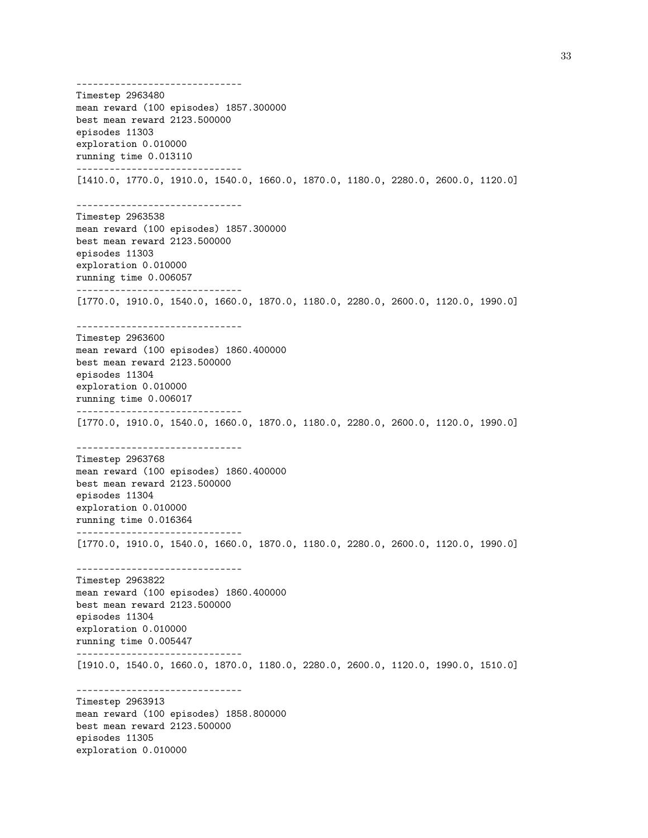------------------------------ Timestep 2963480 mean reward (100 episodes) 1857.300000 best mean reward 2123.500000 episodes 11303 exploration 0.010000 running time 0.013110 ------------------------------ [1410.0, 1770.0, 1910.0, 1540.0, 1660.0, 1870.0, 1180.0, 2280.0, 2600.0, 1120.0] ------------------------------ Timestep 2963538 mean reward (100 episodes) 1857.300000 best mean reward 2123.500000 episodes 11303 exploration 0.010000 running time 0.006057 ------------------------------ [1770.0, 1910.0, 1540.0, 1660.0, 1870.0, 1180.0, 2280.0, 2600.0, 1120.0, 1990.0] ------------------------------ Timestep 2963600 mean reward (100 episodes) 1860.400000 best mean reward 2123.500000 episodes 11304 exploration 0.010000 running time 0.006017 ------------------------------ [1770.0, 1910.0, 1540.0, 1660.0, 1870.0, 1180.0, 2280.0, 2600.0, 1120.0, 1990.0] ------------------------------ Timestep 2963768 mean reward (100 episodes) 1860.400000 best mean reward 2123.500000 episodes 11304 exploration 0.010000 running time 0.016364 ------------------------------ [1770.0, 1910.0, 1540.0, 1660.0, 1870.0, 1180.0, 2280.0, 2600.0, 1120.0, 1990.0] ------------------------------ Timestep 2963822 mean reward (100 episodes) 1860.400000 best mean reward 2123.500000 episodes 11304 exploration 0.010000 running time 0.005447 ------------------------------ [1910.0, 1540.0, 1660.0, 1870.0, 1180.0, 2280.0, 2600.0, 1120.0, 1990.0, 1510.0] ------------------------------ Timestep 2963913 mean reward (100 episodes) 1858.800000 best mean reward 2123.500000 episodes 11305 exploration 0.010000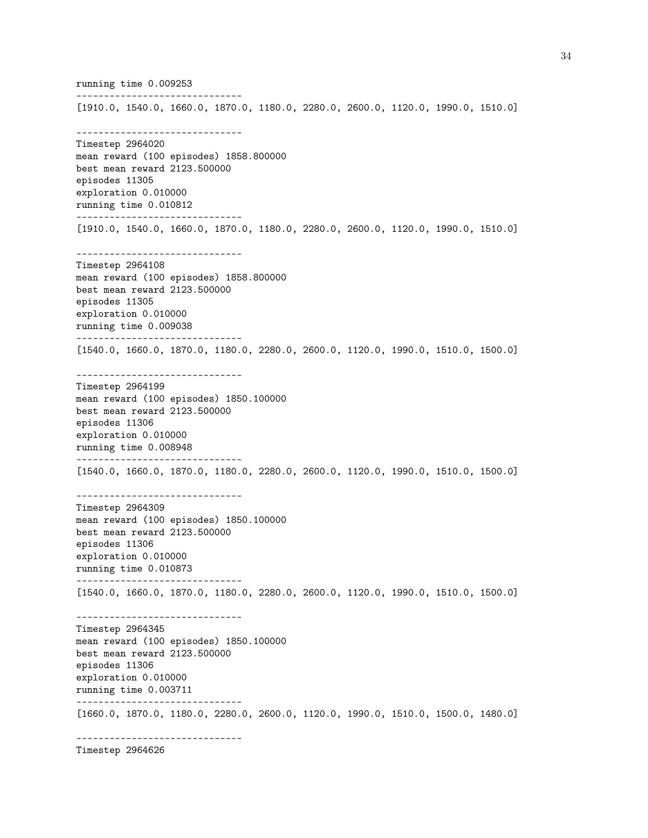running time 0.009253 ------------------------------ [1910.0, 1540.0, 1660.0, 1870.0, 1180.0, 2280.0, 2600.0, 1120.0, 1990.0, 1510.0] ------------------------------ Timestep 2964020 mean reward (100 episodes) 1858.800000 best mean reward 2123.500000 episodes 11305 exploration 0.010000 running time 0.010812 ------------------------------ [1910.0, 1540.0, 1660.0, 1870.0, 1180.0, 2280.0, 2600.0, 1120.0, 1990.0, 1510.0] ------------------------------ Timestep 2964108 mean reward (100 episodes) 1858.800000 best mean reward 2123.500000 episodes 11305 exploration 0.010000 running time 0.009038 ------------------------------ [1540.0, 1660.0, 1870.0, 1180.0, 2280.0, 2600.0, 1120.0, 1990.0, 1510.0, 1500.0] ------------------------------ Timestep 2964199 mean reward (100 episodes) 1850.100000 best mean reward 2123.500000 episodes 11306 exploration 0.010000 running time 0.008948 ------------------------------ [1540.0, 1660.0, 1870.0, 1180.0, 2280.0, 2600.0, 1120.0, 1990.0, 1510.0, 1500.0] ------------------------------ Timestep 2964309 mean reward (100 episodes) 1850.100000 best mean reward 2123.500000 episodes 11306 exploration 0.010000 running time 0.010873 ------------------------------ [1540.0, 1660.0, 1870.0, 1180.0, 2280.0, 2600.0, 1120.0, 1990.0, 1510.0, 1500.0] ------------------------------ Timestep 2964345 mean reward (100 episodes) 1850.100000 best mean reward 2123.500000 episodes 11306 exploration 0.010000 running time 0.003711 ------------------------------ [1660.0, 1870.0, 1180.0, 2280.0, 2600.0, 1120.0, 1990.0, 1510.0, 1500.0, 1480.0] ------------------------------

Timestep 2964626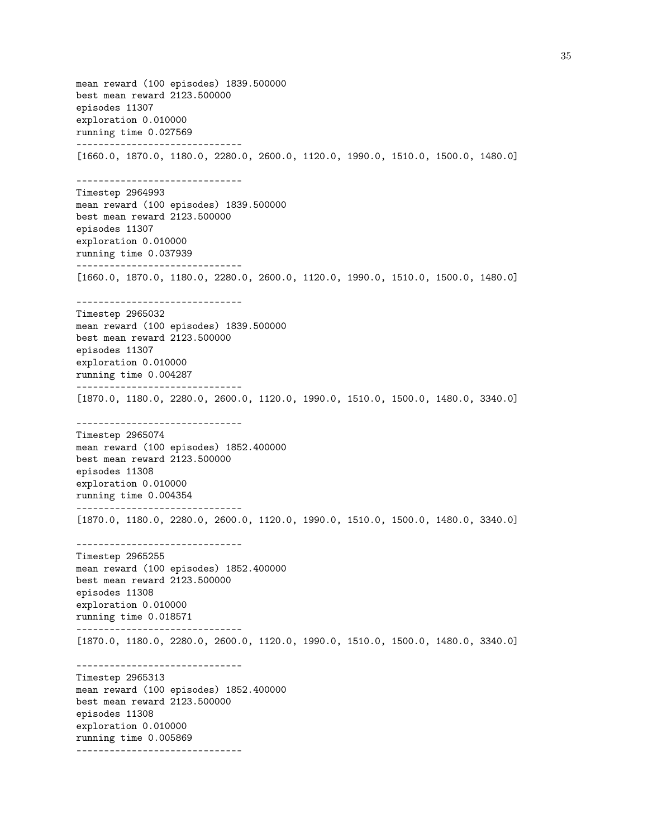mean reward (100 episodes) 1839.500000 best mean reward 2123.500000 episodes 11307 exploration 0.010000 running time 0.027569 ------------------------------ [1660.0, 1870.0, 1180.0, 2280.0, 2600.0, 1120.0, 1990.0, 1510.0, 1500.0, 1480.0] ------------------------------ Timestep 2964993 mean reward (100 episodes) 1839.500000 best mean reward 2123.500000 episodes 11307 exploration 0.010000 running time 0.037939 ------------------------------ [1660.0, 1870.0, 1180.0, 2280.0, 2600.0, 1120.0, 1990.0, 1510.0, 1500.0, 1480.0] ------------------------------ Timestep 2965032 mean reward (100 episodes) 1839.500000 best mean reward 2123.500000 episodes 11307 exploration 0.010000 running time 0.004287 ------------------------------ [1870.0, 1180.0, 2280.0, 2600.0, 1120.0, 1990.0, 1510.0, 1500.0, 1480.0, 3340.0] ------------------------------ Timestep 2965074 mean reward (100 episodes) 1852.400000 best mean reward 2123.500000 episodes 11308 exploration 0.010000 running time 0.004354 ------------------------------ [1870.0, 1180.0, 2280.0, 2600.0, 1120.0, 1990.0, 1510.0, 1500.0, 1480.0, 3340.0] ------------------------------ Timestep 2965255 mean reward (100 episodes) 1852.400000 best mean reward 2123.500000 episodes 11308 exploration 0.010000 running time 0.018571 ------------------------------ [1870.0, 1180.0, 2280.0, 2600.0, 1120.0, 1990.0, 1510.0, 1500.0, 1480.0, 3340.0] ------------------------------ Timestep 2965313 mean reward (100 episodes) 1852.400000 best mean reward 2123.500000 episodes 11308 exploration 0.010000 running time 0.005869 ------------------------------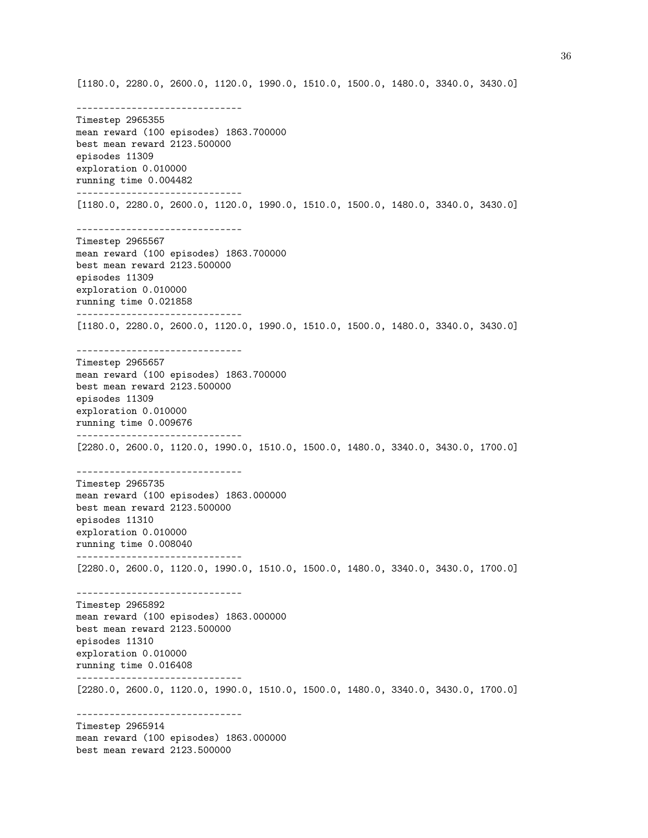[1180.0, 2280.0, 2600.0, 1120.0, 1990.0, 1510.0, 1500.0, 1480.0, 3340.0, 3430.0]

------------------------------ Timestep 2965355 mean reward (100 episodes) 1863.700000 best mean reward 2123.500000 episodes 11309 exploration 0.010000 running time 0.004482 ------------------------------ [1180.0, 2280.0, 2600.0, 1120.0, 1990.0, 1510.0, 1500.0, 1480.0, 3340.0, 3430.0] ------------------------------ Timestep 2965567 mean reward (100 episodes) 1863.700000 best mean reward 2123.500000 episodes 11309 exploration 0.010000 running time 0.021858 ------------------------------ [1180.0, 2280.0, 2600.0, 1120.0, 1990.0, 1510.0, 1500.0, 1480.0, 3340.0, 3430.0] ------------------------------ Timestep 2965657 mean reward (100 episodes) 1863.700000 best mean reward 2123.500000 episodes 11309 exploration 0.010000 running time 0.009676 ------------------------------ [2280.0, 2600.0, 1120.0, 1990.0, 1510.0, 1500.0, 1480.0, 3340.0, 3430.0, 1700.0] ------------------------------ Timestep 2965735 mean reward (100 episodes) 1863.000000 best mean reward 2123.500000 episodes 11310 exploration 0.010000 running time 0.008040 ------------------------------ [2280.0, 2600.0, 1120.0, 1990.0, 1510.0, 1500.0, 1480.0, 3340.0, 3430.0, 1700.0] ------------------------------ Timestep 2965892 mean reward (100 episodes) 1863.000000 best mean reward 2123.500000 episodes 11310 exploration 0.010000 running time 0.016408 ------------------------------ [2280.0, 2600.0, 1120.0, 1990.0, 1510.0, 1500.0, 1480.0, 3340.0, 3430.0, 1700.0] ------------------------------ Timestep 2965914 mean reward (100 episodes) 1863.000000 best mean reward 2123.500000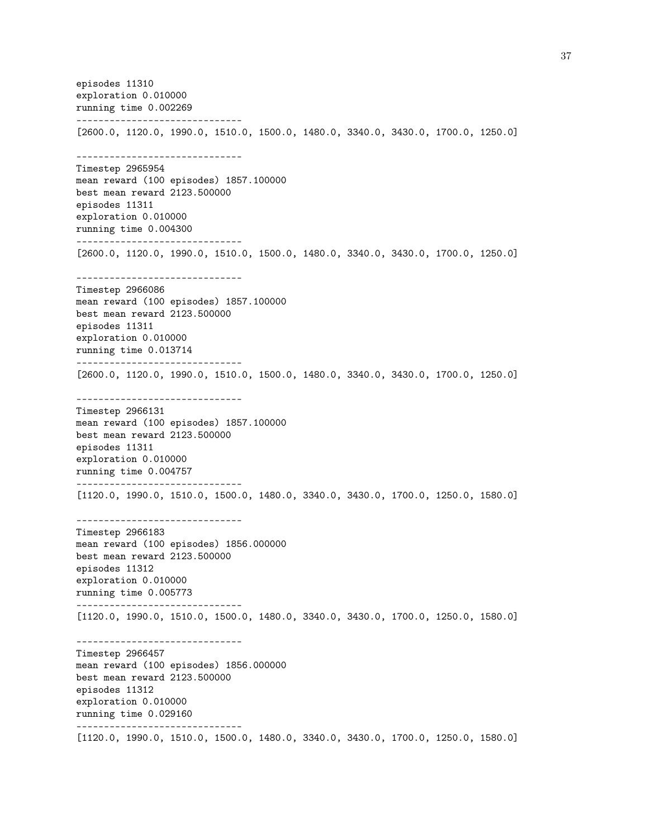episodes 11310 exploration 0.010000 running time 0.002269 ------------------------------ [2600.0, 1120.0, 1990.0, 1510.0, 1500.0, 1480.0, 3340.0, 3430.0, 1700.0, 1250.0] ------------------------------ Timestep 2965954 mean reward (100 episodes) 1857.100000 best mean reward 2123.500000 episodes 11311 exploration 0.010000 running time 0.004300 ------------------------------ [2600.0, 1120.0, 1990.0, 1510.0, 1500.0, 1480.0, 3340.0, 3430.0, 1700.0, 1250.0] ------------------------------ Timestep 2966086 mean reward (100 episodes) 1857.100000 best mean reward 2123.500000 episodes 11311 exploration 0.010000 running time 0.013714 ------------------------------ [2600.0, 1120.0, 1990.0, 1510.0, 1500.0, 1480.0, 3340.0, 3430.0, 1700.0, 1250.0] ------------------------------ Timestep 2966131 mean reward (100 episodes) 1857.100000 best mean reward 2123.500000 episodes 11311 exploration 0.010000 running time 0.004757 ------------------------------ [1120.0, 1990.0, 1510.0, 1500.0, 1480.0, 3340.0, 3430.0, 1700.0, 1250.0, 1580.0] ------------------------------ Timestep 2966183 mean reward (100 episodes) 1856.000000 best mean reward 2123.500000 episodes 11312 exploration 0.010000 running time 0.005773 ------------------------------ [1120.0, 1990.0, 1510.0, 1500.0, 1480.0, 3340.0, 3430.0, 1700.0, 1250.0, 1580.0] ------------------------------ Timestep 2966457 mean reward (100 episodes) 1856.000000 best mean reward 2123.500000 episodes 11312 exploration 0.010000 running time 0.029160 ------------------------------ [1120.0, 1990.0, 1510.0, 1500.0, 1480.0, 3340.0, 3430.0, 1700.0, 1250.0, 1580.0]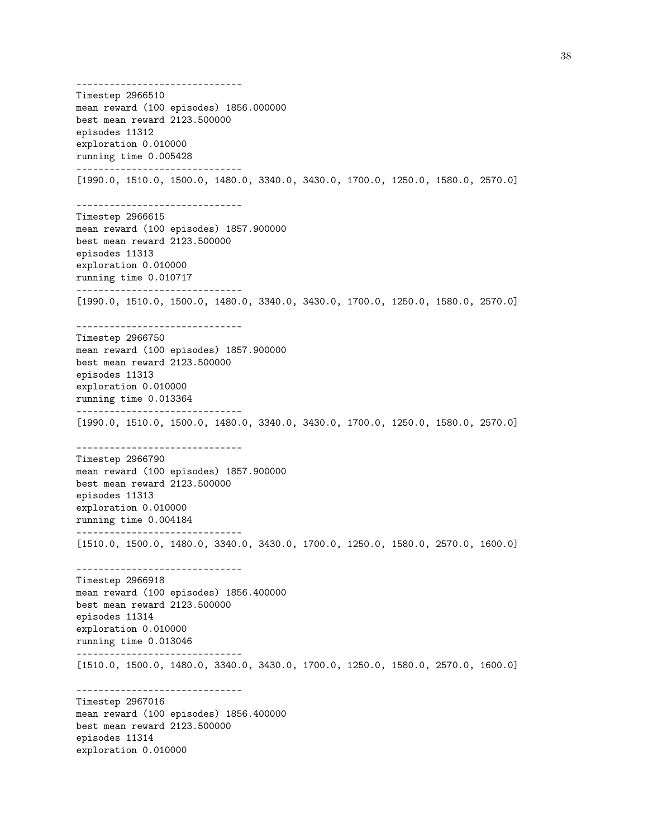------------------------------ Timestep 2966510 mean reward (100 episodes) 1856.000000 best mean reward 2123.500000 episodes 11312 exploration 0.010000 running time 0.005428 ------------------------------ [1990.0, 1510.0, 1500.0, 1480.0, 3340.0, 3430.0, 1700.0, 1250.0, 1580.0, 2570.0] ------------------------------ Timestep 2966615 mean reward (100 episodes) 1857.900000 best mean reward 2123.500000 episodes 11313 exploration 0.010000 running time 0.010717 ------------------------------ [1990.0, 1510.0, 1500.0, 1480.0, 3340.0, 3430.0, 1700.0, 1250.0, 1580.0, 2570.0] ------------------------------ Timestep 2966750 mean reward (100 episodes) 1857.900000 best mean reward 2123.500000 episodes 11313 exploration 0.010000 running time 0.013364 ------------------------------ [1990.0, 1510.0, 1500.0, 1480.0, 3340.0, 3430.0, 1700.0, 1250.0, 1580.0, 2570.0] ------------------------------ Timestep 2966790 mean reward (100 episodes) 1857.900000 best mean reward 2123.500000 episodes 11313 exploration 0.010000 running time 0.004184 ------------------------------ [1510.0, 1500.0, 1480.0, 3340.0, 3430.0, 1700.0, 1250.0, 1580.0, 2570.0, 1600.0] ------------------------------ Timestep 2966918 mean reward (100 episodes) 1856.400000 best mean reward 2123.500000 episodes 11314 exploration 0.010000 running time 0.013046 ------------------------------ [1510.0, 1500.0, 1480.0, 3340.0, 3430.0, 1700.0, 1250.0, 1580.0, 2570.0, 1600.0] ------------------------------ Timestep 2967016 mean reward (100 episodes) 1856.400000 best mean reward 2123.500000 episodes 11314 exploration 0.010000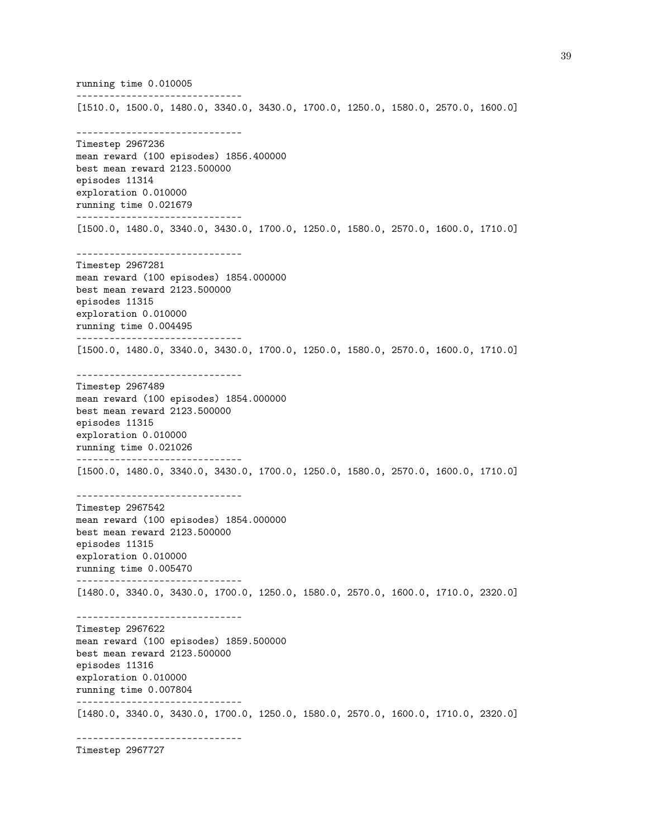running time 0.010005 ------------------------------ [1510.0, 1500.0, 1480.0, 3340.0, 3430.0, 1700.0, 1250.0, 1580.0, 2570.0, 1600.0] ------------------------------ Timestep 2967236 mean reward (100 episodes) 1856.400000 best mean reward 2123.500000 episodes 11314 exploration 0.010000 running time 0.021679 ------------------------------ [1500.0, 1480.0, 3340.0, 3430.0, 1700.0, 1250.0, 1580.0, 2570.0, 1600.0, 1710.0] ------------------------------ Timestep 2967281 mean reward (100 episodes) 1854.000000 best mean reward 2123.500000 episodes 11315 exploration 0.010000 running time 0.004495 ------------------------------ [1500.0, 1480.0, 3340.0, 3430.0, 1700.0, 1250.0, 1580.0, 2570.0, 1600.0, 1710.0] ------------------------------ Timestep 2967489 mean reward (100 episodes) 1854.000000 best mean reward 2123.500000 episodes 11315 exploration 0.010000 running time 0.021026 ------------------------------ [1500.0, 1480.0, 3340.0, 3430.0, 1700.0, 1250.0, 1580.0, 2570.0, 1600.0, 1710.0] ------------------------------ Timestep 2967542 mean reward (100 episodes) 1854.000000 best mean reward 2123.500000 episodes 11315 exploration 0.010000 running time 0.005470 ------------------------------ [1480.0, 3340.0, 3430.0, 1700.0, 1250.0, 1580.0, 2570.0, 1600.0, 1710.0, 2320.0] ------------------------------ Timestep 2967622 mean reward (100 episodes) 1859.500000 best mean reward 2123.500000 episodes 11316 exploration 0.010000 running time 0.007804 ------------------------------ [1480.0, 3340.0, 3430.0, 1700.0, 1250.0, 1580.0, 2570.0, 1600.0, 1710.0, 2320.0] ------------------------------

Timestep 2967727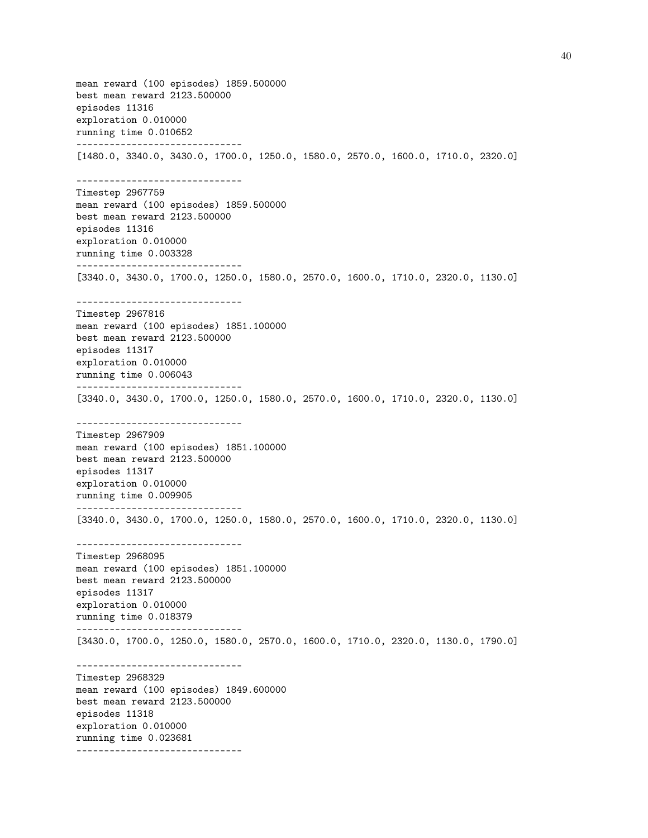mean reward (100 episodes) 1859.500000 best mean reward 2123.500000 episodes 11316 exploration 0.010000 running time 0.010652 ------------------------------ [1480.0, 3340.0, 3430.0, 1700.0, 1250.0, 1580.0, 2570.0, 1600.0, 1710.0, 2320.0] ------------------------------ Timestep 2967759 mean reward (100 episodes) 1859.500000 best mean reward 2123.500000 episodes 11316 exploration 0.010000 running time 0.003328 ------------------------------ [3340.0, 3430.0, 1700.0, 1250.0, 1580.0, 2570.0, 1600.0, 1710.0, 2320.0, 1130.0] ------------------------------ Timestep 2967816 mean reward (100 episodes) 1851.100000 best mean reward 2123.500000 episodes 11317 exploration 0.010000 running time 0.006043 ------------------------------ [3340.0, 3430.0, 1700.0, 1250.0, 1580.0, 2570.0, 1600.0, 1710.0, 2320.0, 1130.0] ------------------------------ Timestep 2967909 mean reward (100 episodes) 1851.100000 best mean reward 2123.500000 episodes 11317 exploration 0.010000 running time 0.009905 ------------------------------ [3340.0, 3430.0, 1700.0, 1250.0, 1580.0, 2570.0, 1600.0, 1710.0, 2320.0, 1130.0] ------------------------------ Timestep 2968095 mean reward (100 episodes) 1851.100000 best mean reward 2123.500000 episodes 11317 exploration 0.010000 running time 0.018379 ------------------------------ [3430.0, 1700.0, 1250.0, 1580.0, 2570.0, 1600.0, 1710.0, 2320.0, 1130.0, 1790.0] ------------------------------ Timestep 2968329 mean reward (100 episodes) 1849.600000 best mean reward 2123.500000 episodes 11318 exploration 0.010000 running time 0.023681 ------------------------------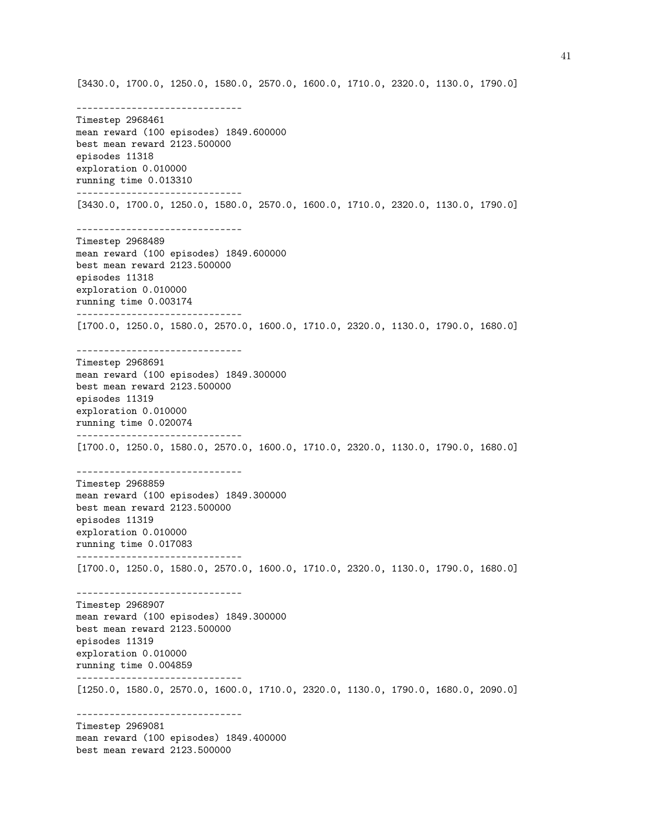[3430.0, 1700.0, 1250.0, 1580.0, 2570.0, 1600.0, 1710.0, 2320.0, 1130.0, 1790.0]

------------------------------ Timestep 2968461 mean reward (100 episodes) 1849.600000 best mean reward 2123.500000 episodes 11318 exploration 0.010000 running time 0.013310 ------------------------------ [3430.0, 1700.0, 1250.0, 1580.0, 2570.0, 1600.0, 1710.0, 2320.0, 1130.0, 1790.0] ------------------------------ Timestep 2968489 mean reward (100 episodes) 1849.600000 best mean reward 2123.500000 episodes 11318 exploration 0.010000 running time 0.003174 ------------------------------ [1700.0, 1250.0, 1580.0, 2570.0, 1600.0, 1710.0, 2320.0, 1130.0, 1790.0, 1680.0] ------------------------------ Timestep 2968691 mean reward (100 episodes) 1849.300000 best mean reward 2123.500000 episodes 11319 exploration 0.010000 running time 0.020074 ------------------------------ [1700.0, 1250.0, 1580.0, 2570.0, 1600.0, 1710.0, 2320.0, 1130.0, 1790.0, 1680.0] ------------------------------ Timestep 2968859 mean reward (100 episodes) 1849.300000 best mean reward 2123.500000 episodes 11319 exploration 0.010000 running time 0.017083 ------------------------------ [1700.0, 1250.0, 1580.0, 2570.0, 1600.0, 1710.0, 2320.0, 1130.0, 1790.0, 1680.0] ------------------------------ Timestep 2968907 mean reward (100 episodes) 1849.300000 best mean reward 2123.500000 episodes 11319 exploration 0.010000 running time 0.004859 ------------------------------ [1250.0, 1580.0, 2570.0, 1600.0, 1710.0, 2320.0, 1130.0, 1790.0, 1680.0, 2090.0] ------------------------------ Timestep 2969081 mean reward (100 episodes) 1849.400000 best mean reward 2123.500000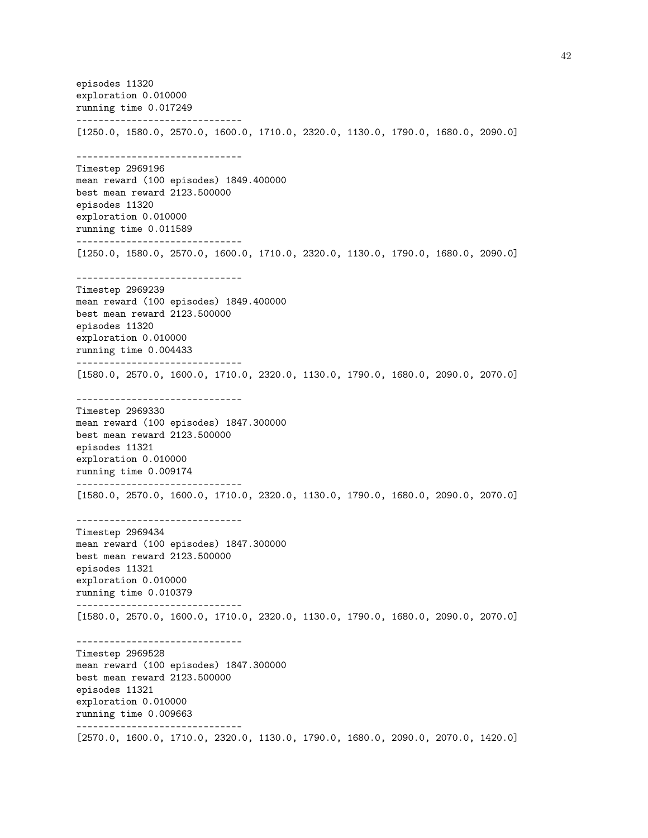episodes 11320 exploration 0.010000 running time 0.017249 ------------------------------ [1250.0, 1580.0, 2570.0, 1600.0, 1710.0, 2320.0, 1130.0, 1790.0, 1680.0, 2090.0] ------------------------------ Timestep 2969196 mean reward (100 episodes) 1849.400000 best mean reward 2123.500000 episodes 11320 exploration 0.010000 running time 0.011589 ------------------------------ [1250.0, 1580.0, 2570.0, 1600.0, 1710.0, 2320.0, 1130.0, 1790.0, 1680.0, 2090.0] ------------------------------ Timestep 2969239 mean reward (100 episodes) 1849.400000 best mean reward 2123.500000 episodes 11320 exploration 0.010000 running time 0.004433 ------------------------------ [1580.0, 2570.0, 1600.0, 1710.0, 2320.0, 1130.0, 1790.0, 1680.0, 2090.0, 2070.0] ------------------------------ Timestep 2969330 mean reward (100 episodes) 1847.300000 best mean reward 2123.500000 episodes 11321 exploration 0.010000 running time 0.009174 ------------------------------ [1580.0, 2570.0, 1600.0, 1710.0, 2320.0, 1130.0, 1790.0, 1680.0, 2090.0, 2070.0] ------------------------------ Timestep 2969434 mean reward (100 episodes) 1847.300000 best mean reward 2123.500000 episodes 11321 exploration 0.010000 running time 0.010379 ------------------------------ [1580.0, 2570.0, 1600.0, 1710.0, 2320.0, 1130.0, 1790.0, 1680.0, 2090.0, 2070.0] ------------------------------ Timestep 2969528 mean reward (100 episodes) 1847.300000 best mean reward 2123.500000 episodes 11321 exploration 0.010000 running time 0.009663 ------------------------------ [2570.0, 1600.0, 1710.0, 2320.0, 1130.0, 1790.0, 1680.0, 2090.0, 2070.0, 1420.0]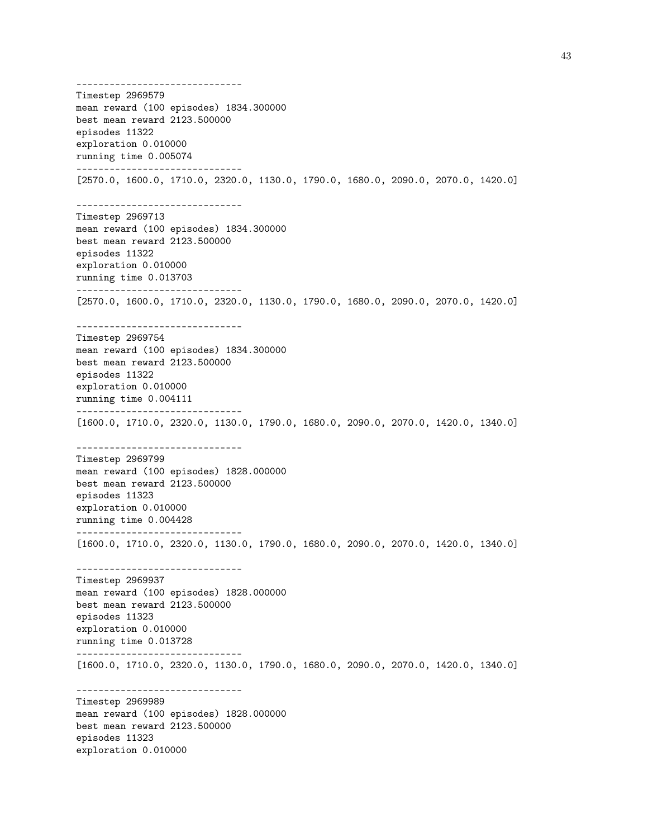------------------------------ Timestep 2969579 mean reward (100 episodes) 1834.300000 best mean reward 2123.500000 episodes 11322 exploration 0.010000 running time 0.005074 ------------------------------ [2570.0, 1600.0, 1710.0, 2320.0, 1130.0, 1790.0, 1680.0, 2090.0, 2070.0, 1420.0] ------------------------------ Timestep 2969713 mean reward (100 episodes) 1834.300000 best mean reward 2123.500000 episodes 11322 exploration 0.010000 running time 0.013703 ------------------------------ [2570.0, 1600.0, 1710.0, 2320.0, 1130.0, 1790.0, 1680.0, 2090.0, 2070.0, 1420.0] ------------------------------ Timestep 2969754 mean reward (100 episodes) 1834.300000 best mean reward 2123.500000 episodes 11322 exploration 0.010000 running time 0.004111 ------------------------------ [1600.0, 1710.0, 2320.0, 1130.0, 1790.0, 1680.0, 2090.0, 2070.0, 1420.0, 1340.0] ------------------------------ Timestep 2969799 mean reward (100 episodes) 1828.000000 best mean reward 2123.500000 episodes 11323 exploration 0.010000 running time 0.004428 ------------------------------ [1600.0, 1710.0, 2320.0, 1130.0, 1790.0, 1680.0, 2090.0, 2070.0, 1420.0, 1340.0] ------------------------------ Timestep 2969937 mean reward (100 episodes) 1828.000000 best mean reward 2123.500000 episodes 11323 exploration 0.010000 running time 0.013728 ------------------------------ [1600.0, 1710.0, 2320.0, 1130.0, 1790.0, 1680.0, 2090.0, 2070.0, 1420.0, 1340.0] ------------------------------ Timestep 2969989 mean reward (100 episodes) 1828.000000 best mean reward 2123.500000 episodes 11323 exploration 0.010000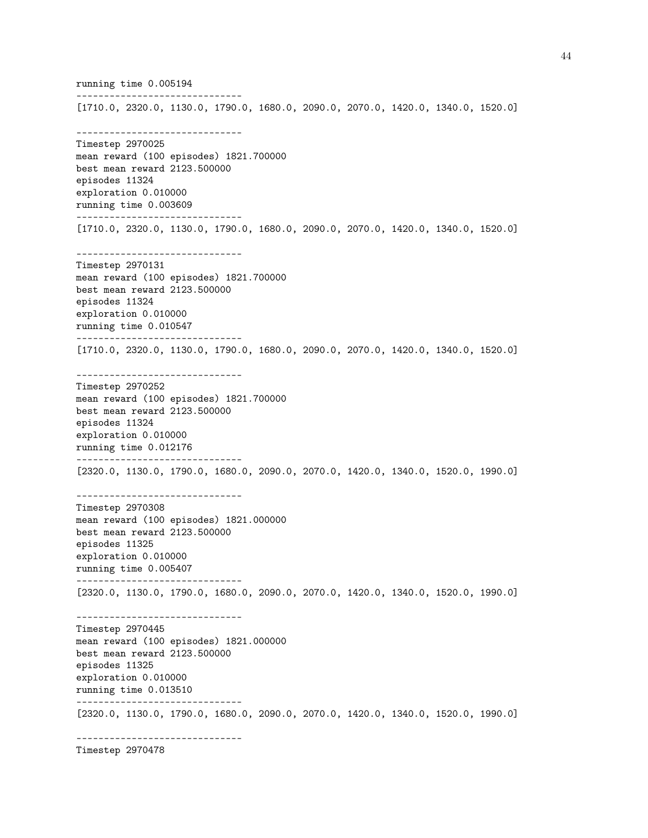running time 0.005194 ------------------------------ [1710.0, 2320.0, 1130.0, 1790.0, 1680.0, 2090.0, 2070.0, 1420.0, 1340.0, 1520.0] ------------------------------ Timestep 2970025 mean reward (100 episodes) 1821.700000 best mean reward 2123.500000 episodes 11324 exploration 0.010000 running time 0.003609 ------------------------------ [1710.0, 2320.0, 1130.0, 1790.0, 1680.0, 2090.0, 2070.0, 1420.0, 1340.0, 1520.0] ------------------------------ Timestep 2970131 mean reward (100 episodes) 1821.700000 best mean reward 2123.500000 episodes 11324 exploration 0.010000 running time 0.010547 ------------------------------ [1710.0, 2320.0, 1130.0, 1790.0, 1680.0, 2090.0, 2070.0, 1420.0, 1340.0, 1520.0] ------------------------------ Timestep 2970252 mean reward (100 episodes) 1821.700000 best mean reward 2123.500000 episodes 11324 exploration 0.010000 running time 0.012176 ------------------------------ [2320.0, 1130.0, 1790.0, 1680.0, 2090.0, 2070.0, 1420.0, 1340.0, 1520.0, 1990.0] ------------------------------ Timestep 2970308 mean reward (100 episodes) 1821.000000 best mean reward 2123.500000 episodes 11325 exploration 0.010000 running time 0.005407 ------------------------------ [2320.0, 1130.0, 1790.0, 1680.0, 2090.0, 2070.0, 1420.0, 1340.0, 1520.0, 1990.0] ------------------------------ Timestep 2970445 mean reward (100 episodes) 1821.000000 best mean reward 2123.500000 episodes 11325 exploration 0.010000 running time 0.013510 ------------------------------ [2320.0, 1130.0, 1790.0, 1680.0, 2090.0, 2070.0, 1420.0, 1340.0, 1520.0, 1990.0] ------------------------------

Timestep 2970478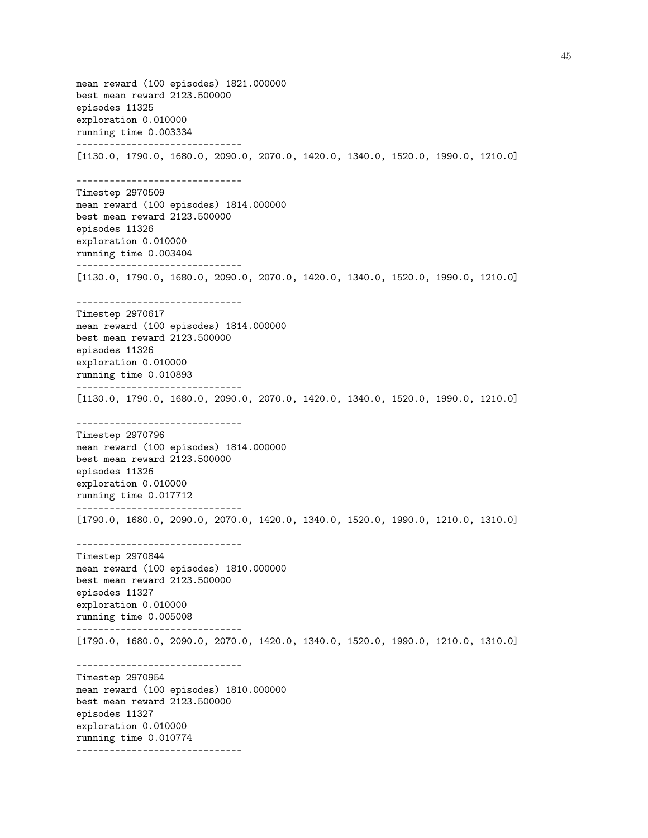mean reward (100 episodes) 1821.000000 best mean reward 2123.500000 episodes 11325 exploration 0.010000 running time 0.003334 ------------------------------ [1130.0, 1790.0, 1680.0, 2090.0, 2070.0, 1420.0, 1340.0, 1520.0, 1990.0, 1210.0] ------------------------------ Timestep 2970509 mean reward (100 episodes) 1814.000000 best mean reward 2123.500000 episodes 11326 exploration 0.010000 running time 0.003404 ------------------------------ [1130.0, 1790.0, 1680.0, 2090.0, 2070.0, 1420.0, 1340.0, 1520.0, 1990.0, 1210.0] ------------------------------ Timestep 2970617 mean reward (100 episodes) 1814.000000 best mean reward 2123.500000 episodes 11326 exploration 0.010000 running time 0.010893 ------------------------------ [1130.0, 1790.0, 1680.0, 2090.0, 2070.0, 1420.0, 1340.0, 1520.0, 1990.0, 1210.0] ------------------------------ Timestep 2970796 mean reward (100 episodes) 1814.000000 best mean reward 2123.500000 episodes 11326 exploration 0.010000 running time 0.017712 ------------------------------ [1790.0, 1680.0, 2090.0, 2070.0, 1420.0, 1340.0, 1520.0, 1990.0, 1210.0, 1310.0] ------------------------------ Timestep 2970844 mean reward (100 episodes) 1810.000000 best mean reward 2123.500000 episodes 11327 exploration 0.010000 running time 0.005008 ------------------------------ [1790.0, 1680.0, 2090.0, 2070.0, 1420.0, 1340.0, 1520.0, 1990.0, 1210.0, 1310.0] ------------------------------ Timestep 2970954 mean reward (100 episodes) 1810.000000 best mean reward 2123.500000 episodes 11327 exploration 0.010000 running time 0.010774 ------------------------------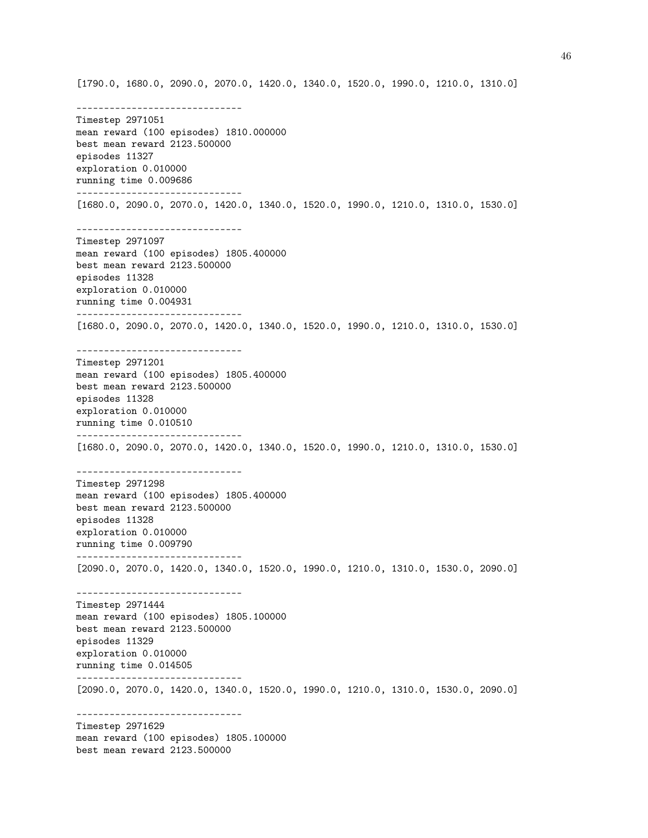[1790.0, 1680.0, 2090.0, 2070.0, 1420.0, 1340.0, 1520.0, 1990.0, 1210.0, 1310.0] ------------------------------ Timestep 2971051 mean reward (100 episodes) 1810.000000 best mean reward 2123.500000 episodes 11327 exploration 0.010000 running time 0.009686 ------------------------------ [1680.0, 2090.0, 2070.0, 1420.0, 1340.0, 1520.0, 1990.0, 1210.0, 1310.0, 1530.0] ------------------------------ Timestep 2971097 mean reward (100 episodes) 1805.400000 best mean reward 2123.500000 episodes 11328 exploration 0.010000 running time 0.004931 ------------------------------ [1680.0, 2090.0, 2070.0, 1420.0, 1340.0, 1520.0, 1990.0, 1210.0, 1310.0, 1530.0] ------------------------------ Timestep 2971201 mean reward (100 episodes) 1805.400000 best mean reward 2123.500000 episodes 11328 exploration 0.010000 running time 0.010510 ------------------------------ [1680.0, 2090.0, 2070.0, 1420.0, 1340.0, 1520.0, 1990.0, 1210.0, 1310.0, 1530.0] ------------------------------ Timestep 2971298 mean reward (100 episodes) 1805.400000 best mean reward 2123.500000 episodes 11328 exploration 0.010000 running time 0.009790 ------------------------------ [2090.0, 2070.0, 1420.0, 1340.0, 1520.0, 1990.0, 1210.0, 1310.0, 1530.0, 2090.0] ------------------------------ Timestep 2971444 mean reward (100 episodes) 1805.100000 best mean reward 2123.500000 episodes 11329 exploration 0.010000 running time 0.014505 ------------------------------ [2090.0, 2070.0, 1420.0, 1340.0, 1520.0, 1990.0, 1210.0, 1310.0, 1530.0, 2090.0] ------------------------------ Timestep 2971629 mean reward (100 episodes) 1805.100000 best mean reward 2123.500000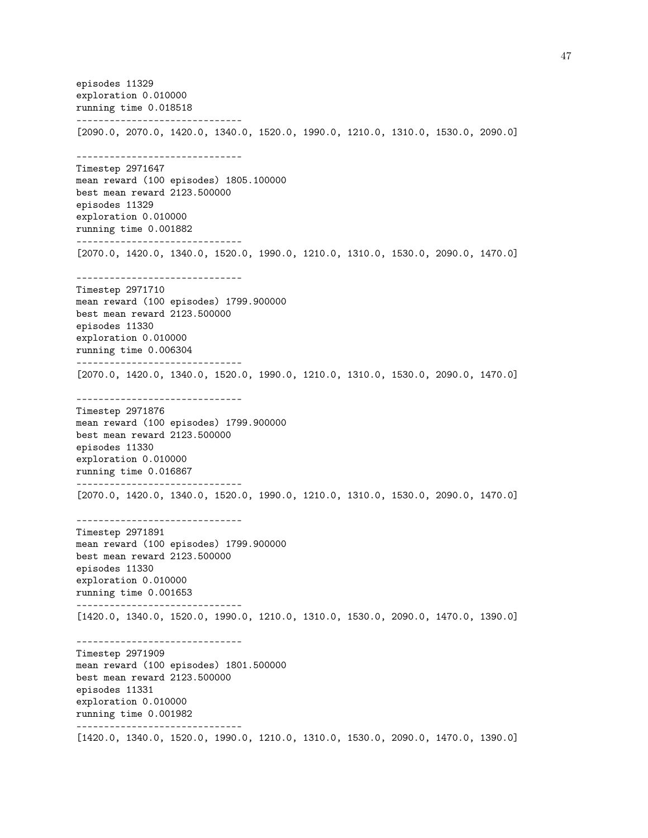episodes 11329 exploration 0.010000 running time 0.018518 ------------------------------ [2090.0, 2070.0, 1420.0, 1340.0, 1520.0, 1990.0, 1210.0, 1310.0, 1530.0, 2090.0] ------------------------------ Timestep 2971647 mean reward (100 episodes) 1805.100000 best mean reward 2123.500000 episodes 11329 exploration 0.010000 running time 0.001882 ------------------------------ [2070.0, 1420.0, 1340.0, 1520.0, 1990.0, 1210.0, 1310.0, 1530.0, 2090.0, 1470.0] ------------------------------ Timestep 2971710 mean reward (100 episodes) 1799.900000 best mean reward 2123.500000 episodes 11330 exploration 0.010000 running time 0.006304 ------------------------------ [2070.0, 1420.0, 1340.0, 1520.0, 1990.0, 1210.0, 1310.0, 1530.0, 2090.0, 1470.0] ------------------------------ Timestep 2971876 mean reward (100 episodes) 1799.900000 best mean reward 2123.500000 episodes 11330 exploration 0.010000 running time 0.016867 ------------------------------ [2070.0, 1420.0, 1340.0, 1520.0, 1990.0, 1210.0, 1310.0, 1530.0, 2090.0, 1470.0] ------------------------------ Timestep 2971891 mean reward (100 episodes) 1799.900000 best mean reward 2123.500000 episodes 11330 exploration 0.010000 running time 0.001653 ------------------------------ [1420.0, 1340.0, 1520.0, 1990.0, 1210.0, 1310.0, 1530.0, 2090.0, 1470.0, 1390.0] ------------------------------ Timestep 2971909 mean reward (100 episodes) 1801.500000 best mean reward 2123.500000 episodes 11331 exploration 0.010000 running time 0.001982 ------------------------------ [1420.0, 1340.0, 1520.0, 1990.0, 1210.0, 1310.0, 1530.0, 2090.0, 1470.0, 1390.0]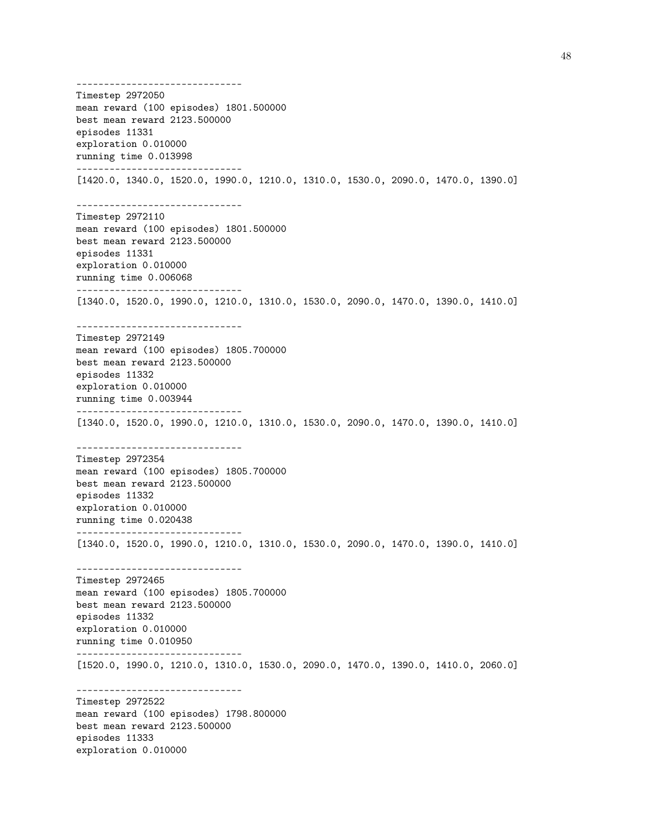------------------------------ Timestep 2972050 mean reward (100 episodes) 1801.500000 best mean reward 2123.500000 episodes 11331 exploration 0.010000 running time 0.013998 ------------------------------ [1420.0, 1340.0, 1520.0, 1990.0, 1210.0, 1310.0, 1530.0, 2090.0, 1470.0, 1390.0] ------------------------------ Timestep 2972110 mean reward (100 episodes) 1801.500000 best mean reward 2123.500000 episodes 11331 exploration 0.010000 running time 0.006068 ------------------------------ [1340.0, 1520.0, 1990.0, 1210.0, 1310.0, 1530.0, 2090.0, 1470.0, 1390.0, 1410.0] ------------------------------ Timestep 2972149 mean reward (100 episodes) 1805.700000 best mean reward 2123.500000 episodes 11332 exploration 0.010000 running time 0.003944 ------------------------------ [1340.0, 1520.0, 1990.0, 1210.0, 1310.0, 1530.0, 2090.0, 1470.0, 1390.0, 1410.0] ------------------------------ Timestep 2972354 mean reward (100 episodes) 1805.700000 best mean reward 2123.500000 episodes 11332 exploration 0.010000 running time 0.020438 ------------------------------ [1340.0, 1520.0, 1990.0, 1210.0, 1310.0, 1530.0, 2090.0, 1470.0, 1390.0, 1410.0] ------------------------------ Timestep 2972465 mean reward (100 episodes) 1805.700000 best mean reward 2123.500000 episodes 11332 exploration 0.010000 running time 0.010950 ------------------------------ [1520.0, 1990.0, 1210.0, 1310.0, 1530.0, 2090.0, 1470.0, 1390.0, 1410.0, 2060.0] ------------------------------ Timestep 2972522 mean reward (100 episodes) 1798.800000 best mean reward 2123.500000 episodes 11333 exploration 0.010000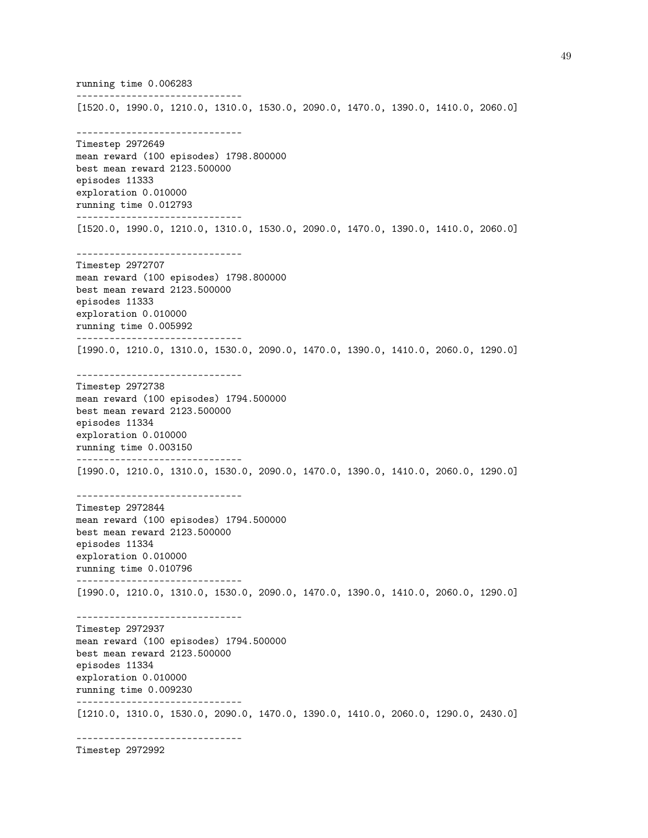running time 0.006283 ------------------------------ [1520.0, 1990.0, 1210.0, 1310.0, 1530.0, 2090.0, 1470.0, 1390.0, 1410.0, 2060.0] ------------------------------ Timestep 2972649 mean reward (100 episodes) 1798.800000 best mean reward 2123.500000 episodes 11333 exploration 0.010000 running time 0.012793 ------------------------------ [1520.0, 1990.0, 1210.0, 1310.0, 1530.0, 2090.0, 1470.0, 1390.0, 1410.0, 2060.0] ------------------------------ Timestep 2972707 mean reward (100 episodes) 1798.800000 best mean reward 2123.500000 episodes 11333 exploration 0.010000 running time 0.005992 ------------------------------ [1990.0, 1210.0, 1310.0, 1530.0, 2090.0, 1470.0, 1390.0, 1410.0, 2060.0, 1290.0] ------------------------------ Timestep 2972738 mean reward (100 episodes) 1794.500000 best mean reward 2123.500000 episodes 11334 exploration 0.010000 running time 0.003150 ------------------------------ [1990.0, 1210.0, 1310.0, 1530.0, 2090.0, 1470.0, 1390.0, 1410.0, 2060.0, 1290.0] ------------------------------ Timestep 2972844 mean reward (100 episodes) 1794.500000 best mean reward 2123.500000 episodes 11334 exploration 0.010000 running time 0.010796 ------------------------------ [1990.0, 1210.0, 1310.0, 1530.0, 2090.0, 1470.0, 1390.0, 1410.0, 2060.0, 1290.0] ------------------------------ Timestep 2972937 mean reward (100 episodes) 1794.500000 best mean reward 2123.500000 episodes 11334 exploration 0.010000 running time 0.009230 ------------------------------ [1210.0, 1310.0, 1530.0, 2090.0, 1470.0, 1390.0, 1410.0, 2060.0, 1290.0, 2430.0] ------------------------------

Timestep 2972992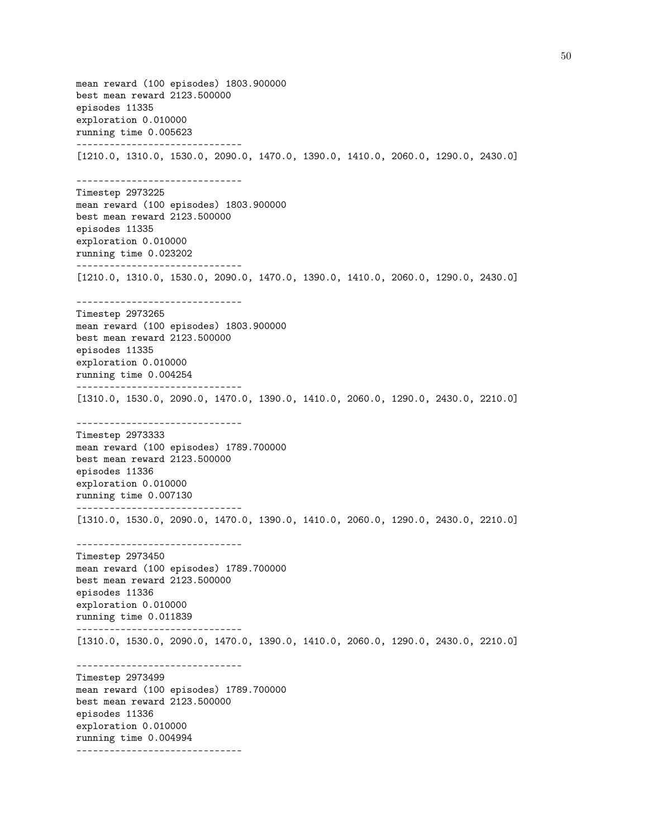mean reward (100 episodes) 1803.900000 best mean reward 2123.500000 episodes 11335 exploration 0.010000 running time 0.005623 ------------------------------ [1210.0, 1310.0, 1530.0, 2090.0, 1470.0, 1390.0, 1410.0, 2060.0, 1290.0, 2430.0] ------------------------------ Timestep 2973225 mean reward (100 episodes) 1803.900000 best mean reward 2123.500000 episodes 11335 exploration 0.010000 running time 0.023202 ------------------------------ [1210.0, 1310.0, 1530.0, 2090.0, 1470.0, 1390.0, 1410.0, 2060.0, 1290.0, 2430.0] ------------------------------ Timestep 2973265 mean reward (100 episodes) 1803.900000 best mean reward 2123.500000 episodes 11335 exploration 0.010000 running time 0.004254 ------------------------------ [1310.0, 1530.0, 2090.0, 1470.0, 1390.0, 1410.0, 2060.0, 1290.0, 2430.0, 2210.0] ------------------------------ Timestep 2973333 mean reward (100 episodes) 1789.700000 best mean reward 2123.500000 episodes 11336 exploration 0.010000 running time 0.007130 ------------------------------ [1310.0, 1530.0, 2090.0, 1470.0, 1390.0, 1410.0, 2060.0, 1290.0, 2430.0, 2210.0] ------------------------------ Timestep 2973450 mean reward (100 episodes) 1789.700000 best mean reward 2123.500000 episodes 11336 exploration 0.010000 running time 0.011839 ------------------------------ [1310.0, 1530.0, 2090.0, 1470.0, 1390.0, 1410.0, 2060.0, 1290.0, 2430.0, 2210.0] ------------------------------ Timestep 2973499 mean reward (100 episodes) 1789.700000 best mean reward 2123.500000 episodes 11336 exploration 0.010000 running time 0.004994 ------------------------------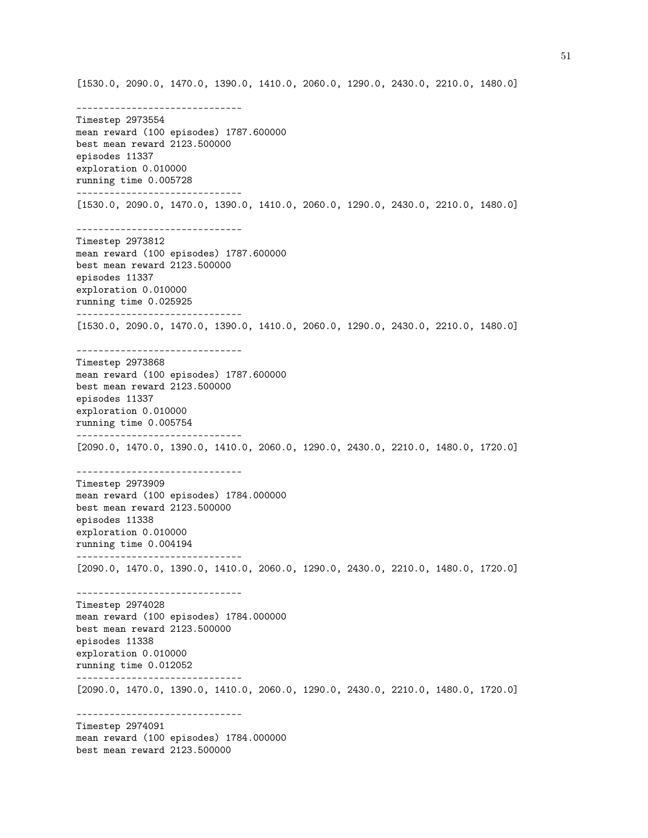------------------------------ Timestep 2973554 mean reward (100 episodes) 1787.600000 best mean reward 2123.500000 episodes 11337 exploration 0.010000 running time 0.005728 ------------------------------ [1530.0, 2090.0, 1470.0, 1390.0, 1410.0, 2060.0, 1290.0, 2430.0, 2210.0, 1480.0] ------------------------------ Timestep 2973812 mean reward (100 episodes) 1787.600000 best mean reward 2123.500000 episodes 11337 exploration 0.010000 running time 0.025925 ------------------------------ [1530.0, 2090.0, 1470.0, 1390.0, 1410.0, 2060.0, 1290.0, 2430.0, 2210.0, 1480.0] ------------------------------ Timestep 2973868 mean reward (100 episodes) 1787.600000 best mean reward 2123.500000 episodes 11337 exploration 0.010000 running time 0.005754 ------------------------------ [2090.0, 1470.0, 1390.0, 1410.0, 2060.0, 1290.0, 2430.0, 2210.0, 1480.0, 1720.0] ------------------------------ Timestep 2973909 mean reward (100 episodes) 1784.000000 best mean reward 2123.500000 episodes 11338 exploration 0.010000 running time 0.004194 ------------------------------ [2090.0, 1470.0, 1390.0, 1410.0, 2060.0, 1290.0, 2430.0, 2210.0, 1480.0, 1720.0] ------------------------------ Timestep 2974028 mean reward (100 episodes) 1784.000000 best mean reward 2123.500000 episodes 11338 exploration 0.010000 running time 0.012052 ------------------------------ [2090.0, 1470.0, 1390.0, 1410.0, 2060.0, 1290.0, 2430.0, 2210.0, 1480.0, 1720.0] ------------------------------ Timestep 2974091 mean reward (100 episodes) 1784.000000 best mean reward 2123.500000

[1530.0, 2090.0, 1470.0, 1390.0, 1410.0, 2060.0, 1290.0, 2430.0, 2210.0, 1480.0]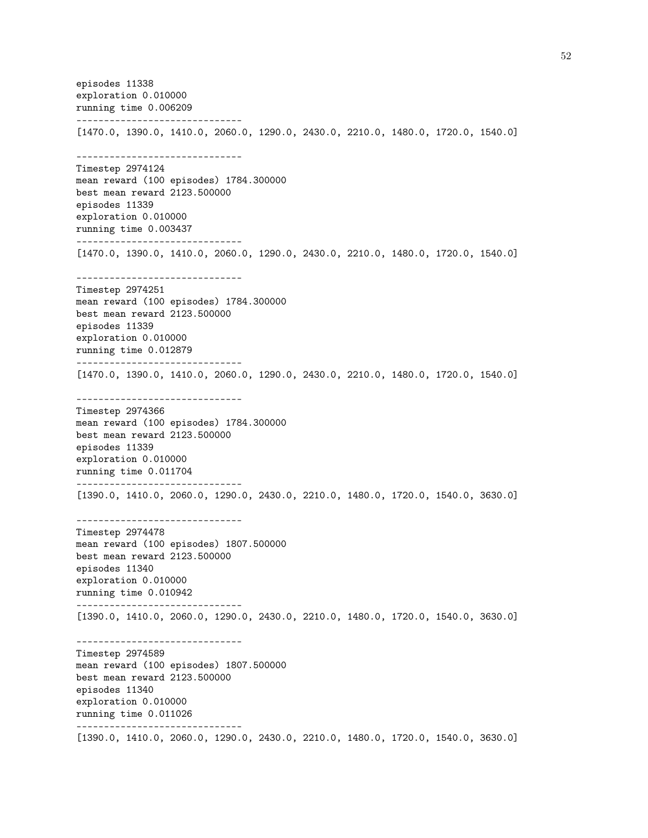episodes 11338 exploration 0.010000 running time 0.006209 ------------------------------ [1470.0, 1390.0, 1410.0, 2060.0, 1290.0, 2430.0, 2210.0, 1480.0, 1720.0, 1540.0] ------------------------------ Timestep 2974124 mean reward (100 episodes) 1784.300000 best mean reward 2123.500000 episodes 11339 exploration 0.010000 running time 0.003437 ------------------------------ [1470.0, 1390.0, 1410.0, 2060.0, 1290.0, 2430.0, 2210.0, 1480.0, 1720.0, 1540.0] ------------------------------ Timestep 2974251 mean reward (100 episodes) 1784.300000 best mean reward 2123.500000 episodes 11339 exploration 0.010000 running time 0.012879 ------------------------------ [1470.0, 1390.0, 1410.0, 2060.0, 1290.0, 2430.0, 2210.0, 1480.0, 1720.0, 1540.0] ------------------------------ Timestep 2974366 mean reward (100 episodes) 1784.300000 best mean reward 2123.500000 episodes 11339 exploration 0.010000 running time 0.011704 ------------------------------ [1390.0, 1410.0, 2060.0, 1290.0, 2430.0, 2210.0, 1480.0, 1720.0, 1540.0, 3630.0] ------------------------------ Timestep 2974478 mean reward (100 episodes) 1807.500000 best mean reward 2123.500000 episodes 11340 exploration 0.010000 running time 0.010942 ------------------------------ [1390.0, 1410.0, 2060.0, 1290.0, 2430.0, 2210.0, 1480.0, 1720.0, 1540.0, 3630.0] ------------------------------ Timestep 2974589 mean reward (100 episodes) 1807.500000 best mean reward 2123.500000 episodes 11340 exploration 0.010000 running time 0.011026 ------------------------------ [1390.0, 1410.0, 2060.0, 1290.0, 2430.0, 2210.0, 1480.0, 1720.0, 1540.0, 3630.0]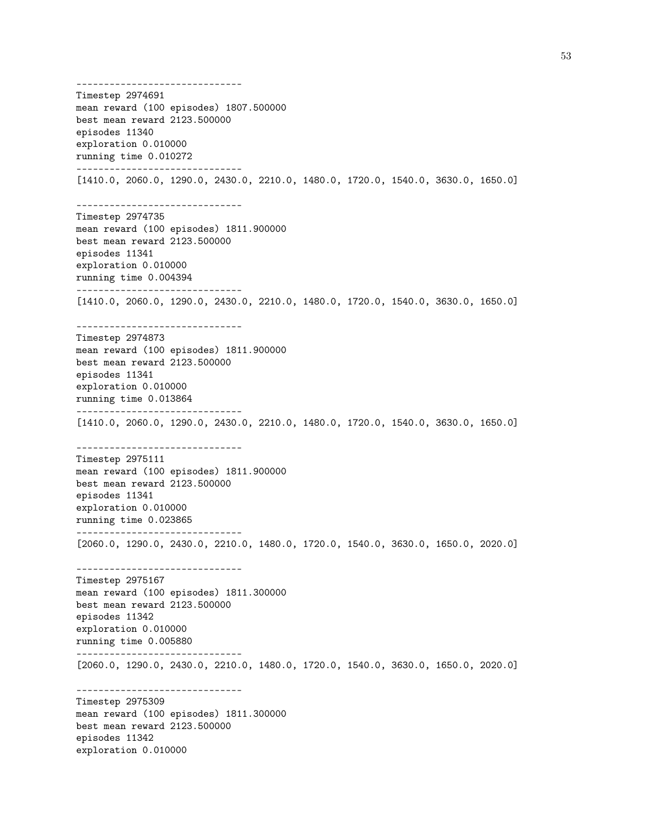------------------------------ Timestep 2974691 mean reward (100 episodes) 1807.500000 best mean reward 2123.500000 episodes 11340 exploration 0.010000 running time 0.010272 ------------------------------ [1410.0, 2060.0, 1290.0, 2430.0, 2210.0, 1480.0, 1720.0, 1540.0, 3630.0, 1650.0] ------------------------------ Timestep 2974735 mean reward (100 episodes) 1811.900000 best mean reward 2123.500000 episodes 11341 exploration 0.010000 running time 0.004394 ------------------------------ [1410.0, 2060.0, 1290.0, 2430.0, 2210.0, 1480.0, 1720.0, 1540.0, 3630.0, 1650.0] ------------------------------ Timestep 2974873 mean reward (100 episodes) 1811.900000 best mean reward 2123.500000 episodes 11341 exploration 0.010000 running time 0.013864 ------------------------------ [1410.0, 2060.0, 1290.0, 2430.0, 2210.0, 1480.0, 1720.0, 1540.0, 3630.0, 1650.0] ------------------------------ Timestep 2975111 mean reward (100 episodes) 1811.900000 best mean reward 2123.500000 episodes 11341 exploration 0.010000 running time 0.023865 ------------------------------ [2060.0, 1290.0, 2430.0, 2210.0, 1480.0, 1720.0, 1540.0, 3630.0, 1650.0, 2020.0] ------------------------------ Timestep 2975167 mean reward (100 episodes) 1811.300000 best mean reward 2123.500000 episodes 11342 exploration 0.010000 running time 0.005880 ------------------------------ [2060.0, 1290.0, 2430.0, 2210.0, 1480.0, 1720.0, 1540.0, 3630.0, 1650.0, 2020.0] ------------------------------ Timestep 2975309 mean reward (100 episodes) 1811.300000 best mean reward 2123.500000 episodes 11342 exploration 0.010000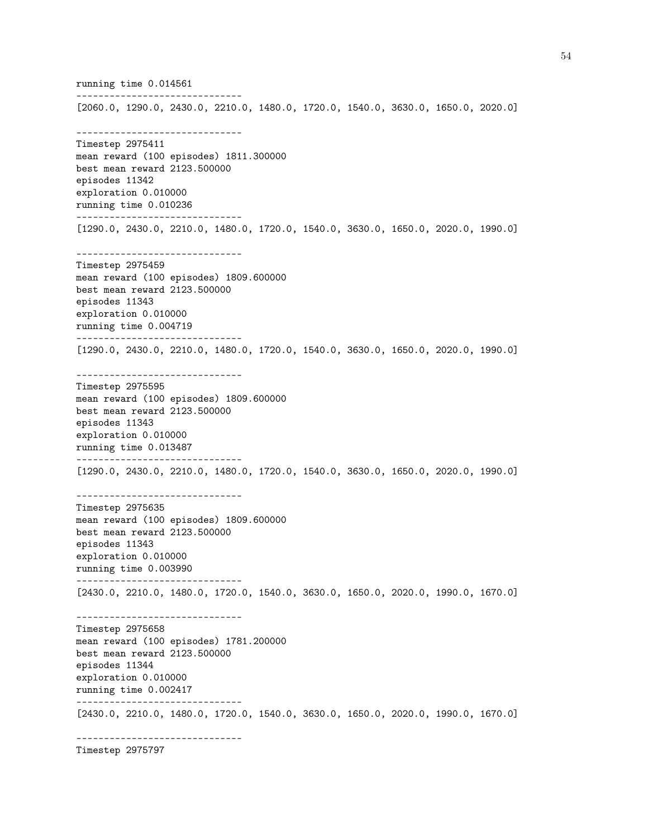running time 0.014561 ------------------------------ [2060.0, 1290.0, 2430.0, 2210.0, 1480.0, 1720.0, 1540.0, 3630.0, 1650.0, 2020.0] ------------------------------ Timestep 2975411 mean reward (100 episodes) 1811.300000 best mean reward 2123.500000 episodes 11342 exploration 0.010000 running time 0.010236 ------------------------------ [1290.0, 2430.0, 2210.0, 1480.0, 1720.0, 1540.0, 3630.0, 1650.0, 2020.0, 1990.0] ------------------------------ Timestep 2975459 mean reward (100 episodes) 1809.600000 best mean reward 2123.500000 episodes 11343 exploration 0.010000 running time 0.004719 ------------------------------ [1290.0, 2430.0, 2210.0, 1480.0, 1720.0, 1540.0, 3630.0, 1650.0, 2020.0, 1990.0] ------------------------------ Timestep 2975595 mean reward (100 episodes) 1809.600000 best mean reward 2123.500000 episodes 11343 exploration 0.010000 running time 0.013487 ------------------------------ [1290.0, 2430.0, 2210.0, 1480.0, 1720.0, 1540.0, 3630.0, 1650.0, 2020.0, 1990.0] ------------------------------ Timestep 2975635 mean reward (100 episodes) 1809.600000 best mean reward 2123.500000 episodes 11343 exploration 0.010000 running time 0.003990 ------------------------------ [2430.0, 2210.0, 1480.0, 1720.0, 1540.0, 3630.0, 1650.0, 2020.0, 1990.0, 1670.0] ------------------------------ Timestep 2975658 mean reward (100 episodes) 1781.200000 best mean reward 2123.500000 episodes 11344 exploration 0.010000 running time 0.002417 ------------------------------ [2430.0, 2210.0, 1480.0, 1720.0, 1540.0, 3630.0, 1650.0, 2020.0, 1990.0, 1670.0] ------------------------------

Timestep 2975797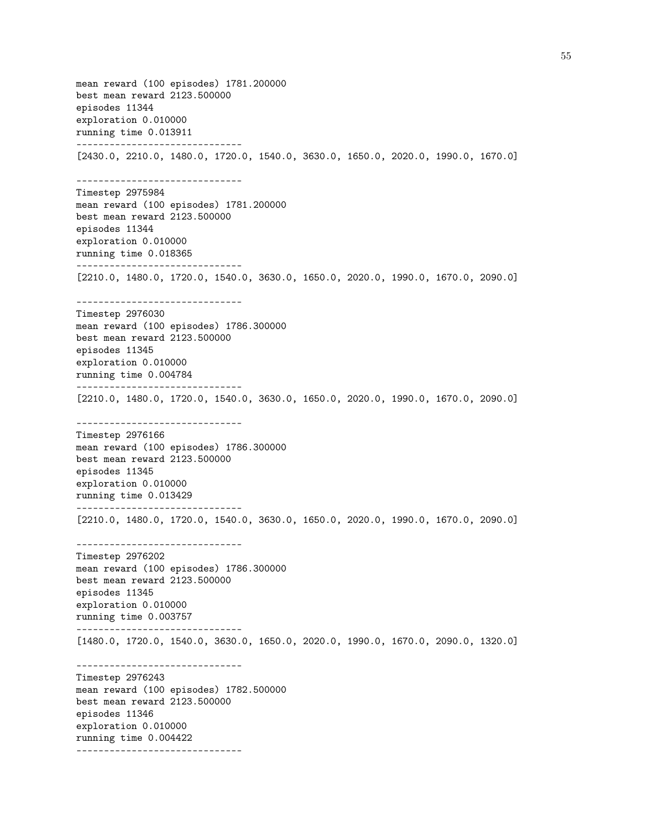mean reward (100 episodes) 1781.200000 best mean reward 2123.500000 episodes 11344 exploration 0.010000 running time 0.013911 ------------------------------ [2430.0, 2210.0, 1480.0, 1720.0, 1540.0, 3630.0, 1650.0, 2020.0, 1990.0, 1670.0] ------------------------------ Timestep 2975984 mean reward (100 episodes) 1781.200000 best mean reward 2123.500000 episodes 11344 exploration 0.010000 running time 0.018365 ------------------------------ [2210.0, 1480.0, 1720.0, 1540.0, 3630.0, 1650.0, 2020.0, 1990.0, 1670.0, 2090.0] ------------------------------ Timestep 2976030 mean reward (100 episodes) 1786.300000 best mean reward 2123.500000 episodes 11345 exploration 0.010000 running time 0.004784 ------------------------------ [2210.0, 1480.0, 1720.0, 1540.0, 3630.0, 1650.0, 2020.0, 1990.0, 1670.0, 2090.0] ------------------------------ Timestep 2976166 mean reward (100 episodes) 1786.300000 best mean reward 2123.500000 episodes 11345 exploration 0.010000 running time 0.013429 ------------------------------ [2210.0, 1480.0, 1720.0, 1540.0, 3630.0, 1650.0, 2020.0, 1990.0, 1670.0, 2090.0] ------------------------------ Timestep 2976202 mean reward (100 episodes) 1786.300000 best mean reward 2123.500000 episodes 11345 exploration 0.010000 running time 0.003757 ------------------------------ [1480.0, 1720.0, 1540.0, 3630.0, 1650.0, 2020.0, 1990.0, 1670.0, 2090.0, 1320.0] ------------------------------ Timestep 2976243 mean reward (100 episodes) 1782.500000 best mean reward 2123.500000 episodes 11346 exploration 0.010000 running time 0.004422 ------------------------------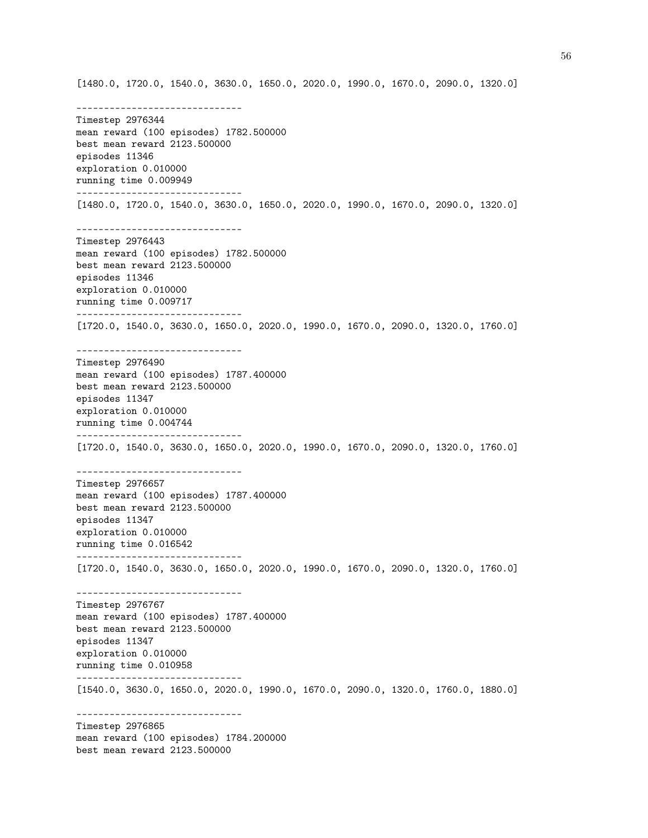[1480.0, 1720.0, 1540.0, 3630.0, 1650.0, 2020.0, 1990.0, 1670.0, 2090.0, 1320.0] ------------------------------ Timestep 2976344 mean reward (100 episodes) 1782.500000 best mean reward 2123.500000 episodes 11346 exploration 0.010000 running time 0.009949 ------------------------------ [1480.0, 1720.0, 1540.0, 3630.0, 1650.0, 2020.0, 1990.0, 1670.0, 2090.0, 1320.0] ------------------------------ Timestep 2976443 mean reward (100 episodes) 1782.500000 best mean reward 2123.500000 episodes 11346 exploration 0.010000 running time 0.009717 ------------------------------ [1720.0, 1540.0, 3630.0, 1650.0, 2020.0, 1990.0, 1670.0, 2090.0, 1320.0, 1760.0] ------------------------------ Timestep 2976490 mean reward (100 episodes) 1787.400000 best mean reward 2123.500000 episodes 11347 exploration 0.010000 running time 0.004744 ------------------------------ [1720.0, 1540.0, 3630.0, 1650.0, 2020.0, 1990.0, 1670.0, 2090.0, 1320.0, 1760.0] ------------------------------ Timestep 2976657 mean reward (100 episodes) 1787.400000 best mean reward 2123.500000 episodes 11347 exploration 0.010000 running time 0.016542 ------------------------------ [1720.0, 1540.0, 3630.0, 1650.0, 2020.0, 1990.0, 1670.0, 2090.0, 1320.0, 1760.0] ------------------------------ Timestep 2976767 mean reward (100 episodes) 1787.400000 best mean reward 2123.500000 episodes 11347 exploration 0.010000 running time 0.010958 ------------------------------ [1540.0, 3630.0, 1650.0, 2020.0, 1990.0, 1670.0, 2090.0, 1320.0, 1760.0, 1880.0] ------------------------------ Timestep 2976865 mean reward (100 episodes) 1784.200000 best mean reward 2123.500000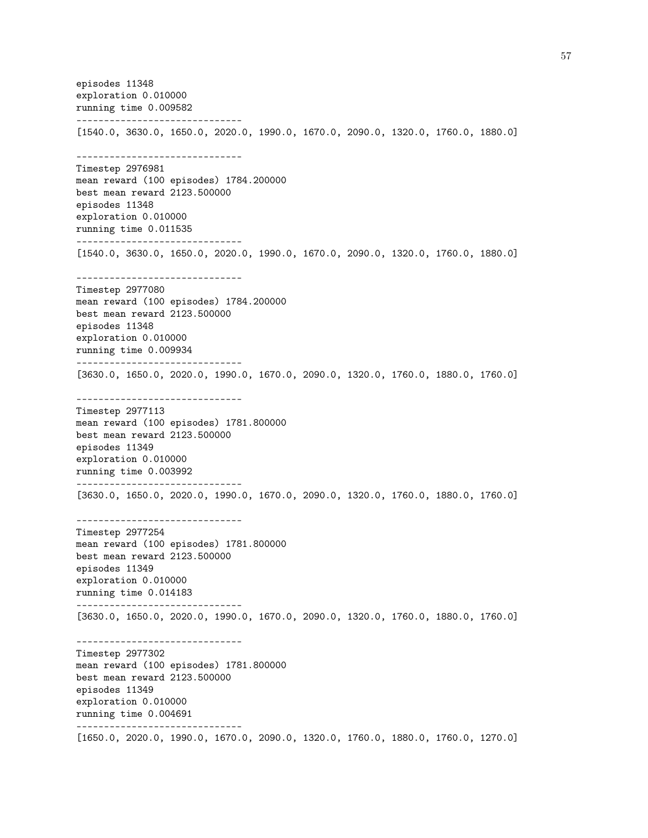episodes 11348 exploration 0.010000 running time 0.009582 ------------------------------ [1540.0, 3630.0, 1650.0, 2020.0, 1990.0, 1670.0, 2090.0, 1320.0, 1760.0, 1880.0] ------------------------------ Timestep 2976981 mean reward (100 episodes) 1784.200000 best mean reward 2123.500000 episodes 11348 exploration 0.010000 running time 0.011535 ------------------------------ [1540.0, 3630.0, 1650.0, 2020.0, 1990.0, 1670.0, 2090.0, 1320.0, 1760.0, 1880.0] ------------------------------ Timestep 2977080 mean reward (100 episodes) 1784.200000 best mean reward 2123.500000 episodes 11348 exploration 0.010000 running time 0.009934 ------------------------------ [3630.0, 1650.0, 2020.0, 1990.0, 1670.0, 2090.0, 1320.0, 1760.0, 1880.0, 1760.0] ------------------------------ Timestep 2977113 mean reward (100 episodes) 1781.800000 best mean reward 2123.500000 episodes 11349 exploration 0.010000 running time 0.003992 ------------------------------ [3630.0, 1650.0, 2020.0, 1990.0, 1670.0, 2090.0, 1320.0, 1760.0, 1880.0, 1760.0] ------------------------------ Timestep 2977254 mean reward (100 episodes) 1781.800000 best mean reward 2123.500000 episodes 11349 exploration 0.010000 running time 0.014183 ------------------------------ [3630.0, 1650.0, 2020.0, 1990.0, 1670.0, 2090.0, 1320.0, 1760.0, 1880.0, 1760.0] ------------------------------ Timestep 2977302 mean reward (100 episodes) 1781.800000 best mean reward 2123.500000 episodes 11349 exploration 0.010000 running time 0.004691 ------------------------------ [1650.0, 2020.0, 1990.0, 1670.0, 2090.0, 1320.0, 1760.0, 1880.0, 1760.0, 1270.0]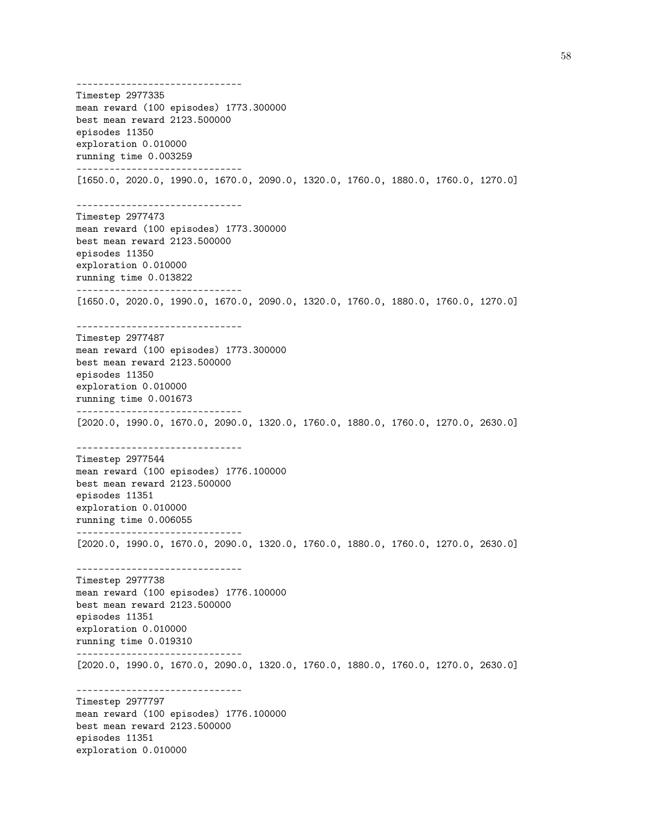------------------------------ Timestep 2977335 mean reward (100 episodes) 1773.300000 best mean reward 2123.500000 episodes 11350 exploration 0.010000 running time 0.003259 ------------------------------ [1650.0, 2020.0, 1990.0, 1670.0, 2090.0, 1320.0, 1760.0, 1880.0, 1760.0, 1270.0] ------------------------------ Timestep 2977473 mean reward (100 episodes) 1773.300000 best mean reward 2123.500000 episodes 11350 exploration 0.010000 running time 0.013822 ------------------------------ [1650.0, 2020.0, 1990.0, 1670.0, 2090.0, 1320.0, 1760.0, 1880.0, 1760.0, 1270.0] ------------------------------ Timestep 2977487 mean reward (100 episodes) 1773.300000 best mean reward 2123.500000 episodes 11350 exploration 0.010000 running time 0.001673 ------------------------------ [2020.0, 1990.0, 1670.0, 2090.0, 1320.0, 1760.0, 1880.0, 1760.0, 1270.0, 2630.0] ------------------------------ Timestep 2977544 mean reward (100 episodes) 1776.100000 best mean reward 2123.500000 episodes 11351 exploration 0.010000 running time 0.006055 ------------------------------ [2020.0, 1990.0, 1670.0, 2090.0, 1320.0, 1760.0, 1880.0, 1760.0, 1270.0, 2630.0] ------------------------------ Timestep 2977738 mean reward (100 episodes) 1776.100000 best mean reward 2123.500000 episodes 11351 exploration 0.010000 running time 0.019310 ------------------------------ [2020.0, 1990.0, 1670.0, 2090.0, 1320.0, 1760.0, 1880.0, 1760.0, 1270.0, 2630.0] ------------------------------ Timestep 2977797 mean reward (100 episodes) 1776.100000 best mean reward 2123.500000 episodes 11351 exploration 0.010000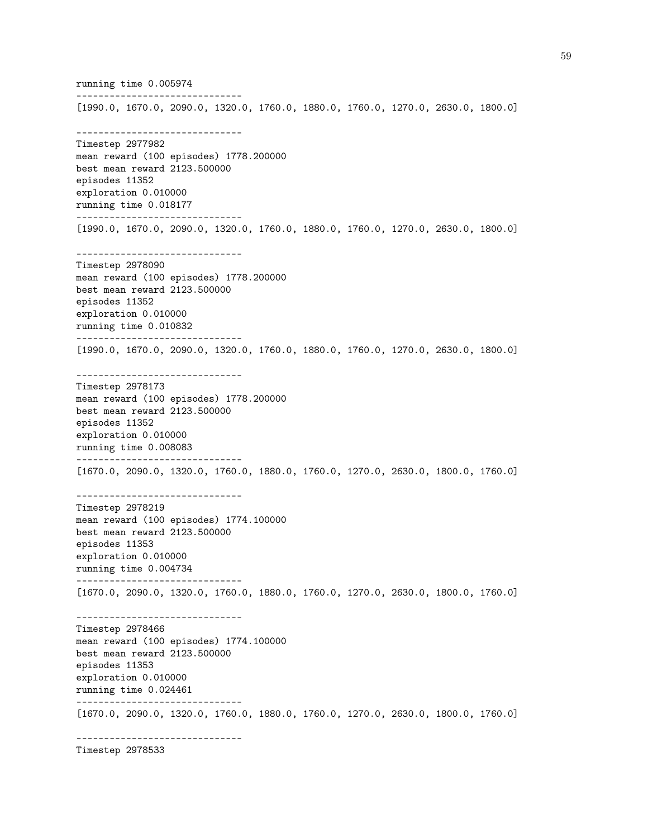running time 0.005974 ------------------------------ [1990.0, 1670.0, 2090.0, 1320.0, 1760.0, 1880.0, 1760.0, 1270.0, 2630.0, 1800.0] ------------------------------ Timestep 2977982 mean reward (100 episodes) 1778.200000 best mean reward 2123.500000 episodes 11352 exploration 0.010000 running time 0.018177 ------------------------------ [1990.0, 1670.0, 2090.0, 1320.0, 1760.0, 1880.0, 1760.0, 1270.0, 2630.0, 1800.0] ------------------------------ Timestep 2978090 mean reward (100 episodes) 1778.200000 best mean reward 2123.500000 episodes 11352 exploration 0.010000 running time 0.010832 ------------------------------ [1990.0, 1670.0, 2090.0, 1320.0, 1760.0, 1880.0, 1760.0, 1270.0, 2630.0, 1800.0] ------------------------------ Timestep 2978173 mean reward (100 episodes) 1778.200000 best mean reward 2123.500000 episodes 11352 exploration 0.010000 running time 0.008083 ------------------------------ [1670.0, 2090.0, 1320.0, 1760.0, 1880.0, 1760.0, 1270.0, 2630.0, 1800.0, 1760.0] ------------------------------ Timestep 2978219 mean reward (100 episodes) 1774.100000 best mean reward 2123.500000 episodes 11353 exploration 0.010000 running time 0.004734 ------------------------------ [1670.0, 2090.0, 1320.0, 1760.0, 1880.0, 1760.0, 1270.0, 2630.0, 1800.0, 1760.0] ------------------------------ Timestep 2978466 mean reward (100 episodes) 1774.100000 best mean reward 2123.500000 episodes 11353 exploration 0.010000 running time 0.024461 ------------------------------ [1670.0, 2090.0, 1320.0, 1760.0, 1880.0, 1760.0, 1270.0, 2630.0, 1800.0, 1760.0] ------------------------------

Timestep 2978533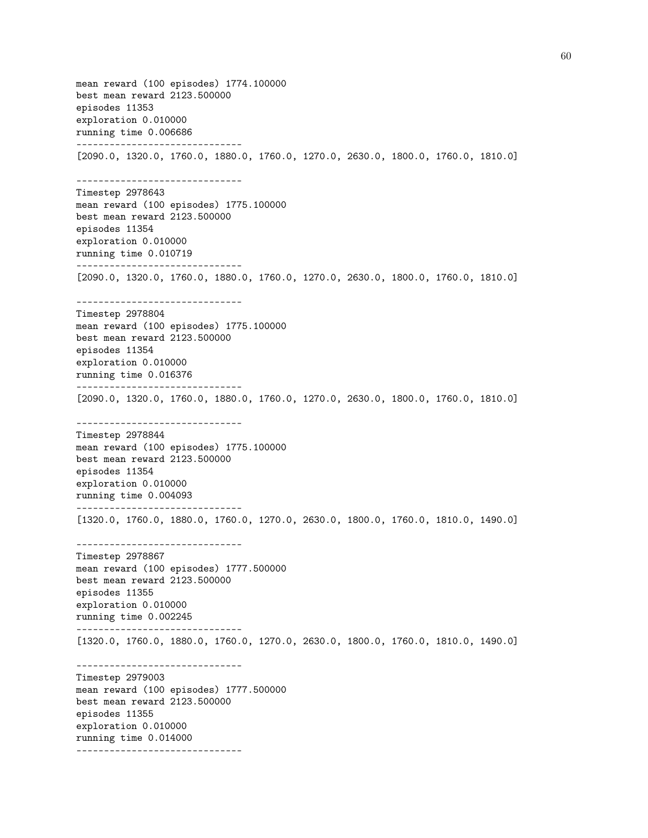mean reward (100 episodes) 1774.100000 best mean reward 2123.500000 episodes 11353 exploration 0.010000 running time 0.006686 ------------------------------ [2090.0, 1320.0, 1760.0, 1880.0, 1760.0, 1270.0, 2630.0, 1800.0, 1760.0, 1810.0] ------------------------------ Timestep 2978643 mean reward (100 episodes) 1775.100000 best mean reward 2123.500000 episodes 11354 exploration 0.010000 running time 0.010719 ------------------------------ [2090.0, 1320.0, 1760.0, 1880.0, 1760.0, 1270.0, 2630.0, 1800.0, 1760.0, 1810.0] ------------------------------ Timestep 2978804 mean reward (100 episodes) 1775.100000 best mean reward 2123.500000 episodes 11354 exploration 0.010000 running time 0.016376 ------------------------------ [2090.0, 1320.0, 1760.0, 1880.0, 1760.0, 1270.0, 2630.0, 1800.0, 1760.0, 1810.0] ------------------------------ Timestep 2978844 mean reward (100 episodes) 1775.100000 best mean reward 2123.500000 episodes 11354 exploration 0.010000 running time 0.004093 ------------------------------ [1320.0, 1760.0, 1880.0, 1760.0, 1270.0, 2630.0, 1800.0, 1760.0, 1810.0, 1490.0] ------------------------------ Timestep 2978867 mean reward (100 episodes) 1777.500000 best mean reward 2123.500000 episodes 11355 exploration 0.010000 running time 0.002245 ------------------------------ [1320.0, 1760.0, 1880.0, 1760.0, 1270.0, 2630.0, 1800.0, 1760.0, 1810.0, 1490.0] ------------------------------ Timestep 2979003 mean reward (100 episodes) 1777.500000 best mean reward 2123.500000 episodes 11355 exploration 0.010000 running time 0.014000 ------------------------------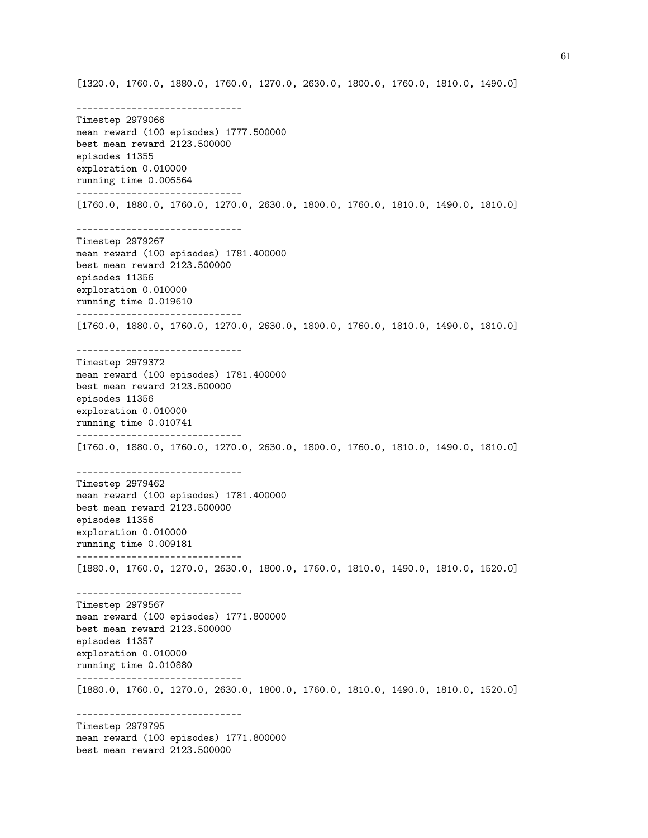[1320.0, 1760.0, 1880.0, 1760.0, 1270.0, 2630.0, 1800.0, 1760.0, 1810.0, 1490.0]

------------------------------ Timestep 2979066 mean reward (100 episodes) 1777.500000 best mean reward 2123.500000 episodes 11355 exploration 0.010000 running time 0.006564 ------------------------------ [1760.0, 1880.0, 1760.0, 1270.0, 2630.0, 1800.0, 1760.0, 1810.0, 1490.0, 1810.0] ------------------------------ Timestep 2979267 mean reward (100 episodes) 1781.400000 best mean reward 2123.500000 episodes 11356 exploration 0.010000 running time 0.019610 ------------------------------ [1760.0, 1880.0, 1760.0, 1270.0, 2630.0, 1800.0, 1760.0, 1810.0, 1490.0, 1810.0] ------------------------------ Timestep 2979372 mean reward (100 episodes) 1781.400000 best mean reward 2123.500000 episodes 11356 exploration 0.010000 running time 0.010741 ------------------------------ [1760.0, 1880.0, 1760.0, 1270.0, 2630.0, 1800.0, 1760.0, 1810.0, 1490.0, 1810.0] ------------------------------ Timestep 2979462 mean reward (100 episodes) 1781.400000 best mean reward 2123.500000 episodes 11356 exploration 0.010000 running time 0.009181 ------------------------------ [1880.0, 1760.0, 1270.0, 2630.0, 1800.0, 1760.0, 1810.0, 1490.0, 1810.0, 1520.0] ------------------------------ Timestep 2979567 mean reward (100 episodes) 1771.800000 best mean reward 2123.500000 episodes 11357 exploration 0.010000 running time 0.010880 ------------------------------ [1880.0, 1760.0, 1270.0, 2630.0, 1800.0, 1760.0, 1810.0, 1490.0, 1810.0, 1520.0] ------------------------------ Timestep 2979795 mean reward (100 episodes) 1771.800000 best mean reward 2123.500000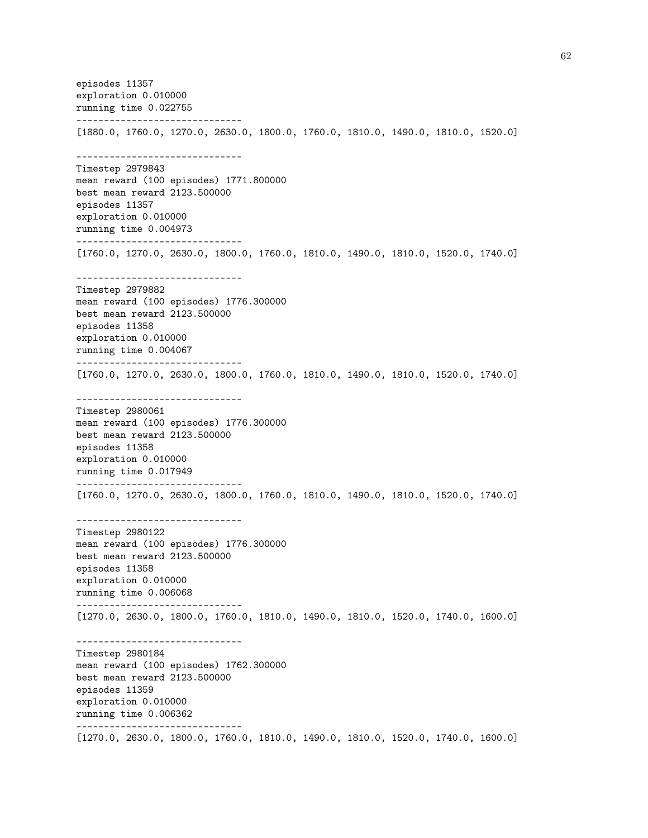episodes 11357 exploration 0.010000 running time 0.022755 ------------------------------ [1880.0, 1760.0, 1270.0, 2630.0, 1800.0, 1760.0, 1810.0, 1490.0, 1810.0, 1520.0] ------------------------------ Timestep 2979843 mean reward (100 episodes) 1771.800000 best mean reward 2123.500000 episodes 11357 exploration 0.010000 running time 0.004973 ------------------------------ [1760.0, 1270.0, 2630.0, 1800.0, 1760.0, 1810.0, 1490.0, 1810.0, 1520.0, 1740.0] ------------------------------ Timestep 2979882 mean reward (100 episodes) 1776.300000 best mean reward 2123.500000 episodes 11358 exploration 0.010000 running time 0.004067 ------------------------------ [1760.0, 1270.0, 2630.0, 1800.0, 1760.0, 1810.0, 1490.0, 1810.0, 1520.0, 1740.0] ------------------------------ Timestep 2980061 mean reward (100 episodes) 1776.300000 best mean reward 2123.500000 episodes 11358 exploration 0.010000 running time 0.017949 ------------------------------ [1760.0, 1270.0, 2630.0, 1800.0, 1760.0, 1810.0, 1490.0, 1810.0, 1520.0, 1740.0] ------------------------------ Timestep 2980122 mean reward (100 episodes) 1776.300000 best mean reward 2123.500000 episodes 11358 exploration 0.010000 running time 0.006068 ------------------------------ [1270.0, 2630.0, 1800.0, 1760.0, 1810.0, 1490.0, 1810.0, 1520.0, 1740.0, 1600.0] ------------------------------ Timestep 2980184 mean reward (100 episodes) 1762.300000 best mean reward 2123.500000 episodes 11359 exploration 0.010000 running time 0.006362 ------------------------------ [1270.0, 2630.0, 1800.0, 1760.0, 1810.0, 1490.0, 1810.0, 1520.0, 1740.0, 1600.0]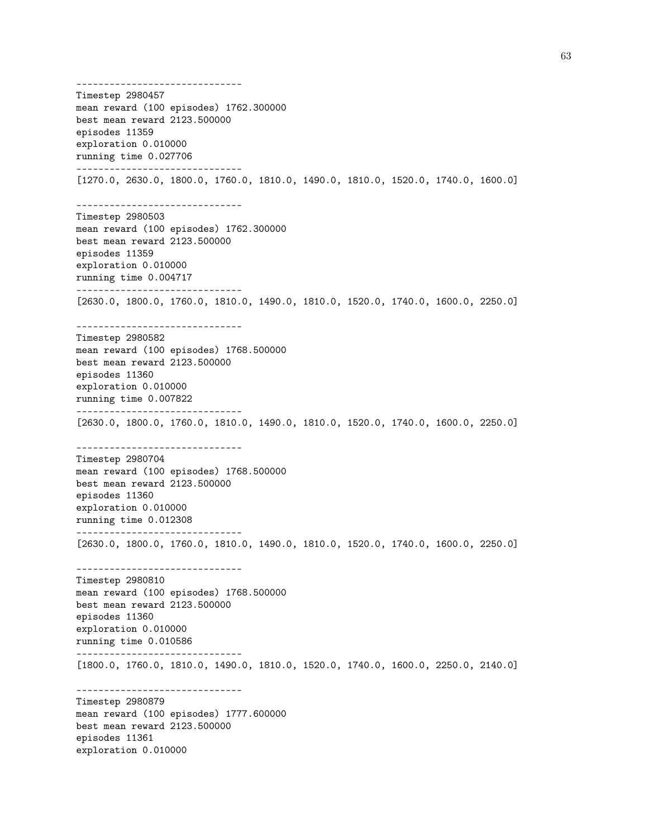------------------------------ Timestep 2980457 mean reward (100 episodes) 1762.300000 best mean reward 2123.500000 episodes 11359 exploration 0.010000 running time 0.027706 ------------------------------ [1270.0, 2630.0, 1800.0, 1760.0, 1810.0, 1490.0, 1810.0, 1520.0, 1740.0, 1600.0] ------------------------------ Timestep 2980503 mean reward (100 episodes) 1762.300000 best mean reward 2123.500000 episodes 11359 exploration 0.010000 running time 0.004717 ------------------------------ [2630.0, 1800.0, 1760.0, 1810.0, 1490.0, 1810.0, 1520.0, 1740.0, 1600.0, 2250.0] ------------------------------ Timestep 2980582 mean reward (100 episodes) 1768.500000 best mean reward 2123.500000 episodes 11360 exploration 0.010000 running time 0.007822 ------------------------------ [2630.0, 1800.0, 1760.0, 1810.0, 1490.0, 1810.0, 1520.0, 1740.0, 1600.0, 2250.0] ------------------------------ Timestep 2980704 mean reward (100 episodes) 1768.500000 best mean reward 2123.500000 episodes 11360 exploration 0.010000 running time 0.012308 ------------------------------ [2630.0, 1800.0, 1760.0, 1810.0, 1490.0, 1810.0, 1520.0, 1740.0, 1600.0, 2250.0] ------------------------------ Timestep 2980810 mean reward (100 episodes) 1768.500000 best mean reward 2123.500000 episodes 11360 exploration 0.010000 running time 0.010586 ------------------------------ [1800.0, 1760.0, 1810.0, 1490.0, 1810.0, 1520.0, 1740.0, 1600.0, 2250.0, 2140.0] ------------------------------ Timestep 2980879 mean reward (100 episodes) 1777.600000 best mean reward 2123.500000 episodes 11361 exploration 0.010000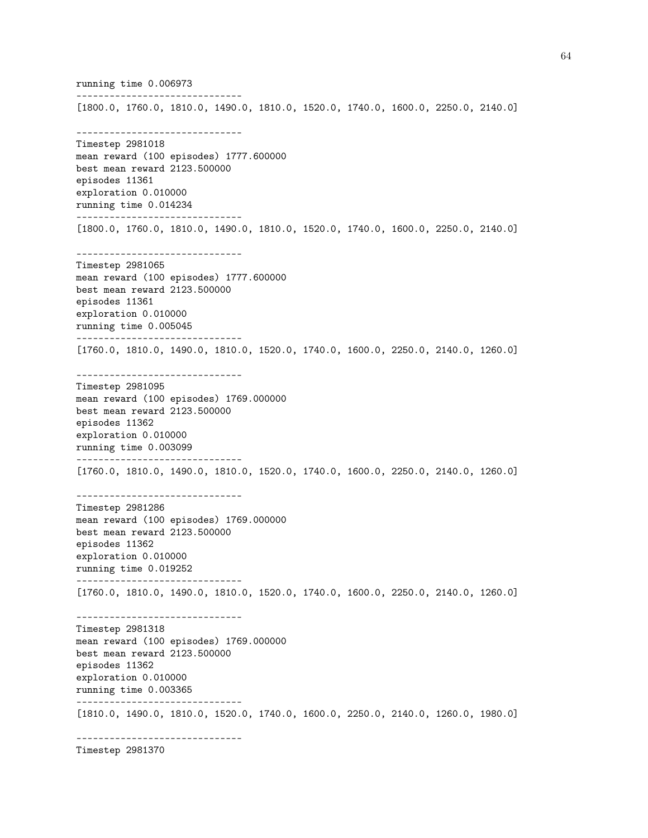running time 0.006973 ------------------------------ [1800.0, 1760.0, 1810.0, 1490.0, 1810.0, 1520.0, 1740.0, 1600.0, 2250.0, 2140.0] ------------------------------ Timestep 2981018 mean reward (100 episodes) 1777.600000 best mean reward 2123.500000 episodes 11361 exploration 0.010000 running time 0.014234 ------------------------------ [1800.0, 1760.0, 1810.0, 1490.0, 1810.0, 1520.0, 1740.0, 1600.0, 2250.0, 2140.0] ------------------------------ Timestep 2981065 mean reward (100 episodes) 1777.600000 best mean reward 2123.500000 episodes 11361 exploration 0.010000 running time 0.005045 ------------------------------ [1760.0, 1810.0, 1490.0, 1810.0, 1520.0, 1740.0, 1600.0, 2250.0, 2140.0, 1260.0] ------------------------------ Timestep 2981095 mean reward (100 episodes) 1769.000000 best mean reward 2123.500000 episodes 11362 exploration 0.010000 running time 0.003099 ------------------------------ [1760.0, 1810.0, 1490.0, 1810.0, 1520.0, 1740.0, 1600.0, 2250.0, 2140.0, 1260.0] ------------------------------ Timestep 2981286 mean reward (100 episodes) 1769.000000 best mean reward 2123.500000 episodes 11362 exploration 0.010000 running time 0.019252 ------------------------------ [1760.0, 1810.0, 1490.0, 1810.0, 1520.0, 1740.0, 1600.0, 2250.0, 2140.0, 1260.0] ------------------------------ Timestep 2981318 mean reward (100 episodes) 1769.000000 best mean reward 2123.500000 episodes 11362 exploration 0.010000 running time 0.003365 ------------------------------ [1810.0, 1490.0, 1810.0, 1520.0, 1740.0, 1600.0, 2250.0, 2140.0, 1260.0, 1980.0] ------------------------------

Timestep 2981370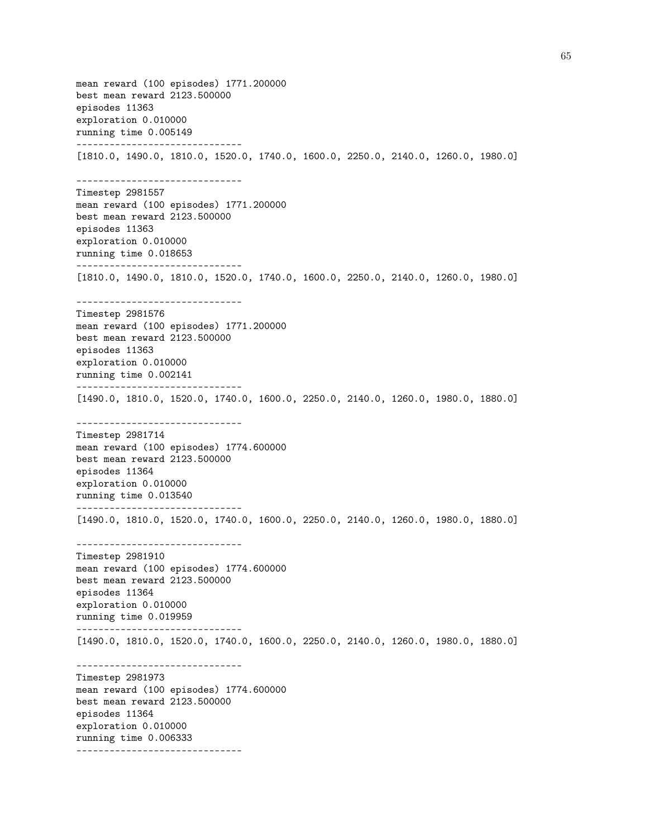mean reward (100 episodes) 1771.200000 best mean reward 2123.500000 episodes 11363 exploration 0.010000 running time 0.005149 ------------------------------ [1810.0, 1490.0, 1810.0, 1520.0, 1740.0, 1600.0, 2250.0, 2140.0, 1260.0, 1980.0] ------------------------------ Timestep 2981557 mean reward (100 episodes) 1771.200000 best mean reward 2123.500000 episodes 11363 exploration 0.010000 running time 0.018653 ------------------------------ [1810.0, 1490.0, 1810.0, 1520.0, 1740.0, 1600.0, 2250.0, 2140.0, 1260.0, 1980.0] ------------------------------ Timestep 2981576 mean reward (100 episodes) 1771.200000 best mean reward 2123.500000 episodes 11363 exploration 0.010000 running time 0.002141 ------------------------------ [1490.0, 1810.0, 1520.0, 1740.0, 1600.0, 2250.0, 2140.0, 1260.0, 1980.0, 1880.0] ------------------------------ Timestep 2981714 mean reward (100 episodes) 1774.600000 best mean reward 2123.500000 episodes 11364 exploration 0.010000 running time 0.013540 ------------------------------ [1490.0, 1810.0, 1520.0, 1740.0, 1600.0, 2250.0, 2140.0, 1260.0, 1980.0, 1880.0] ------------------------------ Timestep 2981910 mean reward (100 episodes) 1774.600000 best mean reward 2123.500000 episodes 11364 exploration 0.010000 running time 0.019959 ------------------------------ [1490.0, 1810.0, 1520.0, 1740.0, 1600.0, 2250.0, 2140.0, 1260.0, 1980.0, 1880.0] ------------------------------ Timestep 2981973 mean reward (100 episodes) 1774.600000 best mean reward 2123.500000 episodes 11364 exploration 0.010000 running time 0.006333 ------------------------------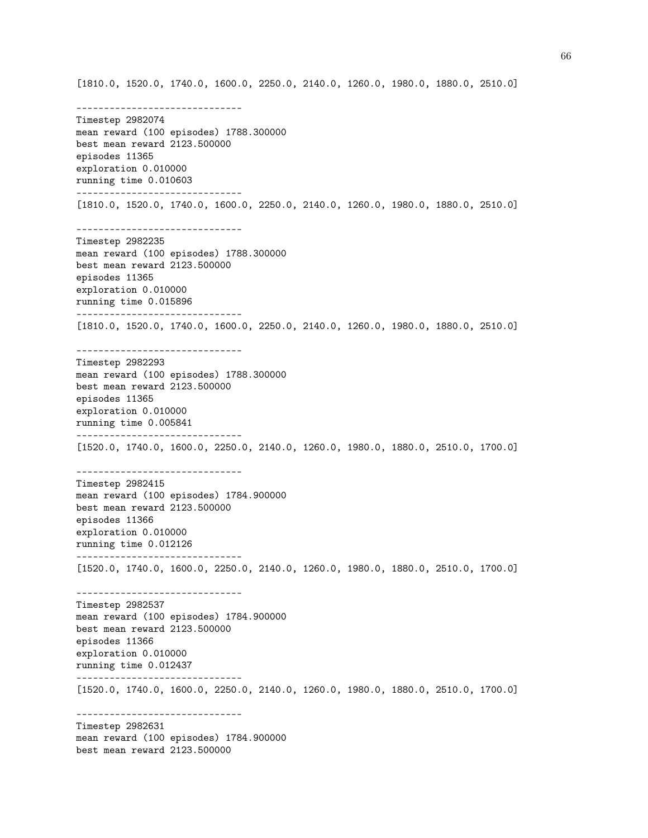[1810.0, 1520.0, 1740.0, 1600.0, 2250.0, 2140.0, 1260.0, 1980.0, 1880.0, 2510.0]

------------------------------ Timestep 2982074 mean reward (100 episodes) 1788.300000 best mean reward 2123.500000 episodes 11365 exploration 0.010000 running time 0.010603 ------------------------------ [1810.0, 1520.0, 1740.0, 1600.0, 2250.0, 2140.0, 1260.0, 1980.0, 1880.0, 2510.0] ------------------------------ Timestep 2982235 mean reward (100 episodes) 1788.300000 best mean reward 2123.500000 episodes 11365 exploration 0.010000 running time 0.015896 ------------------------------ [1810.0, 1520.0, 1740.0, 1600.0, 2250.0, 2140.0, 1260.0, 1980.0, 1880.0, 2510.0] ------------------------------ Timestep 2982293 mean reward (100 episodes) 1788.300000 best mean reward 2123.500000 episodes 11365 exploration 0.010000 running time 0.005841 ------------------------------ [1520.0, 1740.0, 1600.0, 2250.0, 2140.0, 1260.0, 1980.0, 1880.0, 2510.0, 1700.0] ------------------------------ Timestep 2982415 mean reward (100 episodes) 1784.900000 best mean reward 2123.500000 episodes 11366 exploration 0.010000 running time 0.012126 ------------------------------ [1520.0, 1740.0, 1600.0, 2250.0, 2140.0, 1260.0, 1980.0, 1880.0, 2510.0, 1700.0] ------------------------------ Timestep 2982537 mean reward (100 episodes) 1784.900000 best mean reward 2123.500000 episodes 11366 exploration 0.010000 running time 0.012437 ------------------------------ [1520.0, 1740.0, 1600.0, 2250.0, 2140.0, 1260.0, 1980.0, 1880.0, 2510.0, 1700.0] ------------------------------ Timestep 2982631 mean reward (100 episodes) 1784.900000 best mean reward 2123.500000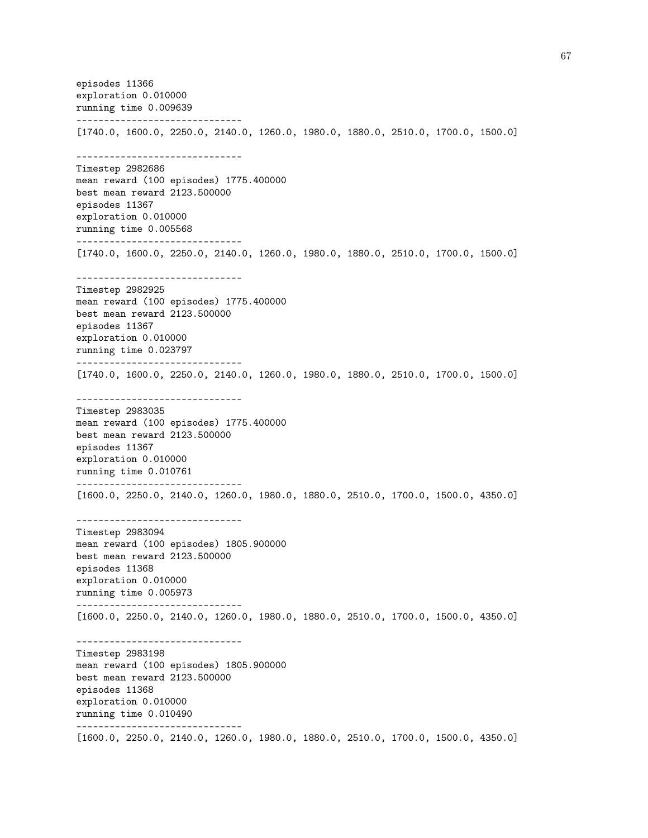episodes 11366 exploration 0.010000 running time 0.009639 ------------------------------ [1740.0, 1600.0, 2250.0, 2140.0, 1260.0, 1980.0, 1880.0, 2510.0, 1700.0, 1500.0] ------------------------------ Timestep 2982686 mean reward (100 episodes) 1775.400000 best mean reward 2123.500000 episodes 11367 exploration 0.010000 running time 0.005568 ------------------------------ [1740.0, 1600.0, 2250.0, 2140.0, 1260.0, 1980.0, 1880.0, 2510.0, 1700.0, 1500.0] ------------------------------ Timestep 2982925 mean reward (100 episodes) 1775.400000 best mean reward 2123.500000 episodes 11367 exploration 0.010000 running time 0.023797 ------------------------------ [1740.0, 1600.0, 2250.0, 2140.0, 1260.0, 1980.0, 1880.0, 2510.0, 1700.0, 1500.0] ------------------------------ Timestep 2983035 mean reward (100 episodes) 1775.400000 best mean reward 2123.500000 episodes 11367 exploration 0.010000 running time 0.010761 ------------------------------ [1600.0, 2250.0, 2140.0, 1260.0, 1980.0, 1880.0, 2510.0, 1700.0, 1500.0, 4350.0] ------------------------------ Timestep 2983094 mean reward (100 episodes) 1805.900000 best mean reward 2123.500000 episodes 11368 exploration 0.010000 running time 0.005973 ------------------------------ [1600.0, 2250.0, 2140.0, 1260.0, 1980.0, 1880.0, 2510.0, 1700.0, 1500.0, 4350.0] ------------------------------ Timestep 2983198 mean reward (100 episodes) 1805.900000 best mean reward 2123.500000 episodes 11368 exploration 0.010000 running time 0.010490 ------------------------------ [1600.0, 2250.0, 2140.0, 1260.0, 1980.0, 1880.0, 2510.0, 1700.0, 1500.0, 4350.0]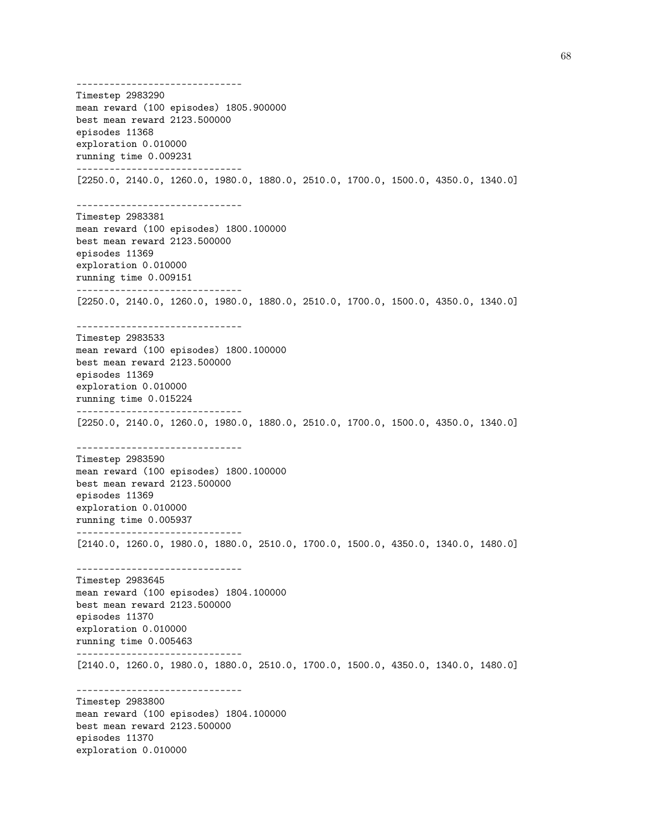------------------------------ Timestep 2983290 mean reward (100 episodes) 1805.900000 best mean reward 2123.500000 episodes 11368 exploration 0.010000 running time 0.009231 ------------------------------ [2250.0, 2140.0, 1260.0, 1980.0, 1880.0, 2510.0, 1700.0, 1500.0, 4350.0, 1340.0] ------------------------------ Timestep 2983381 mean reward (100 episodes) 1800.100000 best mean reward 2123.500000 episodes 11369 exploration 0.010000 running time 0.009151 ------------------------------ [2250.0, 2140.0, 1260.0, 1980.0, 1880.0, 2510.0, 1700.0, 1500.0, 4350.0, 1340.0] ------------------------------ Timestep 2983533 mean reward (100 episodes) 1800.100000 best mean reward 2123.500000 episodes 11369 exploration 0.010000 running time 0.015224 ------------------------------ [2250.0, 2140.0, 1260.0, 1980.0, 1880.0, 2510.0, 1700.0, 1500.0, 4350.0, 1340.0] ------------------------------ Timestep 2983590 mean reward (100 episodes) 1800.100000 best mean reward 2123.500000 episodes 11369 exploration 0.010000 running time 0.005937 ------------------------------ [2140.0, 1260.0, 1980.0, 1880.0, 2510.0, 1700.0, 1500.0, 4350.0, 1340.0, 1480.0] ------------------------------ Timestep 2983645 mean reward (100 episodes) 1804.100000 best mean reward 2123.500000 episodes 11370 exploration 0.010000 running time 0.005463 ------------------------------ [2140.0, 1260.0, 1980.0, 1880.0, 2510.0, 1700.0, 1500.0, 4350.0, 1340.0, 1480.0] ------------------------------ Timestep 2983800 mean reward (100 episodes) 1804.100000 best mean reward 2123.500000 episodes 11370 exploration 0.010000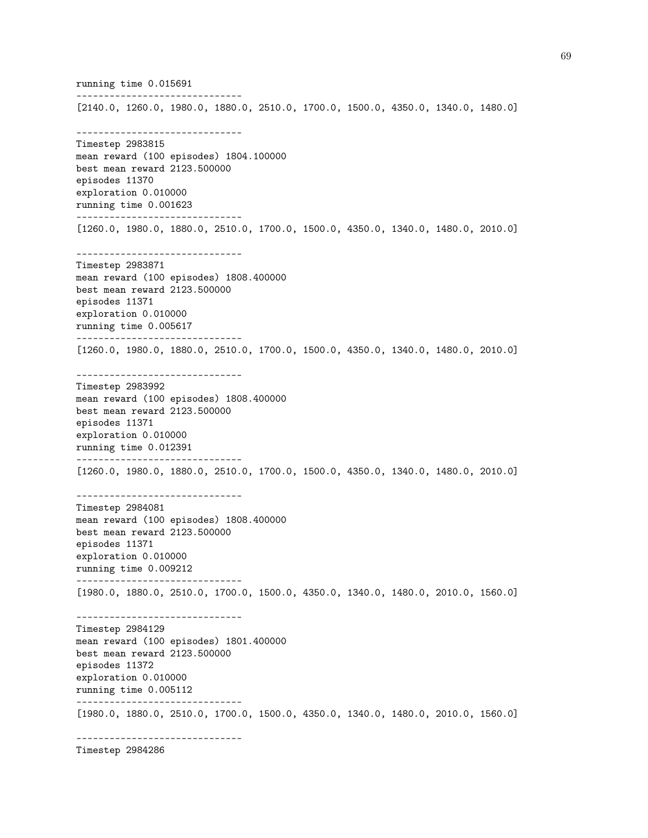running time 0.015691 ------------------------------ [2140.0, 1260.0, 1980.0, 1880.0, 2510.0, 1700.0, 1500.0, 4350.0, 1340.0, 1480.0] ------------------------------ Timestep 2983815 mean reward (100 episodes) 1804.100000 best mean reward 2123.500000 episodes 11370 exploration 0.010000 running time 0.001623 ------------------------------ [1260.0, 1980.0, 1880.0, 2510.0, 1700.0, 1500.0, 4350.0, 1340.0, 1480.0, 2010.0] ------------------------------ Timestep 2983871 mean reward (100 episodes) 1808.400000 best mean reward 2123.500000 episodes 11371 exploration 0.010000 running time 0.005617 ------------------------------ [1260.0, 1980.0, 1880.0, 2510.0, 1700.0, 1500.0, 4350.0, 1340.0, 1480.0, 2010.0] ------------------------------ Timestep 2983992 mean reward (100 episodes) 1808.400000 best mean reward 2123.500000 episodes 11371 exploration 0.010000 running time 0.012391 ------------------------------ [1260.0, 1980.0, 1880.0, 2510.0, 1700.0, 1500.0, 4350.0, 1340.0, 1480.0, 2010.0] ------------------------------ Timestep 2984081 mean reward (100 episodes) 1808.400000 best mean reward 2123.500000 episodes 11371 exploration 0.010000 running time 0.009212 ------------------------------ [1980.0, 1880.0, 2510.0, 1700.0, 1500.0, 4350.0, 1340.0, 1480.0, 2010.0, 1560.0] ------------------------------ Timestep 2984129 mean reward (100 episodes) 1801.400000 best mean reward 2123.500000 episodes 11372 exploration 0.010000 running time 0.005112 ------------------------------ [1980.0, 1880.0, 2510.0, 1700.0, 1500.0, 4350.0, 1340.0, 1480.0, 2010.0, 1560.0] ------------------------------

Timestep 2984286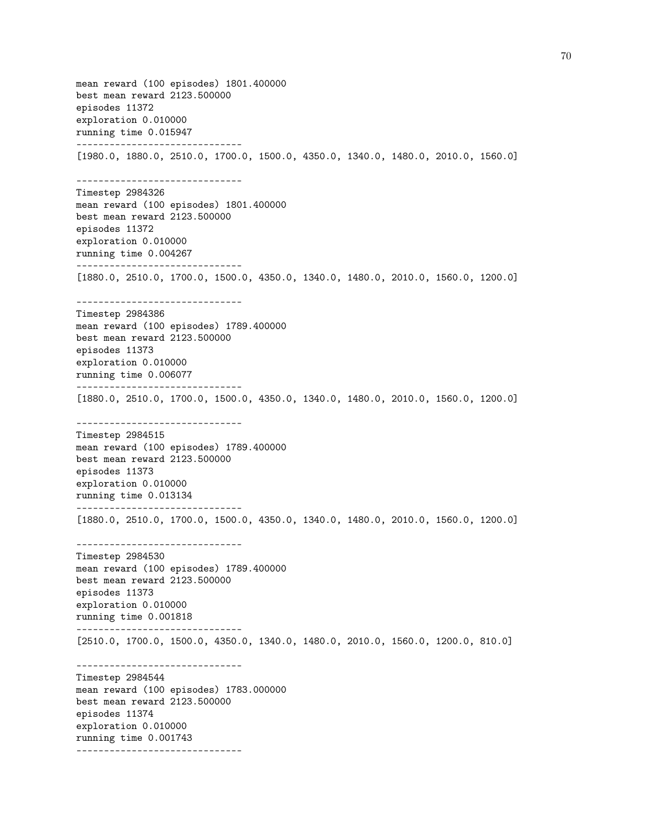mean reward (100 episodes) 1801.400000 best mean reward 2123.500000 episodes 11372 exploration 0.010000 running time 0.015947 ------------------------------ [1980.0, 1880.0, 2510.0, 1700.0, 1500.0, 4350.0, 1340.0, 1480.0, 2010.0, 1560.0] ------------------------------ Timestep 2984326 mean reward (100 episodes) 1801.400000 best mean reward 2123.500000 episodes 11372 exploration 0.010000 running time 0.004267 ------------------------------ [1880.0, 2510.0, 1700.0, 1500.0, 4350.0, 1340.0, 1480.0, 2010.0, 1560.0, 1200.0] ------------------------------ Timestep 2984386 mean reward (100 episodes) 1789.400000 best mean reward 2123.500000 episodes 11373 exploration 0.010000 running time 0.006077 ------------------------------ [1880.0, 2510.0, 1700.0, 1500.0, 4350.0, 1340.0, 1480.0, 2010.0, 1560.0, 1200.0] ------------------------------ Timestep 2984515 mean reward (100 episodes) 1789.400000 best mean reward 2123.500000 episodes 11373 exploration 0.010000 running time 0.013134 ------------------------------ [1880.0, 2510.0, 1700.0, 1500.0, 4350.0, 1340.0, 1480.0, 2010.0, 1560.0, 1200.0] ------------------------------ Timestep 2984530 mean reward (100 episodes) 1789.400000 best mean reward 2123.500000 episodes 11373 exploration 0.010000 running time 0.001818 ------------------------------ [2510.0, 1700.0, 1500.0, 4350.0, 1340.0, 1480.0, 2010.0, 1560.0, 1200.0, 810.0] ------------------------------ Timestep 2984544 mean reward (100 episodes) 1783.000000 best mean reward 2123.500000 episodes 11374 exploration 0.010000 running time 0.001743 ------------------------------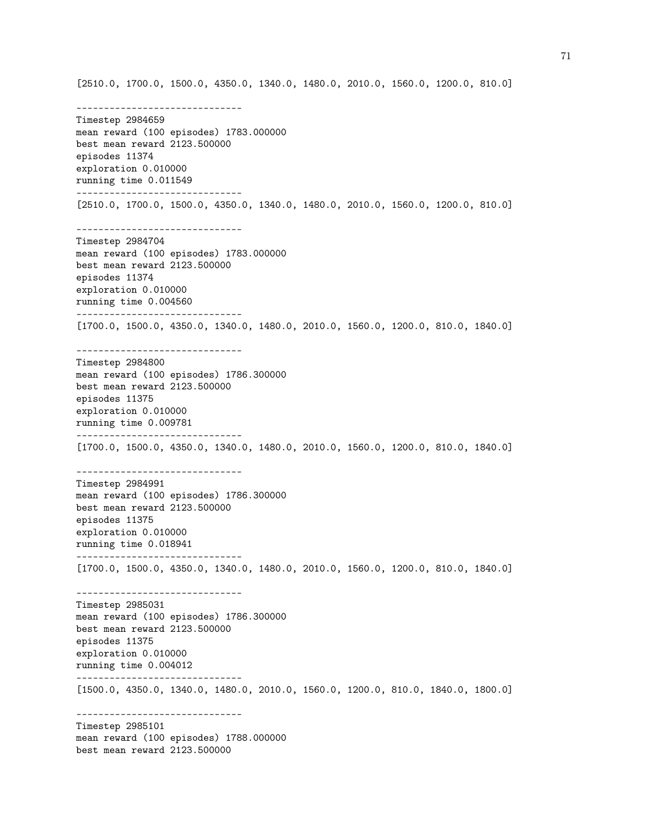Timestep 2984659 mean reward (100 episodes) 1783.000000 best mean reward 2123.500000 episodes 11374 exploration 0.010000 running time 0.011549 ------------------------------ [2510.0, 1700.0, 1500.0, 4350.0, 1340.0, 1480.0, 2010.0, 1560.0, 1200.0, 810.0] ------------------------------ Timestep 2984704 mean reward (100 episodes) 1783.000000 best mean reward 2123.500000 episodes 11374 exploration 0.010000 running time 0.004560 ------------------------------ [1700.0, 1500.0, 4350.0, 1340.0, 1480.0, 2010.0, 1560.0, 1200.0, 810.0, 1840.0] ------------------------------ Timestep 2984800 mean reward (100 episodes) 1786.300000 best mean reward 2123.500000 episodes 11375 exploration 0.010000 running time 0.009781 ------------------------------ [1700.0, 1500.0, 4350.0, 1340.0, 1480.0, 2010.0, 1560.0, 1200.0, 810.0, 1840.0] ------------------------------ Timestep 2984991 mean reward (100 episodes) 1786.300000 best mean reward 2123.500000 episodes 11375 exploration 0.010000 running time 0.018941 ------------------------------ [1700.0, 1500.0, 4350.0, 1340.0, 1480.0, 2010.0, 1560.0, 1200.0, 810.0, 1840.0] ------------------------------ Timestep 2985031 mean reward (100 episodes) 1786.300000 best mean reward 2123.500000 episodes 11375 exploration 0.010000 running time 0.004012 ------------------------------ [1500.0, 4350.0, 1340.0, 1480.0, 2010.0, 1560.0, 1200.0, 810.0, 1840.0, 1800.0] ------------------------------ Timestep 2985101 mean reward (100 episodes) 1788.000000 best mean reward 2123.500000

[2510.0, 1700.0, 1500.0, 4350.0, 1340.0, 1480.0, 2010.0, 1560.0, 1200.0, 810.0]

------------------------------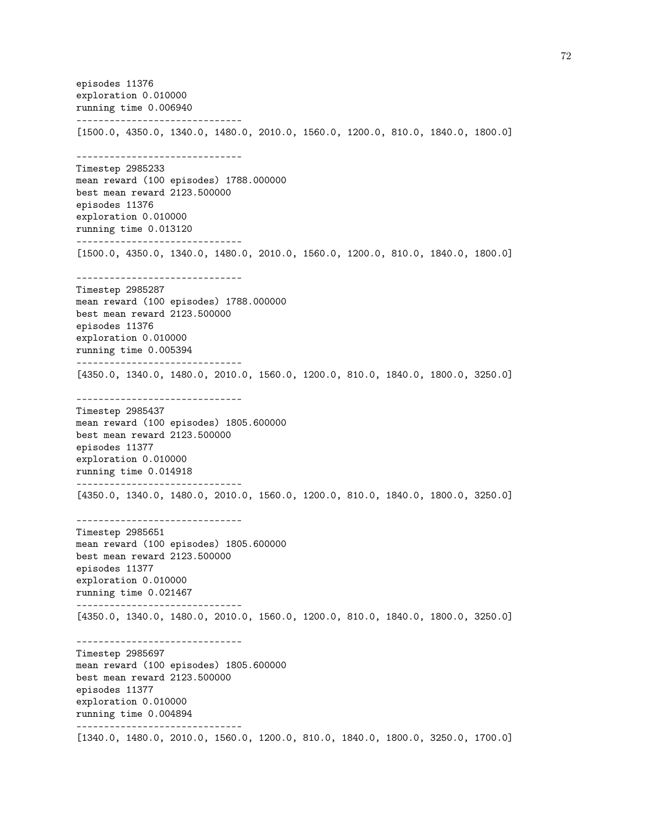episodes 11376 exploration 0.010000 running time 0.006940 ------------------------------ [1500.0, 4350.0, 1340.0, 1480.0, 2010.0, 1560.0, 1200.0, 810.0, 1840.0, 1800.0] ------------------------------ Timestep 2985233 mean reward (100 episodes) 1788.000000 best mean reward 2123.500000 episodes 11376 exploration 0.010000 running time 0.013120 ------------------------------ [1500.0, 4350.0, 1340.0, 1480.0, 2010.0, 1560.0, 1200.0, 810.0, 1840.0, 1800.0] ------------------------------ Timestep 2985287 mean reward (100 episodes) 1788.000000 best mean reward 2123.500000 episodes 11376 exploration 0.010000 running time 0.005394 ------------------------------ [4350.0, 1340.0, 1480.0, 2010.0, 1560.0, 1200.0, 810.0, 1840.0, 1800.0, 3250.0] ------------------------------ Timestep 2985437 mean reward (100 episodes) 1805.600000 best mean reward 2123.500000 episodes 11377 exploration 0.010000 running time 0.014918 ------------------------------ [4350.0, 1340.0, 1480.0, 2010.0, 1560.0, 1200.0, 810.0, 1840.0, 1800.0, 3250.0] ------------------------------ Timestep 2985651 mean reward (100 episodes) 1805.600000 best mean reward 2123.500000 episodes 11377 exploration 0.010000 running time 0.021467 ------------------------------ [4350.0, 1340.0, 1480.0, 2010.0, 1560.0, 1200.0, 810.0, 1840.0, 1800.0, 3250.0] ------------------------------ Timestep 2985697 mean reward (100 episodes) 1805.600000 best mean reward 2123.500000 episodes 11377 exploration 0.010000 running time 0.004894 ------------------------------ [1340.0, 1480.0, 2010.0, 1560.0, 1200.0, 810.0, 1840.0, 1800.0, 3250.0, 1700.0]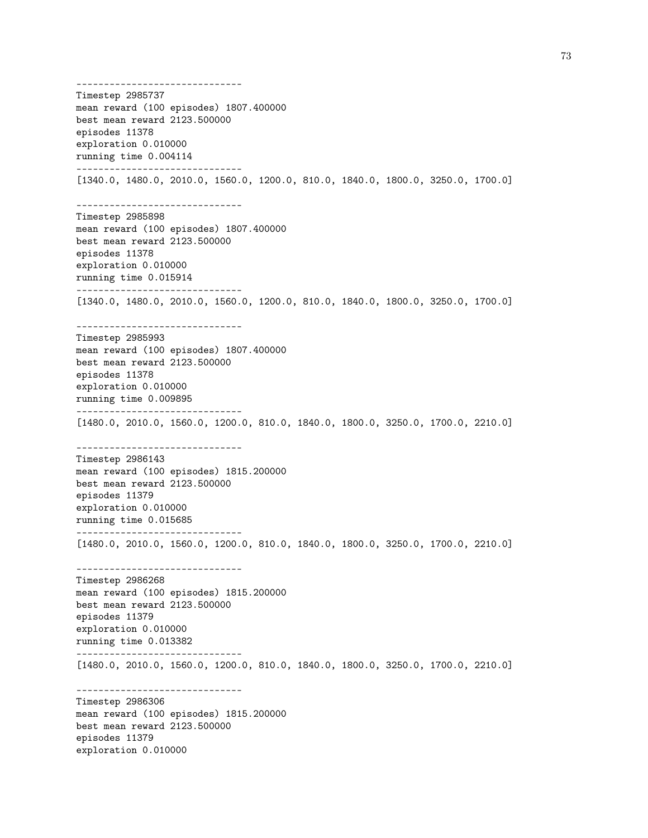------------------------------ Timestep 2985737 mean reward (100 episodes) 1807.400000 best mean reward 2123.500000 episodes 11378 exploration 0.010000 running time 0.004114 ------------------------------ [1340.0, 1480.0, 2010.0, 1560.0, 1200.0, 810.0, 1840.0, 1800.0, 3250.0, 1700.0] ------------------------------ Timestep 2985898 mean reward (100 episodes) 1807.400000 best mean reward 2123.500000 episodes 11378 exploration 0.010000 running time 0.015914 ------------------------------ [1340.0, 1480.0, 2010.0, 1560.0, 1200.0, 810.0, 1840.0, 1800.0, 3250.0, 1700.0] ------------------------------ Timestep 2985993 mean reward (100 episodes) 1807.400000 best mean reward 2123.500000 episodes 11378 exploration 0.010000 running time 0.009895 ------------------------------ [1480.0, 2010.0, 1560.0, 1200.0, 810.0, 1840.0, 1800.0, 3250.0, 1700.0, 2210.0] ------------------------------ Timestep 2986143 mean reward (100 episodes) 1815.200000 best mean reward 2123.500000 episodes 11379 exploration 0.010000 running time 0.015685 ------------------------------ [1480.0, 2010.0, 1560.0, 1200.0, 810.0, 1840.0, 1800.0, 3250.0, 1700.0, 2210.0] ------------------------------ Timestep 2986268 mean reward (100 episodes) 1815.200000 best mean reward 2123.500000 episodes 11379 exploration 0.010000 running time 0.013382 ------------------------------ [1480.0, 2010.0, 1560.0, 1200.0, 810.0, 1840.0, 1800.0, 3250.0, 1700.0, 2210.0] ------------------------------ Timestep 2986306 mean reward (100 episodes) 1815.200000 best mean reward 2123.500000 episodes 11379 exploration 0.010000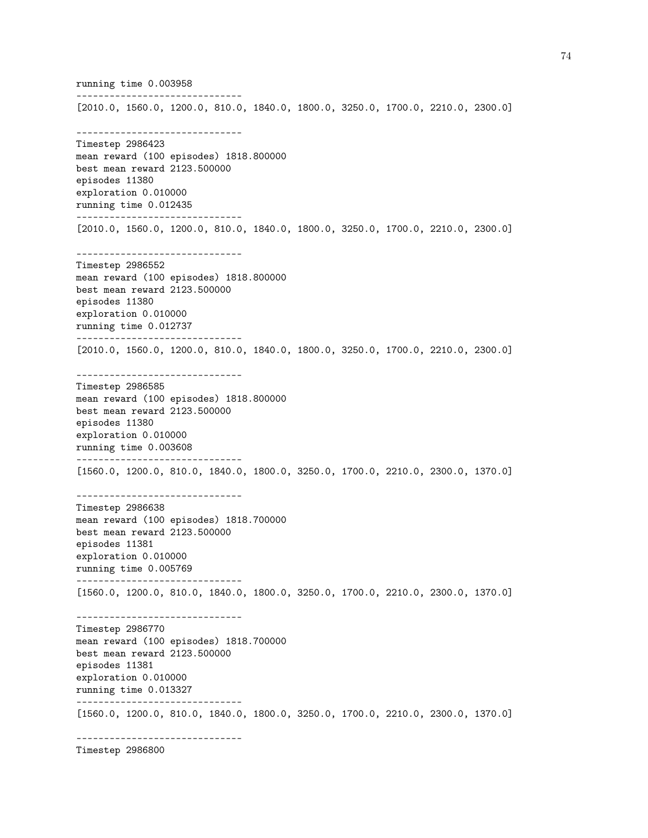running time 0.003958 ------------------------------ [2010.0, 1560.0, 1200.0, 810.0, 1840.0, 1800.0, 3250.0, 1700.0, 2210.0, 2300.0] ------------------------------ Timestep 2986423 mean reward (100 episodes) 1818.800000 best mean reward 2123.500000 episodes 11380 exploration 0.010000 running time 0.012435 ------------------------------ [2010.0, 1560.0, 1200.0, 810.0, 1840.0, 1800.0, 3250.0, 1700.0, 2210.0, 2300.0] ------------------------------ Timestep 2986552 mean reward (100 episodes) 1818.800000 best mean reward 2123.500000 episodes 11380 exploration 0.010000 running time 0.012737 ------------------------------ [2010.0, 1560.0, 1200.0, 810.0, 1840.0, 1800.0, 3250.0, 1700.0, 2210.0, 2300.0] ------------------------------ Timestep 2986585 mean reward (100 episodes) 1818.800000 best mean reward 2123.500000 episodes 11380 exploration 0.010000 running time 0.003608 ------------------------------ [1560.0, 1200.0, 810.0, 1840.0, 1800.0, 3250.0, 1700.0, 2210.0, 2300.0, 1370.0] ------------------------------ Timestep 2986638 mean reward (100 episodes) 1818.700000 best mean reward 2123.500000 episodes 11381 exploration 0.010000 running time 0.005769 ------------------------------ [1560.0, 1200.0, 810.0, 1840.0, 1800.0, 3250.0, 1700.0, 2210.0, 2300.0, 1370.0] ------------------------------ Timestep 2986770 mean reward (100 episodes) 1818.700000 best mean reward 2123.500000 episodes 11381 exploration 0.010000 running time 0.013327 ------------------------------ [1560.0, 1200.0, 810.0, 1840.0, 1800.0, 3250.0, 1700.0, 2210.0, 2300.0, 1370.0] ------------------------------

Timestep 2986800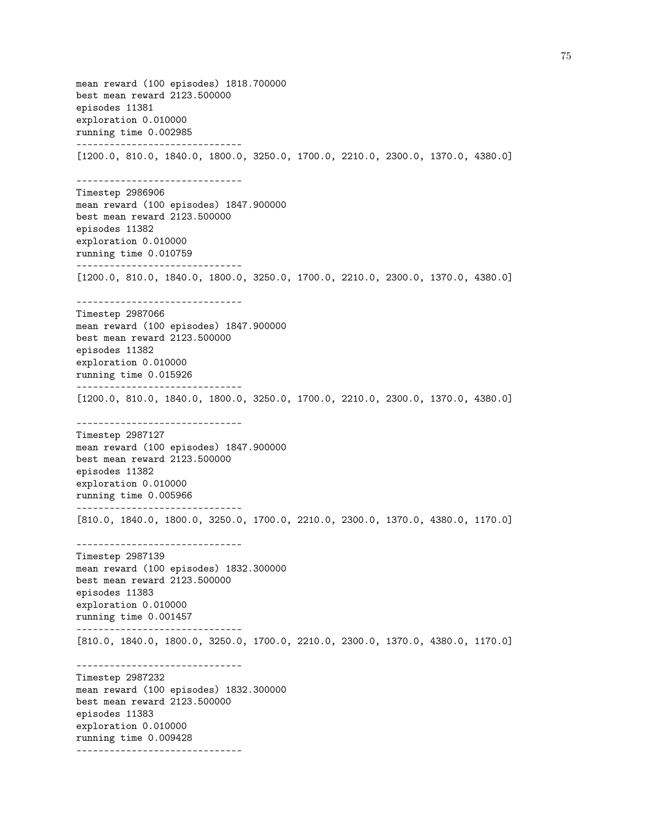mean reward (100 episodes) 1818.700000 best mean reward 2123.500000 episodes 11381 exploration 0.010000 running time 0.002985 ------------------------------ [1200.0, 810.0, 1840.0, 1800.0, 3250.0, 1700.0, 2210.0, 2300.0, 1370.0, 4380.0] ------------------------------ Timestep 2986906 mean reward (100 episodes) 1847.900000 best mean reward 2123.500000 episodes 11382 exploration 0.010000 running time 0.010759 ------------------------------ [1200.0, 810.0, 1840.0, 1800.0, 3250.0, 1700.0, 2210.0, 2300.0, 1370.0, 4380.0] ------------------------------ Timestep 2987066 mean reward (100 episodes) 1847.900000 best mean reward 2123.500000 episodes 11382 exploration 0.010000 running time 0.015926 ------------------------------ [1200.0, 810.0, 1840.0, 1800.0, 3250.0, 1700.0, 2210.0, 2300.0, 1370.0, 4380.0] ------------------------------ Timestep 2987127 mean reward (100 episodes) 1847.900000 best mean reward 2123.500000 episodes 11382 exploration 0.010000 running time 0.005966 ------------------------------ [810.0, 1840.0, 1800.0, 3250.0, 1700.0, 2210.0, 2300.0, 1370.0, 4380.0, 1170.0] ------------------------------ Timestep 2987139 mean reward (100 episodes) 1832.300000 best mean reward 2123.500000 episodes 11383 exploration 0.010000 running time 0.001457 ------------------------------ [810.0, 1840.0, 1800.0, 3250.0, 1700.0, 2210.0, 2300.0, 1370.0, 4380.0, 1170.0] ------------------------------ Timestep 2987232 mean reward (100 episodes) 1832.300000 best mean reward 2123.500000 episodes 11383 exploration 0.010000 running time 0.009428 ------------------------------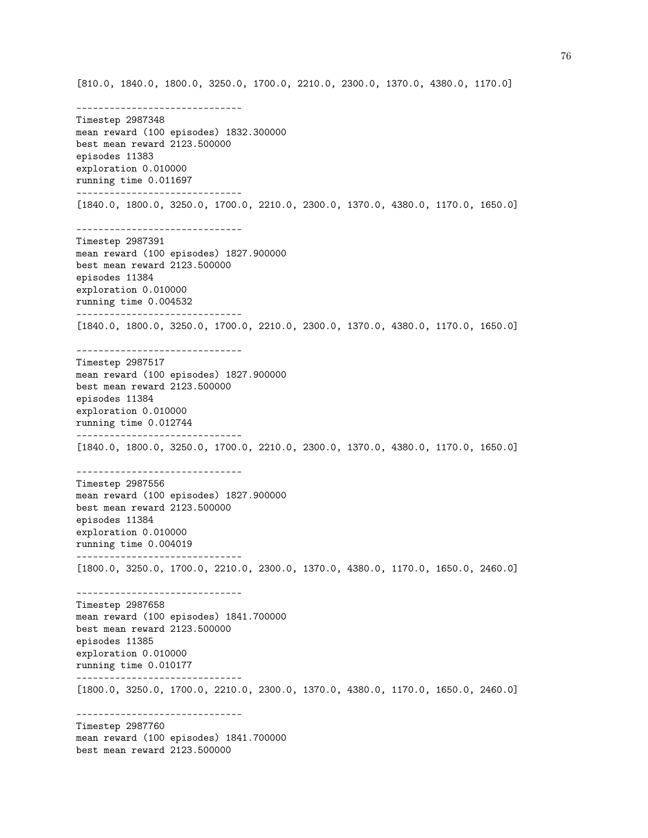[810.0, 1840.0, 1800.0, 3250.0, 1700.0, 2210.0, 2300.0, 1370.0, 4380.0, 1170.0]

------------------------------ Timestep 2987348 mean reward (100 episodes) 1832.300000 best mean reward 2123.500000 episodes 11383 exploration 0.010000 running time 0.011697 ------------------------------ [1840.0, 1800.0, 3250.0, 1700.0, 2210.0, 2300.0, 1370.0, 4380.0, 1170.0, 1650.0] ------------------------------ Timestep 2987391 mean reward (100 episodes) 1827.900000 best mean reward 2123.500000 episodes 11384 exploration 0.010000 running time 0.004532 ------------------------------ [1840.0, 1800.0, 3250.0, 1700.0, 2210.0, 2300.0, 1370.0, 4380.0, 1170.0, 1650.0] ------------------------------ Timestep 2987517 mean reward (100 episodes) 1827.900000 best mean reward 2123.500000 episodes 11384 exploration 0.010000 running time 0.012744 ------------------------------ [1840.0, 1800.0, 3250.0, 1700.0, 2210.0, 2300.0, 1370.0, 4380.0, 1170.0, 1650.0] ------------------------------ Timestep 2987556 mean reward (100 episodes) 1827.900000 best mean reward 2123.500000 episodes 11384 exploration 0.010000 running time 0.004019 ------------------------------ [1800.0, 3250.0, 1700.0, 2210.0, 2300.0, 1370.0, 4380.0, 1170.0, 1650.0, 2460.0] ------------------------------ Timestep 2987658 mean reward (100 episodes) 1841.700000 best mean reward 2123.500000 episodes 11385 exploration 0.010000 running time 0.010177 ------------------------------ [1800.0, 3250.0, 1700.0, 2210.0, 2300.0, 1370.0, 4380.0, 1170.0, 1650.0, 2460.0] ------------------------------ Timestep 2987760 mean reward (100 episodes) 1841.700000 best mean reward 2123.500000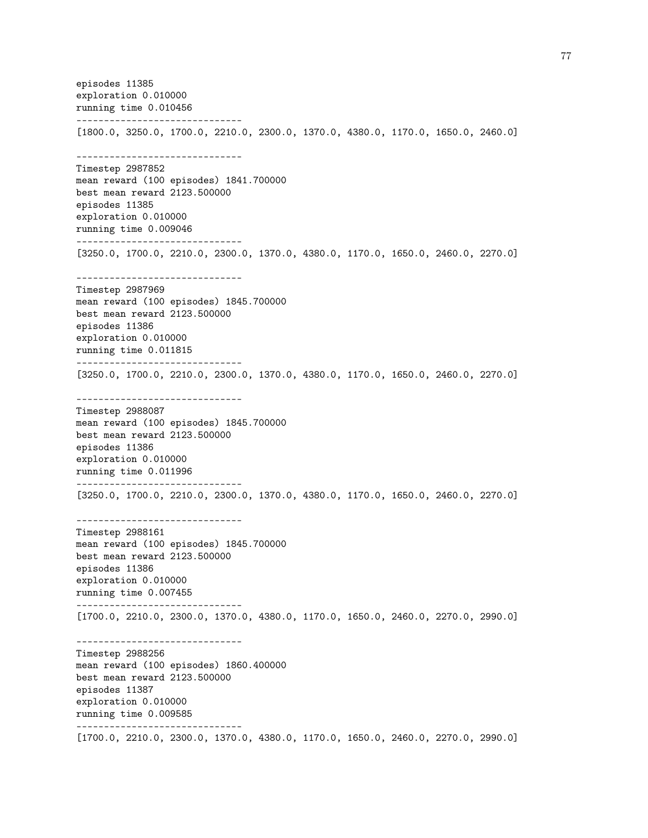episodes 11385 exploration 0.010000 running time 0.010456 ------------------------------ [1800.0, 3250.0, 1700.0, 2210.0, 2300.0, 1370.0, 4380.0, 1170.0, 1650.0, 2460.0] ------------------------------ Timestep 2987852 mean reward (100 episodes) 1841.700000 best mean reward 2123.500000 episodes 11385 exploration 0.010000 running time 0.009046 ------------------------------ [3250.0, 1700.0, 2210.0, 2300.0, 1370.0, 4380.0, 1170.0, 1650.0, 2460.0, 2270.0] ------------------------------ Timestep 2987969 mean reward (100 episodes) 1845.700000 best mean reward 2123.500000 episodes 11386 exploration 0.010000 running time 0.011815 ------------------------------ [3250.0, 1700.0, 2210.0, 2300.0, 1370.0, 4380.0, 1170.0, 1650.0, 2460.0, 2270.0] ------------------------------ Timestep 2988087 mean reward (100 episodes) 1845.700000 best mean reward 2123.500000 episodes 11386 exploration 0.010000 running time 0.011996 ------------------------------ [3250.0, 1700.0, 2210.0, 2300.0, 1370.0, 4380.0, 1170.0, 1650.0, 2460.0, 2270.0] ------------------------------ Timestep 2988161 mean reward (100 episodes) 1845.700000 best mean reward 2123.500000 episodes 11386 exploration 0.010000 running time 0.007455 ------------------------------ [1700.0, 2210.0, 2300.0, 1370.0, 4380.0, 1170.0, 1650.0, 2460.0, 2270.0, 2990.0] ------------------------------ Timestep 2988256 mean reward (100 episodes) 1860.400000 best mean reward 2123.500000 episodes 11387 exploration 0.010000 running time 0.009585 ------------------------------ [1700.0, 2210.0, 2300.0, 1370.0, 4380.0, 1170.0, 1650.0, 2460.0, 2270.0, 2990.0]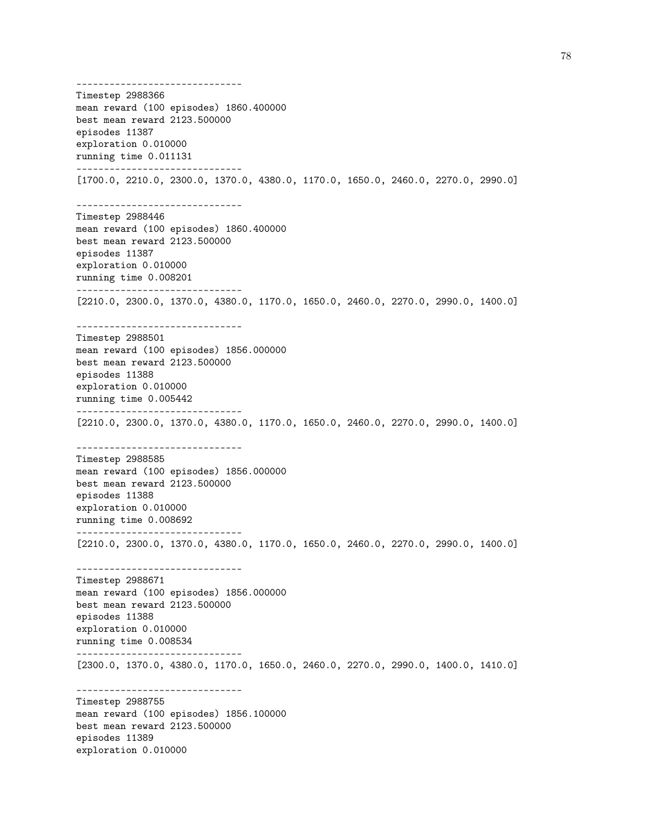------------------------------ Timestep 2988366 mean reward (100 episodes) 1860.400000 best mean reward 2123.500000 episodes 11387 exploration 0.010000 running time 0.011131 ------------------------------ [1700.0, 2210.0, 2300.0, 1370.0, 4380.0, 1170.0, 1650.0, 2460.0, 2270.0, 2990.0] ------------------------------ Timestep 2988446 mean reward (100 episodes) 1860.400000 best mean reward 2123.500000 episodes 11387 exploration 0.010000 running time 0.008201 ------------------------------ [2210.0, 2300.0, 1370.0, 4380.0, 1170.0, 1650.0, 2460.0, 2270.0, 2990.0, 1400.0] ------------------------------ Timestep 2988501 mean reward (100 episodes) 1856.000000 best mean reward 2123.500000 episodes 11388 exploration 0.010000 running time 0.005442 ------------------------------ [2210.0, 2300.0, 1370.0, 4380.0, 1170.0, 1650.0, 2460.0, 2270.0, 2990.0, 1400.0] ------------------------------ Timestep 2988585 mean reward (100 episodes) 1856.000000 best mean reward 2123.500000 episodes 11388 exploration 0.010000 running time 0.008692 ------------------------------ [2210.0, 2300.0, 1370.0, 4380.0, 1170.0, 1650.0, 2460.0, 2270.0, 2990.0, 1400.0] ------------------------------ Timestep 2988671 mean reward (100 episodes) 1856.000000 best mean reward 2123.500000 episodes 11388 exploration 0.010000 running time 0.008534 ------------------------------ [2300.0, 1370.0, 4380.0, 1170.0, 1650.0, 2460.0, 2270.0, 2990.0, 1400.0, 1410.0] ------------------------------ Timestep 2988755 mean reward (100 episodes) 1856.100000 best mean reward 2123.500000 episodes 11389 exploration 0.010000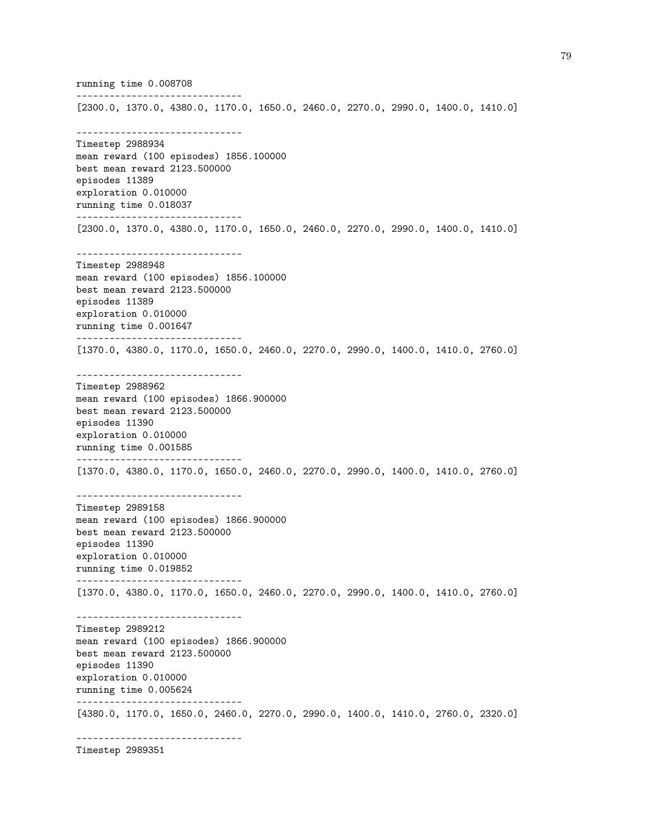running time 0.008708 ------------------------------ [2300.0, 1370.0, 4380.0, 1170.0, 1650.0, 2460.0, 2270.0, 2990.0, 1400.0, 1410.0] ------------------------------ Timestep 2988934 mean reward (100 episodes) 1856.100000 best mean reward 2123.500000 episodes 11389 exploration 0.010000 running time 0.018037 ------------------------------ [2300.0, 1370.0, 4380.0, 1170.0, 1650.0, 2460.0, 2270.0, 2990.0, 1400.0, 1410.0] ------------------------------ Timestep 2988948 mean reward (100 episodes) 1856.100000 best mean reward 2123.500000 episodes 11389 exploration 0.010000 running time 0.001647 ------------------------------ [1370.0, 4380.0, 1170.0, 1650.0, 2460.0, 2270.0, 2990.0, 1400.0, 1410.0, 2760.0] ------------------------------ Timestep 2988962 mean reward (100 episodes) 1866.900000 best mean reward 2123.500000 episodes 11390 exploration 0.010000 running time 0.001585 ------------------------------ [1370.0, 4380.0, 1170.0, 1650.0, 2460.0, 2270.0, 2990.0, 1400.0, 1410.0, 2760.0] ------------------------------ Timestep 2989158 mean reward (100 episodes) 1866.900000 best mean reward 2123.500000 episodes 11390 exploration 0.010000 running time 0.019852 ------------------------------ [1370.0, 4380.0, 1170.0, 1650.0, 2460.0, 2270.0, 2990.0, 1400.0, 1410.0, 2760.0] ------------------------------ Timestep 2989212 mean reward (100 episodes) 1866.900000 best mean reward 2123.500000 episodes 11390 exploration 0.010000 running time 0.005624 ------------------------------ [4380.0, 1170.0, 1650.0, 2460.0, 2270.0, 2990.0, 1400.0, 1410.0, 2760.0, 2320.0] ------------------------------

Timestep 2989351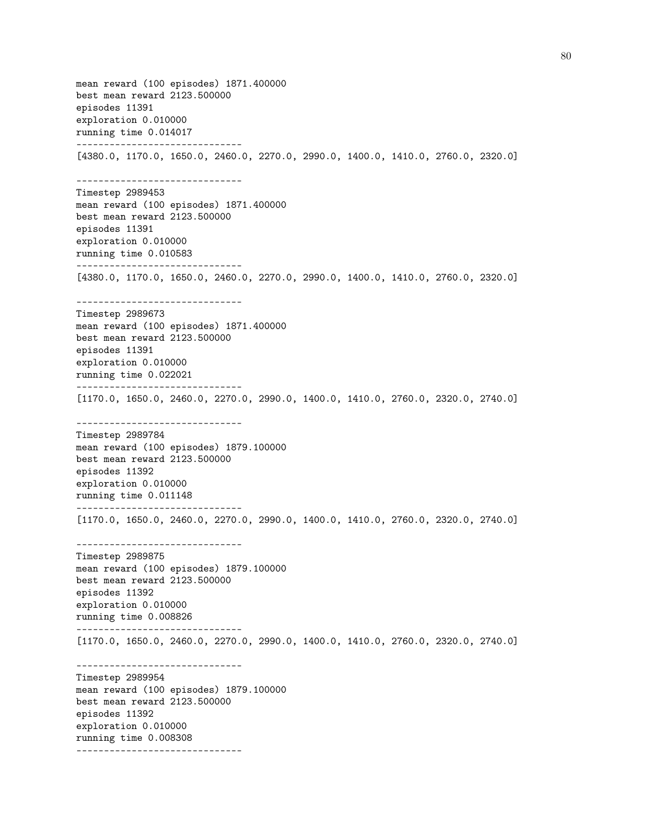mean reward (100 episodes) 1871.400000 best mean reward 2123.500000 episodes 11391 exploration 0.010000 running time 0.014017 ------------------------------ [4380.0, 1170.0, 1650.0, 2460.0, 2270.0, 2990.0, 1400.0, 1410.0, 2760.0, 2320.0] ------------------------------ Timestep 2989453 mean reward (100 episodes) 1871.400000 best mean reward 2123.500000 episodes 11391 exploration 0.010000 running time 0.010583 ------------------------------ [4380.0, 1170.0, 1650.0, 2460.0, 2270.0, 2990.0, 1400.0, 1410.0, 2760.0, 2320.0] ------------------------------ Timestep 2989673 mean reward (100 episodes) 1871.400000 best mean reward 2123.500000 episodes 11391 exploration 0.010000 running time 0.022021 ------------------------------ [1170.0, 1650.0, 2460.0, 2270.0, 2990.0, 1400.0, 1410.0, 2760.0, 2320.0, 2740.0] ------------------------------ Timestep 2989784 mean reward (100 episodes) 1879.100000 best mean reward 2123.500000 episodes 11392 exploration 0.010000 running time 0.011148 ------------------------------ [1170.0, 1650.0, 2460.0, 2270.0, 2990.0, 1400.0, 1410.0, 2760.0, 2320.0, 2740.0] ------------------------------ Timestep 2989875 mean reward (100 episodes) 1879.100000 best mean reward 2123.500000 episodes 11392 exploration 0.010000 running time 0.008826 ------------------------------ [1170.0, 1650.0, 2460.0, 2270.0, 2990.0, 1400.0, 1410.0, 2760.0, 2320.0, 2740.0] ------------------------------ Timestep 2989954 mean reward (100 episodes) 1879.100000 best mean reward 2123.500000 episodes 11392 exploration 0.010000 running time 0.008308 ------------------------------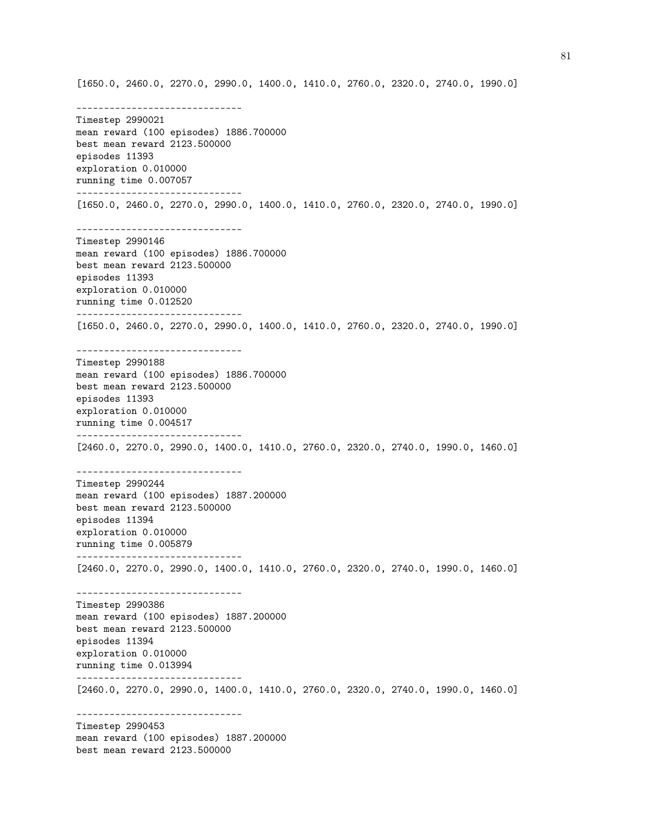[1650.0, 2460.0, 2270.0, 2990.0, 1400.0, 1410.0, 2760.0, 2320.0, 2740.0, 1990.0] ------------------------------ Timestep 2990021 mean reward (100 episodes) 1886.700000 best mean reward 2123.500000 episodes 11393 exploration 0.010000 running time 0.007057 ------------------------------ [1650.0, 2460.0, 2270.0, 2990.0, 1400.0, 1410.0, 2760.0, 2320.0, 2740.0, 1990.0] ------------------------------ Timestep 2990146 mean reward (100 episodes) 1886.700000 best mean reward 2123.500000 episodes 11393 exploration 0.010000 running time 0.012520 ------------------------------ [1650.0, 2460.0, 2270.0, 2990.0, 1400.0, 1410.0, 2760.0, 2320.0, 2740.0, 1990.0] ------------------------------ Timestep 2990188 mean reward (100 episodes) 1886.700000 best mean reward 2123.500000 episodes 11393 exploration 0.010000 running time 0.004517 ------------------------------ [2460.0, 2270.0, 2990.0, 1400.0, 1410.0, 2760.0, 2320.0, 2740.0, 1990.0, 1460.0] ------------------------------ Timestep 2990244 mean reward (100 episodes) 1887.200000 best mean reward 2123.500000 episodes 11394 exploration 0.010000 running time 0.005879 ------------------------------ [2460.0, 2270.0, 2990.0, 1400.0, 1410.0, 2760.0, 2320.0, 2740.0, 1990.0, 1460.0] ------------------------------ Timestep 2990386 mean reward (100 episodes) 1887.200000 best mean reward 2123.500000 episodes 11394 exploration 0.010000 running time 0.013994 ------------------------------ [2460.0, 2270.0, 2990.0, 1400.0, 1410.0, 2760.0, 2320.0, 2740.0, 1990.0, 1460.0] ------------------------------ Timestep 2990453 mean reward (100 episodes) 1887.200000 best mean reward 2123.500000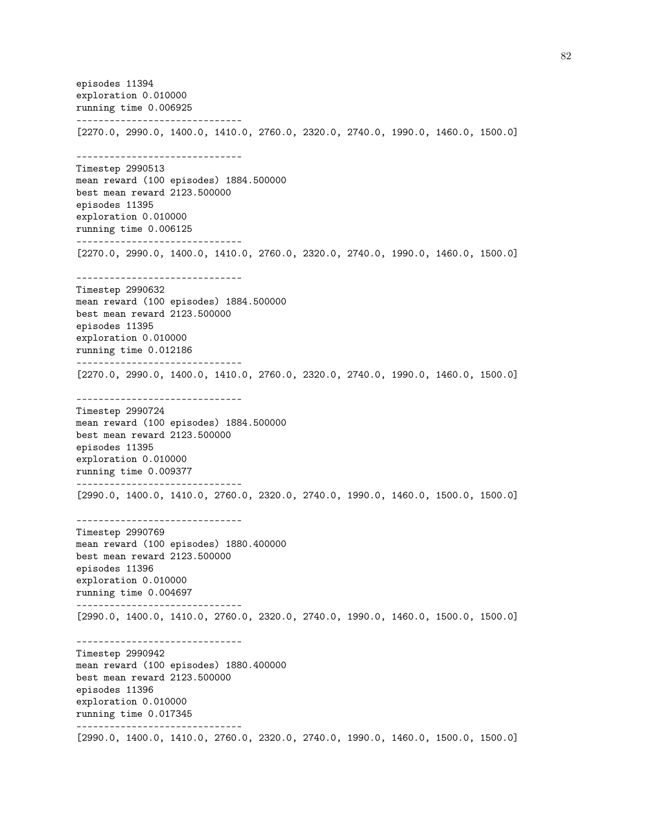episodes 11394 exploration 0.010000 running time 0.006925 ------------------------------ [2270.0, 2990.0, 1400.0, 1410.0, 2760.0, 2320.0, 2740.0, 1990.0, 1460.0, 1500.0] ------------------------------ Timestep 2990513 mean reward (100 episodes) 1884.500000 best mean reward 2123.500000 episodes 11395 exploration 0.010000 running time 0.006125 ------------------------------ [2270.0, 2990.0, 1400.0, 1410.0, 2760.0, 2320.0, 2740.0, 1990.0, 1460.0, 1500.0] ------------------------------ Timestep 2990632 mean reward (100 episodes) 1884.500000 best mean reward 2123.500000 episodes 11395 exploration 0.010000 running time 0.012186 ------------------------------ [2270.0, 2990.0, 1400.0, 1410.0, 2760.0, 2320.0, 2740.0, 1990.0, 1460.0, 1500.0] ------------------------------ Timestep 2990724 mean reward (100 episodes) 1884.500000 best mean reward 2123.500000 episodes 11395 exploration 0.010000 running time 0.009377 ------------------------------ [2990.0, 1400.0, 1410.0, 2760.0, 2320.0, 2740.0, 1990.0, 1460.0, 1500.0, 1500.0] ------------------------------ Timestep 2990769 mean reward (100 episodes) 1880.400000 best mean reward 2123.500000 episodes 11396 exploration 0.010000 running time 0.004697 ------------------------------ [2990.0, 1400.0, 1410.0, 2760.0, 2320.0, 2740.0, 1990.0, 1460.0, 1500.0, 1500.0] ------------------------------ Timestep 2990942 mean reward (100 episodes) 1880.400000 best mean reward 2123.500000 episodes 11396 exploration 0.010000 running time 0.017345 ------------------------------ [2990.0, 1400.0, 1410.0, 2760.0, 2320.0, 2740.0, 1990.0, 1460.0, 1500.0, 1500.0]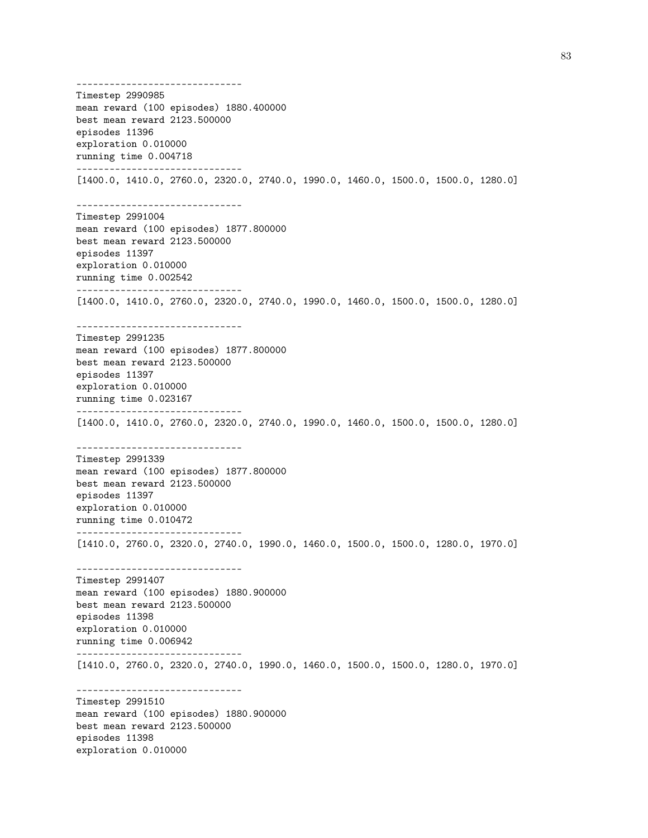------------------------------ Timestep 2990985 mean reward (100 episodes) 1880.400000 best mean reward 2123.500000 episodes 11396 exploration 0.010000 running time 0.004718 ------------------------------ [1400.0, 1410.0, 2760.0, 2320.0, 2740.0, 1990.0, 1460.0, 1500.0, 1500.0, 1280.0] ------------------------------ Timestep 2991004 mean reward (100 episodes) 1877.800000 best mean reward 2123.500000 episodes 11397 exploration 0.010000 running time 0.002542 ------------------------------ [1400.0, 1410.0, 2760.0, 2320.0, 2740.0, 1990.0, 1460.0, 1500.0, 1500.0, 1280.0] ------------------------------ Timestep 2991235 mean reward (100 episodes) 1877.800000 best mean reward 2123.500000 episodes 11397 exploration 0.010000 running time 0.023167 ------------------------------ [1400.0, 1410.0, 2760.0, 2320.0, 2740.0, 1990.0, 1460.0, 1500.0, 1500.0, 1280.0] ------------------------------ Timestep 2991339 mean reward (100 episodes) 1877.800000 best mean reward 2123.500000 episodes 11397 exploration 0.010000 running time 0.010472 ------------------------------ [1410.0, 2760.0, 2320.0, 2740.0, 1990.0, 1460.0, 1500.0, 1500.0, 1280.0, 1970.0] ------------------------------ Timestep 2991407 mean reward (100 episodes) 1880.900000 best mean reward 2123.500000 episodes 11398 exploration 0.010000 running time 0.006942 ------------------------------ [1410.0, 2760.0, 2320.0, 2740.0, 1990.0, 1460.0, 1500.0, 1500.0, 1280.0, 1970.0] ------------------------------ Timestep 2991510 mean reward (100 episodes) 1880.900000 best mean reward 2123.500000 episodes 11398 exploration 0.010000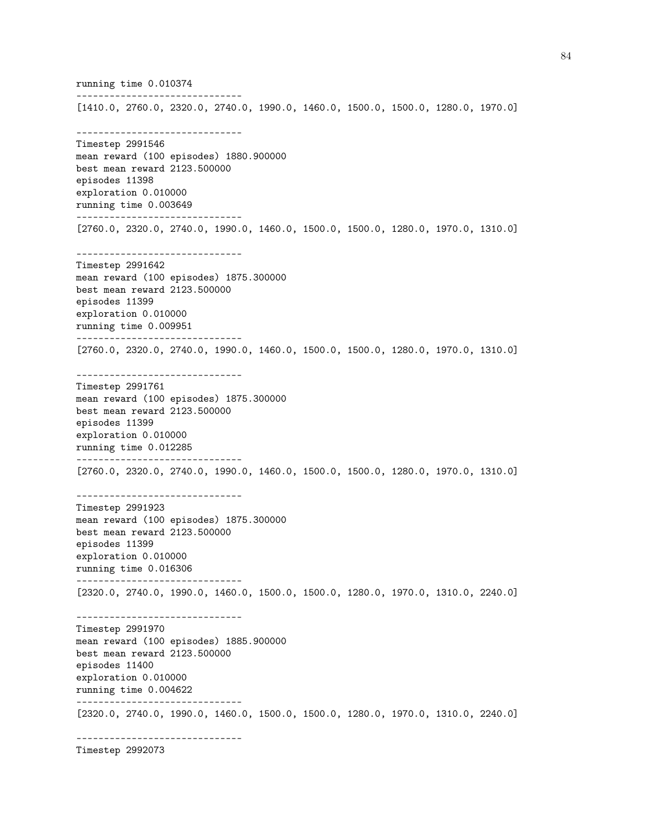running time 0.010374 ------------------------------ [1410.0, 2760.0, 2320.0, 2740.0, 1990.0, 1460.0, 1500.0, 1500.0, 1280.0, 1970.0] ------------------------------ Timestep 2991546 mean reward (100 episodes) 1880.900000 best mean reward 2123.500000 episodes 11398 exploration 0.010000 running time 0.003649 ------------------------------ [2760.0, 2320.0, 2740.0, 1990.0, 1460.0, 1500.0, 1500.0, 1280.0, 1970.0, 1310.0] ------------------------------ Timestep 2991642 mean reward (100 episodes) 1875.300000 best mean reward 2123.500000 episodes 11399 exploration 0.010000 running time 0.009951 ------------------------------ [2760.0, 2320.0, 2740.0, 1990.0, 1460.0, 1500.0, 1500.0, 1280.0, 1970.0, 1310.0] ------------------------------ Timestep 2991761 mean reward (100 episodes) 1875.300000 best mean reward 2123.500000 episodes 11399 exploration 0.010000 running time 0.012285 ------------------------------ [2760.0, 2320.0, 2740.0, 1990.0, 1460.0, 1500.0, 1500.0, 1280.0, 1970.0, 1310.0] ------------------------------ Timestep 2991923 mean reward (100 episodes) 1875.300000 best mean reward 2123.500000 episodes 11399 exploration 0.010000 running time 0.016306 ------------------------------ [2320.0, 2740.0, 1990.0, 1460.0, 1500.0, 1500.0, 1280.0, 1970.0, 1310.0, 2240.0] ------------------------------ Timestep 2991970 mean reward (100 episodes) 1885.900000 best mean reward 2123.500000 episodes 11400 exploration 0.010000 running time 0.004622 ------------------------------ [2320.0, 2740.0, 1990.0, 1460.0, 1500.0, 1500.0, 1280.0, 1970.0, 1310.0, 2240.0] ------------------------------

Timestep 2992073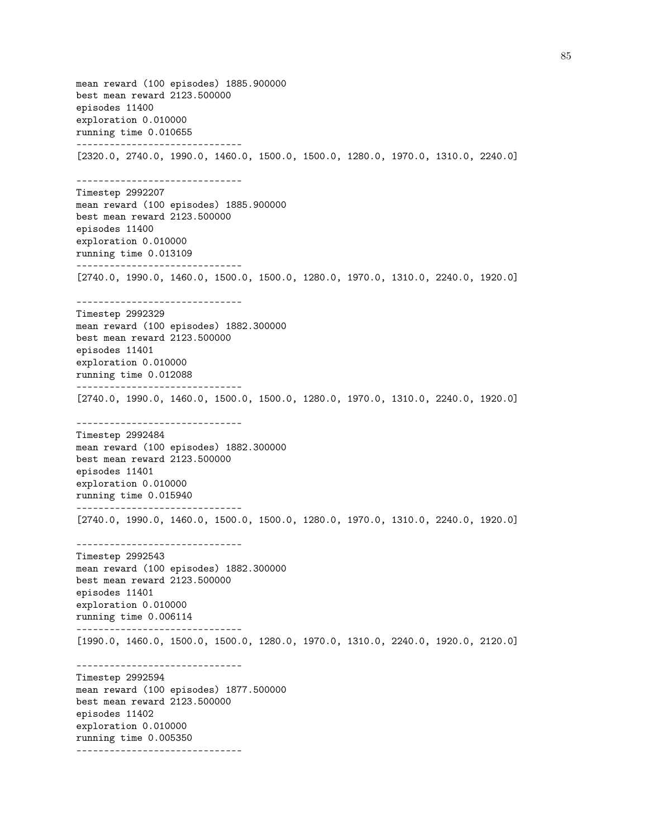mean reward (100 episodes) 1885.900000 best mean reward 2123.500000 episodes 11400 exploration 0.010000 running time 0.010655 ------------------------------ [2320.0, 2740.0, 1990.0, 1460.0, 1500.0, 1500.0, 1280.0, 1970.0, 1310.0, 2240.0] ------------------------------ Timestep 2992207 mean reward (100 episodes) 1885.900000 best mean reward 2123.500000 episodes 11400 exploration 0.010000 running time 0.013109 ------------------------------ [2740.0, 1990.0, 1460.0, 1500.0, 1500.0, 1280.0, 1970.0, 1310.0, 2240.0, 1920.0] ------------------------------ Timestep 2992329 mean reward (100 episodes) 1882.300000 best mean reward 2123.500000 episodes 11401 exploration 0.010000 running time 0.012088 ------------------------------ [2740.0, 1990.0, 1460.0, 1500.0, 1500.0, 1280.0, 1970.0, 1310.0, 2240.0, 1920.0] ------------------------------ Timestep 2992484 mean reward (100 episodes) 1882.300000 best mean reward 2123.500000 episodes 11401 exploration 0.010000 running time 0.015940 ------------------------------ [2740.0, 1990.0, 1460.0, 1500.0, 1500.0, 1280.0, 1970.0, 1310.0, 2240.0, 1920.0] ------------------------------ Timestep 2992543 mean reward (100 episodes) 1882.300000 best mean reward 2123.500000 episodes 11401 exploration 0.010000 running time 0.006114 ------------------------------ [1990.0, 1460.0, 1500.0, 1500.0, 1280.0, 1970.0, 1310.0, 2240.0, 1920.0, 2120.0] ------------------------------ Timestep 2992594 mean reward (100 episodes) 1877.500000 best mean reward 2123.500000 episodes 11402 exploration 0.010000 running time 0.005350 ------------------------------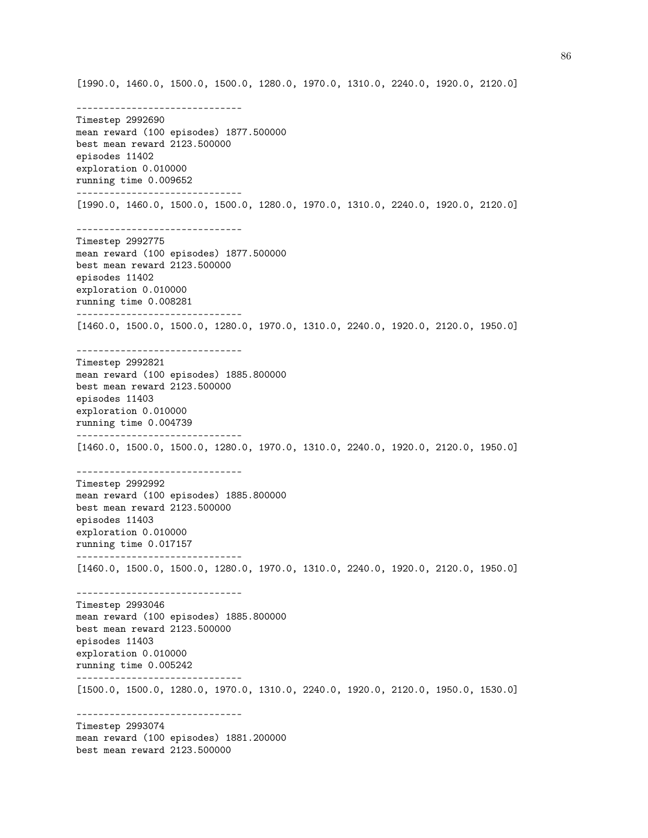[1990.0, 1460.0, 1500.0, 1500.0, 1280.0, 1970.0, 1310.0, 2240.0, 1920.0, 2120.0] ------------------------------ Timestep 2992690 mean reward (100 episodes) 1877.500000 best mean reward 2123.500000 episodes 11402 exploration 0.010000 running time 0.009652 ------------------------------ [1990.0, 1460.0, 1500.0, 1500.0, 1280.0, 1970.0, 1310.0, 2240.0, 1920.0, 2120.0] ------------------------------ Timestep 2992775 mean reward (100 episodes) 1877.500000 best mean reward 2123.500000 episodes 11402 exploration 0.010000 running time 0.008281 ------------------------------ [1460.0, 1500.0, 1500.0, 1280.0, 1970.0, 1310.0, 2240.0, 1920.0, 2120.0, 1950.0] ------------------------------ Timestep 2992821 mean reward (100 episodes) 1885.800000 best mean reward 2123.500000 episodes 11403 exploration 0.010000 running time 0.004739 ------------------------------ [1460.0, 1500.0, 1500.0, 1280.0, 1970.0, 1310.0, 2240.0, 1920.0, 2120.0, 1950.0] ------------------------------ Timestep 2992992 mean reward (100 episodes) 1885.800000 best mean reward 2123.500000 episodes 11403 exploration 0.010000 running time 0.017157 ------------------------------ [1460.0, 1500.0, 1500.0, 1280.0, 1970.0, 1310.0, 2240.0, 1920.0, 2120.0, 1950.0] ------------------------------ Timestep 2993046 mean reward (100 episodes) 1885.800000 best mean reward 2123.500000 episodes 11403 exploration 0.010000 running time 0.005242 ------------------------------ [1500.0, 1500.0, 1280.0, 1970.0, 1310.0, 2240.0, 1920.0, 2120.0, 1950.0, 1530.0] ------------------------------ Timestep 2993074 mean reward (100 episodes) 1881.200000 best mean reward 2123.500000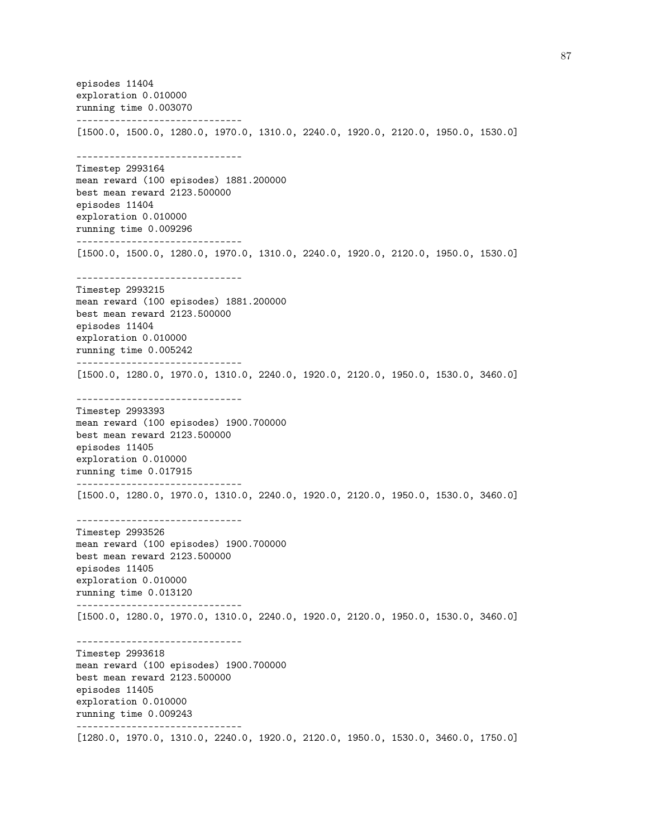episodes 11404 exploration 0.010000 running time 0.003070 ------------------------------ [1500.0, 1500.0, 1280.0, 1970.0, 1310.0, 2240.0, 1920.0, 2120.0, 1950.0, 1530.0] ------------------------------ Timestep 2993164 mean reward (100 episodes) 1881.200000 best mean reward 2123.500000 episodes 11404 exploration 0.010000 running time 0.009296 ------------------------------ [1500.0, 1500.0, 1280.0, 1970.0, 1310.0, 2240.0, 1920.0, 2120.0, 1950.0, 1530.0] ------------------------------ Timestep 2993215 mean reward (100 episodes) 1881.200000 best mean reward 2123.500000 episodes 11404 exploration 0.010000 running time 0.005242 ------------------------------ [1500.0, 1280.0, 1970.0, 1310.0, 2240.0, 1920.0, 2120.0, 1950.0, 1530.0, 3460.0] ------------------------------ Timestep 2993393 mean reward (100 episodes) 1900.700000 best mean reward 2123.500000 episodes 11405 exploration 0.010000 running time 0.017915 ------------------------------ [1500.0, 1280.0, 1970.0, 1310.0, 2240.0, 1920.0, 2120.0, 1950.0, 1530.0, 3460.0] ------------------------------ Timestep 2993526 mean reward (100 episodes) 1900.700000 best mean reward 2123.500000 episodes 11405 exploration 0.010000 running time 0.013120 ------------------------------ [1500.0, 1280.0, 1970.0, 1310.0, 2240.0, 1920.0, 2120.0, 1950.0, 1530.0, 3460.0] ------------------------------ Timestep 2993618 mean reward (100 episodes) 1900.700000 best mean reward 2123.500000 episodes 11405 exploration 0.010000 running time 0.009243 ------------------------------ [1280.0, 1970.0, 1310.0, 2240.0, 1920.0, 2120.0, 1950.0, 1530.0, 3460.0, 1750.0]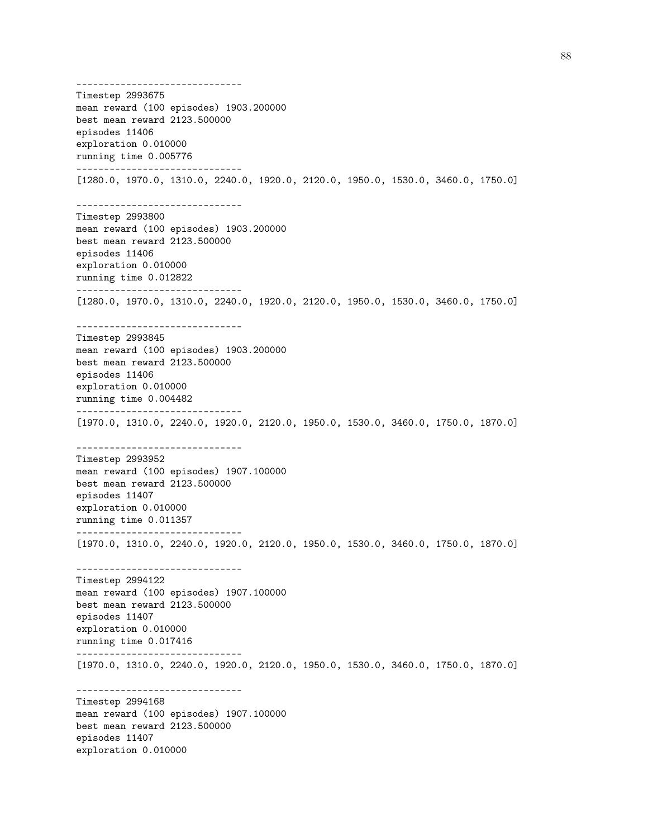------------------------------ Timestep 2993675 mean reward (100 episodes) 1903.200000 best mean reward 2123.500000 episodes 11406 exploration 0.010000 running time 0.005776 ------------------------------ [1280.0, 1970.0, 1310.0, 2240.0, 1920.0, 2120.0, 1950.0, 1530.0, 3460.0, 1750.0] ------------------------------ Timestep 2993800 mean reward (100 episodes) 1903.200000 best mean reward 2123.500000 episodes 11406 exploration 0.010000 running time 0.012822 ------------------------------ [1280.0, 1970.0, 1310.0, 2240.0, 1920.0, 2120.0, 1950.0, 1530.0, 3460.0, 1750.0] ------------------------------ Timestep 2993845 mean reward (100 episodes) 1903.200000 best mean reward 2123.500000 episodes 11406 exploration 0.010000 running time 0.004482 ------------------------------ [1970.0, 1310.0, 2240.0, 1920.0, 2120.0, 1950.0, 1530.0, 3460.0, 1750.0, 1870.0] ------------------------------ Timestep 2993952 mean reward (100 episodes) 1907.100000 best mean reward 2123.500000 episodes 11407 exploration 0.010000 running time 0.011357 ------------------------------ [1970.0, 1310.0, 2240.0, 1920.0, 2120.0, 1950.0, 1530.0, 3460.0, 1750.0, 1870.0] ------------------------------ Timestep 2994122 mean reward (100 episodes) 1907.100000 best mean reward 2123.500000 episodes 11407 exploration 0.010000 running time 0.017416 ------------------------------ [1970.0, 1310.0, 2240.0, 1920.0, 2120.0, 1950.0, 1530.0, 3460.0, 1750.0, 1870.0] ------------------------------ Timestep 2994168 mean reward (100 episodes) 1907.100000 best mean reward 2123.500000 episodes 11407 exploration 0.010000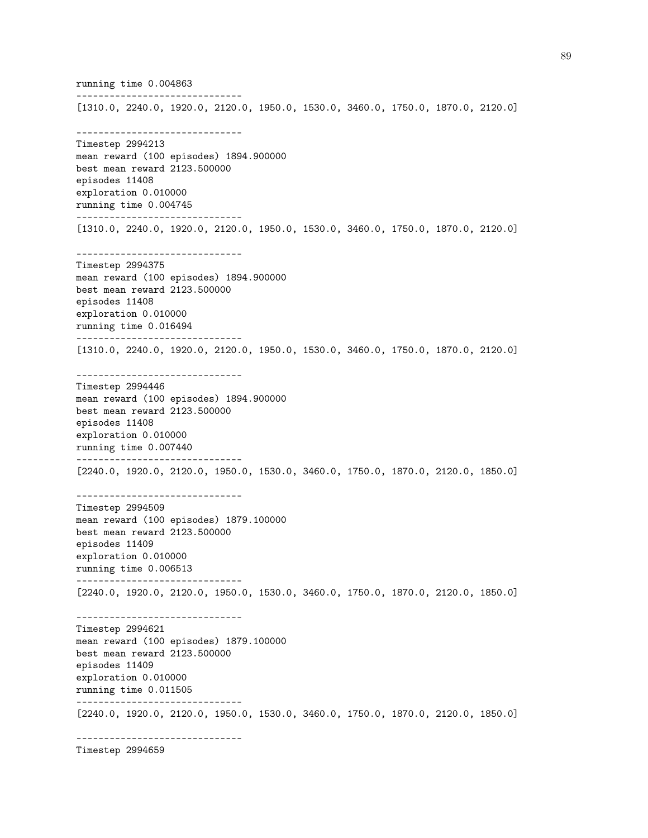running time 0.004863 ------------------------------ [1310.0, 2240.0, 1920.0, 2120.0, 1950.0, 1530.0, 3460.0, 1750.0, 1870.0, 2120.0] ------------------------------ Timestep 2994213 mean reward (100 episodes) 1894.900000 best mean reward 2123.500000 episodes 11408 exploration 0.010000 running time 0.004745 ------------------------------ [1310.0, 2240.0, 1920.0, 2120.0, 1950.0, 1530.0, 3460.0, 1750.0, 1870.0, 2120.0] ------------------------------ Timestep 2994375 mean reward (100 episodes) 1894.900000 best mean reward 2123.500000 episodes 11408 exploration 0.010000 running time 0.016494 ------------------------------ [1310.0, 2240.0, 1920.0, 2120.0, 1950.0, 1530.0, 3460.0, 1750.0, 1870.0, 2120.0] ------------------------------ Timestep 2994446 mean reward (100 episodes) 1894.900000 best mean reward 2123.500000 episodes 11408 exploration 0.010000 running time 0.007440 ------------------------------ [2240.0, 1920.0, 2120.0, 1950.0, 1530.0, 3460.0, 1750.0, 1870.0, 2120.0, 1850.0] ------------------------------ Timestep 2994509 mean reward (100 episodes) 1879.100000 best mean reward 2123.500000 episodes 11409 exploration 0.010000 running time 0.006513 ------------------------------ [2240.0, 1920.0, 2120.0, 1950.0, 1530.0, 3460.0, 1750.0, 1870.0, 2120.0, 1850.0] ------------------------------ Timestep 2994621 mean reward (100 episodes) 1879.100000 best mean reward 2123.500000 episodes 11409 exploration 0.010000 running time 0.011505 ------------------------------ [2240.0, 1920.0, 2120.0, 1950.0, 1530.0, 3460.0, 1750.0, 1870.0, 2120.0, 1850.0] ------------------------------

Timestep 2994659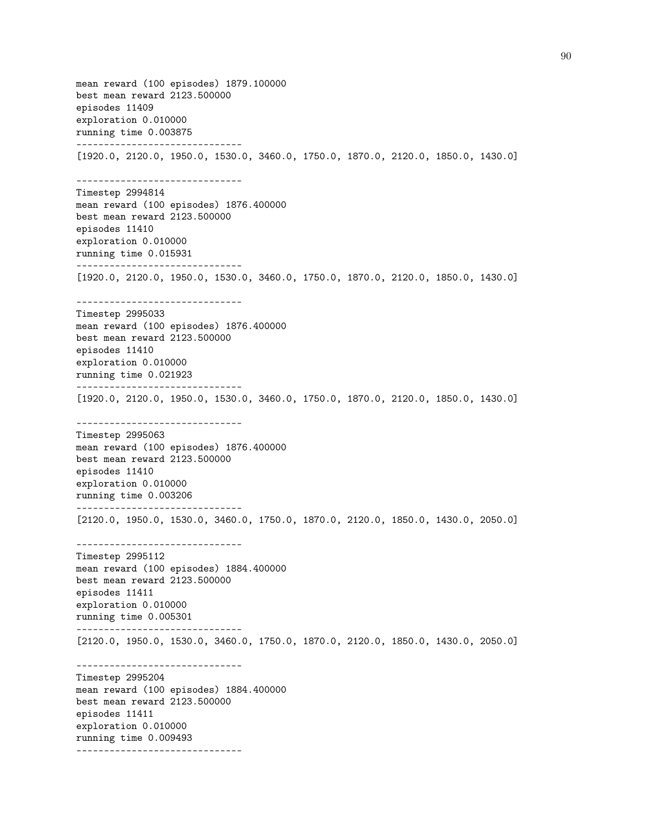mean reward (100 episodes) 1879.100000 best mean reward 2123.500000 episodes 11409 exploration 0.010000 running time 0.003875 ------------------------------ [1920.0, 2120.0, 1950.0, 1530.0, 3460.0, 1750.0, 1870.0, 2120.0, 1850.0, 1430.0] ------------------------------ Timestep 2994814 mean reward (100 episodes) 1876.400000 best mean reward 2123.500000 episodes 11410 exploration 0.010000 running time 0.015931 ------------------------------ [1920.0, 2120.0, 1950.0, 1530.0, 3460.0, 1750.0, 1870.0, 2120.0, 1850.0, 1430.0] ------------------------------ Timestep 2995033 mean reward (100 episodes) 1876.400000 best mean reward 2123.500000 episodes 11410 exploration 0.010000 running time 0.021923 ------------------------------ [1920.0, 2120.0, 1950.0, 1530.0, 3460.0, 1750.0, 1870.0, 2120.0, 1850.0, 1430.0] ------------------------------ Timestep 2995063 mean reward (100 episodes) 1876.400000 best mean reward 2123.500000 episodes 11410 exploration 0.010000 running time 0.003206 ------------------------------ [2120.0, 1950.0, 1530.0, 3460.0, 1750.0, 1870.0, 2120.0, 1850.0, 1430.0, 2050.0] ------------------------------ Timestep 2995112 mean reward (100 episodes) 1884.400000 best mean reward 2123.500000 episodes 11411 exploration 0.010000 running time 0.005301 ------------------------------ [2120.0, 1950.0, 1530.0, 3460.0, 1750.0, 1870.0, 2120.0, 1850.0, 1430.0, 2050.0] ------------------------------ Timestep 2995204 mean reward (100 episodes) 1884.400000 best mean reward 2123.500000 episodes 11411 exploration 0.010000 running time 0.009493 ------------------------------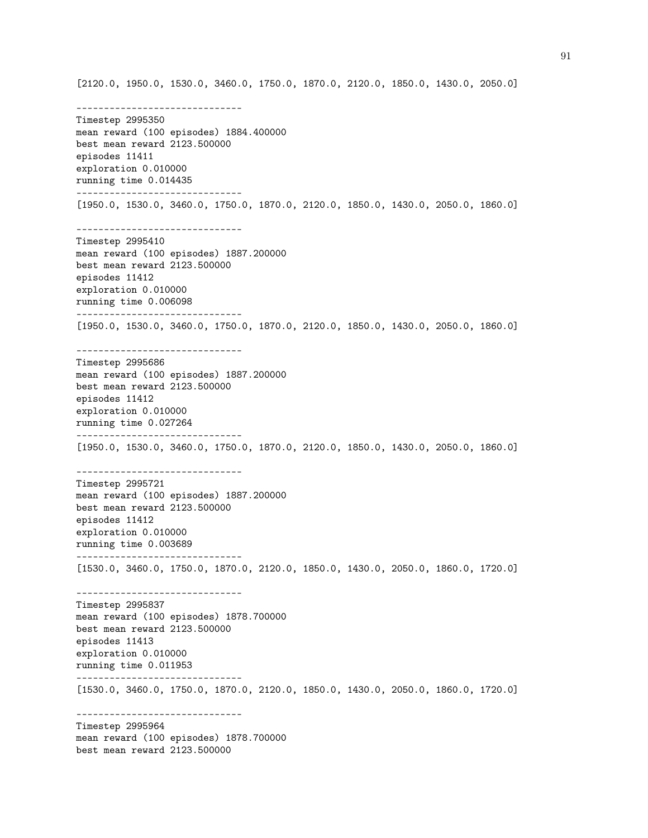[2120.0, 1950.0, 1530.0, 3460.0, 1750.0, 1870.0, 2120.0, 1850.0, 1430.0, 2050.0] ------------------------------ Timestep 2995350 mean reward (100 episodes) 1884.400000 best mean reward 2123.500000 episodes 11411 exploration 0.010000 running time 0.014435 ------------------------------ [1950.0, 1530.0, 3460.0, 1750.0, 1870.0, 2120.0, 1850.0, 1430.0, 2050.0, 1860.0] ------------------------------ Timestep 2995410 mean reward (100 episodes) 1887.200000 best mean reward 2123.500000 episodes 11412 exploration 0.010000 running time 0.006098 ------------------------------ [1950.0, 1530.0, 3460.0, 1750.0, 1870.0, 2120.0, 1850.0, 1430.0, 2050.0, 1860.0] ------------------------------ Timestep 2995686 mean reward (100 episodes) 1887.200000 best mean reward 2123.500000 episodes 11412 exploration 0.010000 running time 0.027264 ------------------------------ [1950.0, 1530.0, 3460.0, 1750.0, 1870.0, 2120.0, 1850.0, 1430.0, 2050.0, 1860.0] ------------------------------ Timestep 2995721 mean reward (100 episodes) 1887.200000 best mean reward 2123.500000 episodes 11412 exploration 0.010000 running time 0.003689 ------------------------------ [1530.0, 3460.0, 1750.0, 1870.0, 2120.0, 1850.0, 1430.0, 2050.0, 1860.0, 1720.0] ------------------------------ Timestep 2995837 mean reward (100 episodes) 1878.700000 best mean reward 2123.500000 episodes 11413 exploration 0.010000 running time 0.011953 ------------------------------ [1530.0, 3460.0, 1750.0, 1870.0, 2120.0, 1850.0, 1430.0, 2050.0, 1860.0, 1720.0] ------------------------------ Timestep 2995964 mean reward (100 episodes) 1878.700000 best mean reward 2123.500000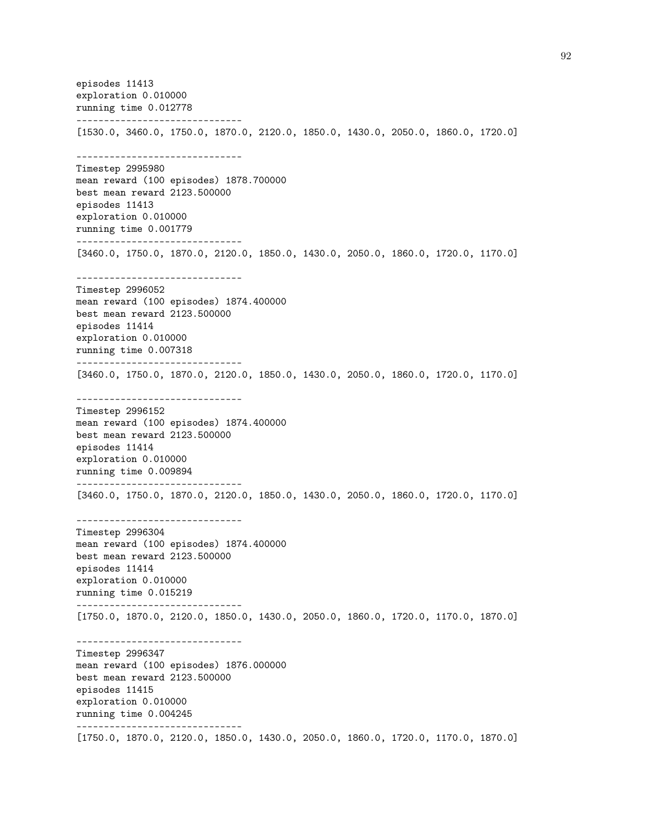episodes 11413 exploration 0.010000 running time 0.012778 ------------------------------ [1530.0, 3460.0, 1750.0, 1870.0, 2120.0, 1850.0, 1430.0, 2050.0, 1860.0, 1720.0] ------------------------------ Timestep 2995980 mean reward (100 episodes) 1878.700000 best mean reward 2123.500000 episodes 11413 exploration 0.010000 running time 0.001779 ------------------------------ [3460.0, 1750.0, 1870.0, 2120.0, 1850.0, 1430.0, 2050.0, 1860.0, 1720.0, 1170.0] ------------------------------ Timestep 2996052 mean reward (100 episodes) 1874.400000 best mean reward 2123.500000 episodes 11414 exploration 0.010000 running time 0.007318 ------------------------------ [3460.0, 1750.0, 1870.0, 2120.0, 1850.0, 1430.0, 2050.0, 1860.0, 1720.0, 1170.0] ------------------------------ Timestep 2996152 mean reward (100 episodes) 1874.400000 best mean reward 2123.500000 episodes 11414 exploration 0.010000 running time 0.009894 ------------------------------ [3460.0, 1750.0, 1870.0, 2120.0, 1850.0, 1430.0, 2050.0, 1860.0, 1720.0, 1170.0] ------------------------------ Timestep 2996304 mean reward (100 episodes) 1874.400000 best mean reward 2123.500000 episodes 11414 exploration 0.010000 running time 0.015219 ------------------------------ [1750.0, 1870.0, 2120.0, 1850.0, 1430.0, 2050.0, 1860.0, 1720.0, 1170.0, 1870.0] ------------------------------ Timestep 2996347 mean reward (100 episodes) 1876.000000 best mean reward 2123.500000 episodes 11415 exploration 0.010000 running time 0.004245 ------------------------------ [1750.0, 1870.0, 2120.0, 1850.0, 1430.0, 2050.0, 1860.0, 1720.0, 1170.0, 1870.0]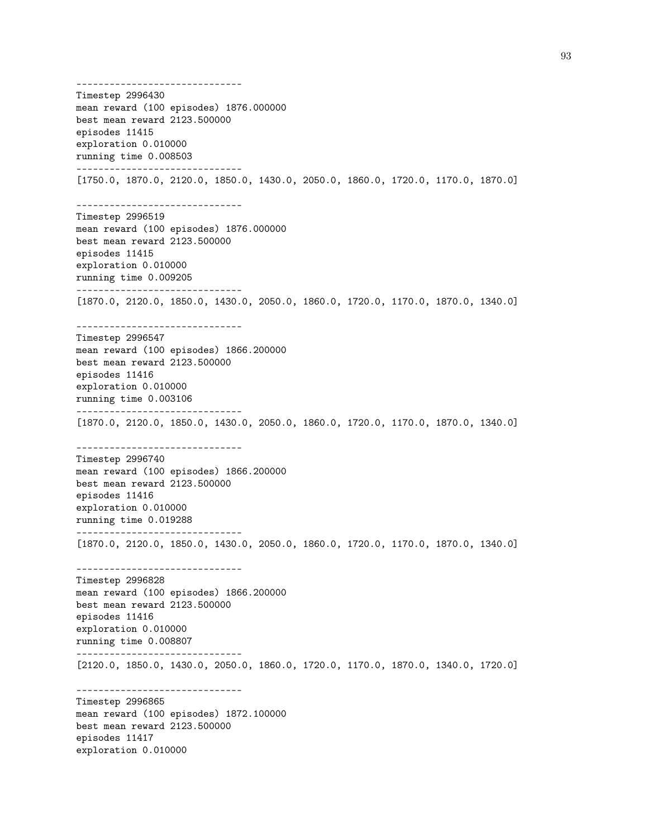------------------------------ Timestep 2996430 mean reward (100 episodes) 1876.000000 best mean reward 2123.500000 episodes 11415 exploration 0.010000 running time 0.008503 ------------------------------ [1750.0, 1870.0, 2120.0, 1850.0, 1430.0, 2050.0, 1860.0, 1720.0, 1170.0, 1870.0] ------------------------------ Timestep 2996519 mean reward (100 episodes) 1876.000000 best mean reward 2123.500000 episodes 11415 exploration 0.010000 running time 0.009205 ------------------------------ [1870.0, 2120.0, 1850.0, 1430.0, 2050.0, 1860.0, 1720.0, 1170.0, 1870.0, 1340.0] ------------------------------ Timestep 2996547 mean reward (100 episodes) 1866.200000 best mean reward 2123.500000 episodes 11416 exploration 0.010000 running time 0.003106 ------------------------------ [1870.0, 2120.0, 1850.0, 1430.0, 2050.0, 1860.0, 1720.0, 1170.0, 1870.0, 1340.0] ------------------------------ Timestep 2996740 mean reward (100 episodes) 1866.200000 best mean reward 2123.500000 episodes 11416 exploration 0.010000 running time 0.019288 ------------------------------ [1870.0, 2120.0, 1850.0, 1430.0, 2050.0, 1860.0, 1720.0, 1170.0, 1870.0, 1340.0] ------------------------------ Timestep 2996828 mean reward (100 episodes) 1866.200000 best mean reward 2123.500000 episodes 11416 exploration 0.010000 running time 0.008807 ------------------------------ [2120.0, 1850.0, 1430.0, 2050.0, 1860.0, 1720.0, 1170.0, 1870.0, 1340.0, 1720.0] ------------------------------ Timestep 2996865 mean reward (100 episodes) 1872.100000 best mean reward 2123.500000 episodes 11417 exploration 0.010000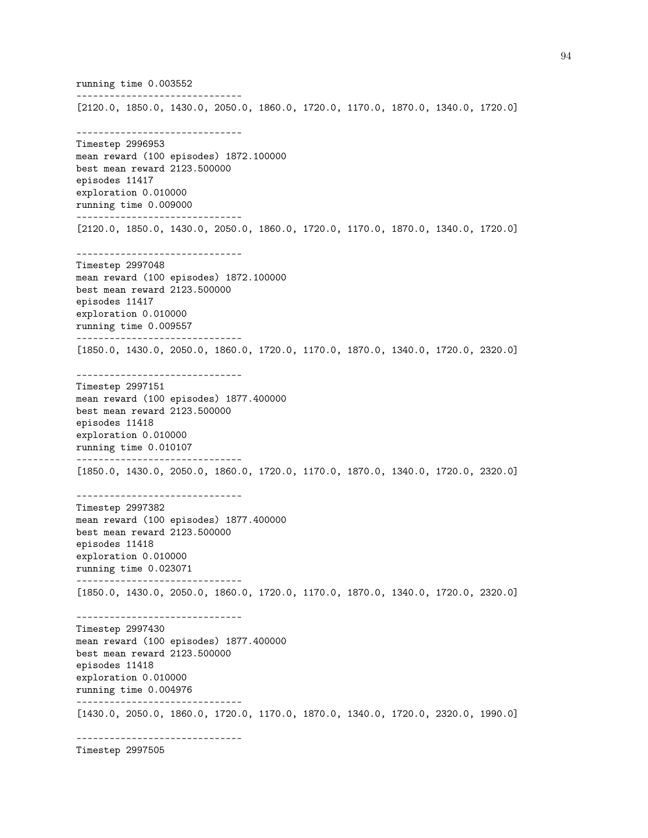running time 0.003552 ------------------------------ [2120.0, 1850.0, 1430.0, 2050.0, 1860.0, 1720.0, 1170.0, 1870.0, 1340.0, 1720.0] ------------------------------ Timestep 2996953 mean reward (100 episodes) 1872.100000 best mean reward 2123.500000 episodes 11417 exploration 0.010000 running time 0.009000 ------------------------------ [2120.0, 1850.0, 1430.0, 2050.0, 1860.0, 1720.0, 1170.0, 1870.0, 1340.0, 1720.0] ------------------------------ Timestep 2997048 mean reward (100 episodes) 1872.100000 best mean reward 2123.500000 episodes 11417 exploration 0.010000 running time 0.009557 ------------------------------ [1850.0, 1430.0, 2050.0, 1860.0, 1720.0, 1170.0, 1870.0, 1340.0, 1720.0, 2320.0] ------------------------------ Timestep 2997151 mean reward (100 episodes) 1877.400000 best mean reward 2123.500000 episodes 11418 exploration 0.010000 running time 0.010107 ------------------------------ [1850.0, 1430.0, 2050.0, 1860.0, 1720.0, 1170.0, 1870.0, 1340.0, 1720.0, 2320.0] ------------------------------ Timestep 2997382 mean reward (100 episodes) 1877.400000 best mean reward 2123.500000 episodes 11418 exploration 0.010000 running time 0.023071 ------------------------------ [1850.0, 1430.0, 2050.0, 1860.0, 1720.0, 1170.0, 1870.0, 1340.0, 1720.0, 2320.0] ------------------------------ Timestep 2997430 mean reward (100 episodes) 1877.400000 best mean reward 2123.500000 episodes 11418 exploration 0.010000 running time 0.004976 ------------------------------ [1430.0, 2050.0, 1860.0, 1720.0, 1170.0, 1870.0, 1340.0, 1720.0, 2320.0, 1990.0] ------------------------------

Timestep 2997505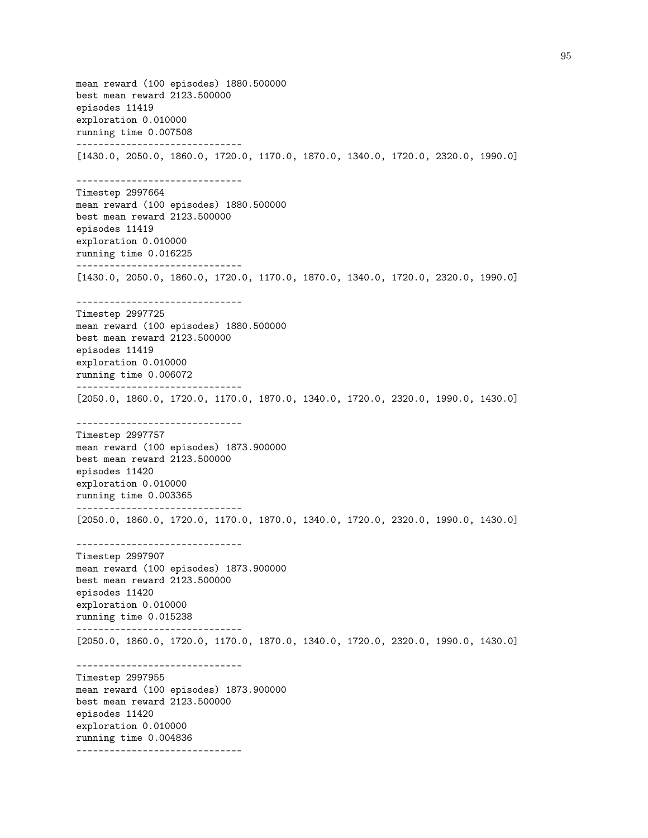mean reward (100 episodes) 1880.500000 best mean reward 2123.500000 episodes 11419 exploration 0.010000 running time 0.007508 ------------------------------ [1430.0, 2050.0, 1860.0, 1720.0, 1170.0, 1870.0, 1340.0, 1720.0, 2320.0, 1990.0] ------------------------------ Timestep 2997664 mean reward (100 episodes) 1880.500000 best mean reward 2123.500000 episodes 11419 exploration 0.010000 running time 0.016225 ------------------------------ [1430.0, 2050.0, 1860.0, 1720.0, 1170.0, 1870.0, 1340.0, 1720.0, 2320.0, 1990.0] ------------------------------ Timestep 2997725 mean reward (100 episodes) 1880.500000 best mean reward 2123.500000 episodes 11419 exploration 0.010000 running time 0.006072 ------------------------------ [2050.0, 1860.0, 1720.0, 1170.0, 1870.0, 1340.0, 1720.0, 2320.0, 1990.0, 1430.0] ------------------------------ Timestep 2997757 mean reward (100 episodes) 1873.900000 best mean reward 2123.500000 episodes 11420 exploration 0.010000 running time 0.003365 ------------------------------ [2050.0, 1860.0, 1720.0, 1170.0, 1870.0, 1340.0, 1720.0, 2320.0, 1990.0, 1430.0] ------------------------------ Timestep 2997907 mean reward (100 episodes) 1873.900000 best mean reward 2123.500000 episodes 11420 exploration 0.010000 running time 0.015238 ------------------------------ [2050.0, 1860.0, 1720.0, 1170.0, 1870.0, 1340.0, 1720.0, 2320.0, 1990.0, 1430.0] ------------------------------ Timestep 2997955 mean reward (100 episodes) 1873.900000 best mean reward 2123.500000 episodes 11420 exploration 0.010000 running time 0.004836 ------------------------------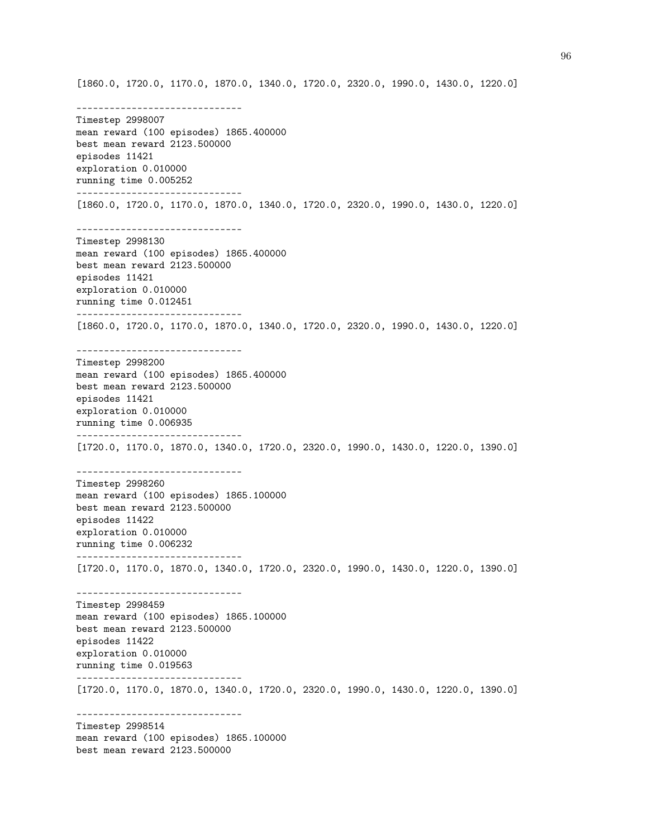[1860.0, 1720.0, 1170.0, 1870.0, 1340.0, 1720.0, 2320.0, 1990.0, 1430.0, 1220.0]

------------------------------ Timestep 2998007 mean reward (100 episodes) 1865.400000 best mean reward 2123.500000 episodes 11421 exploration 0.010000 running time 0.005252 ------------------------------ [1860.0, 1720.0, 1170.0, 1870.0, 1340.0, 1720.0, 2320.0, 1990.0, 1430.0, 1220.0] ------------------------------ Timestep 2998130 mean reward (100 episodes) 1865.400000 best mean reward 2123.500000 episodes 11421 exploration 0.010000 running time 0.012451 ------------------------------ [1860.0, 1720.0, 1170.0, 1870.0, 1340.0, 1720.0, 2320.0, 1990.0, 1430.0, 1220.0] ------------------------------ Timestep 2998200 mean reward (100 episodes) 1865.400000 best mean reward 2123.500000 episodes 11421 exploration 0.010000 running time 0.006935 ------------------------------ [1720.0, 1170.0, 1870.0, 1340.0, 1720.0, 2320.0, 1990.0, 1430.0, 1220.0, 1390.0] ------------------------------ Timestep 2998260 mean reward (100 episodes) 1865.100000 best mean reward 2123.500000 episodes 11422 exploration 0.010000 running time 0.006232 ------------------------------ [1720.0, 1170.0, 1870.0, 1340.0, 1720.0, 2320.0, 1990.0, 1430.0, 1220.0, 1390.0] ------------------------------ Timestep 2998459 mean reward (100 episodes) 1865.100000 best mean reward 2123.500000 episodes 11422 exploration 0.010000 running time 0.019563 ------------------------------ [1720.0, 1170.0, 1870.0, 1340.0, 1720.0, 2320.0, 1990.0, 1430.0, 1220.0, 1390.0] ------------------------------ Timestep 2998514 mean reward (100 episodes) 1865.100000 best mean reward 2123.500000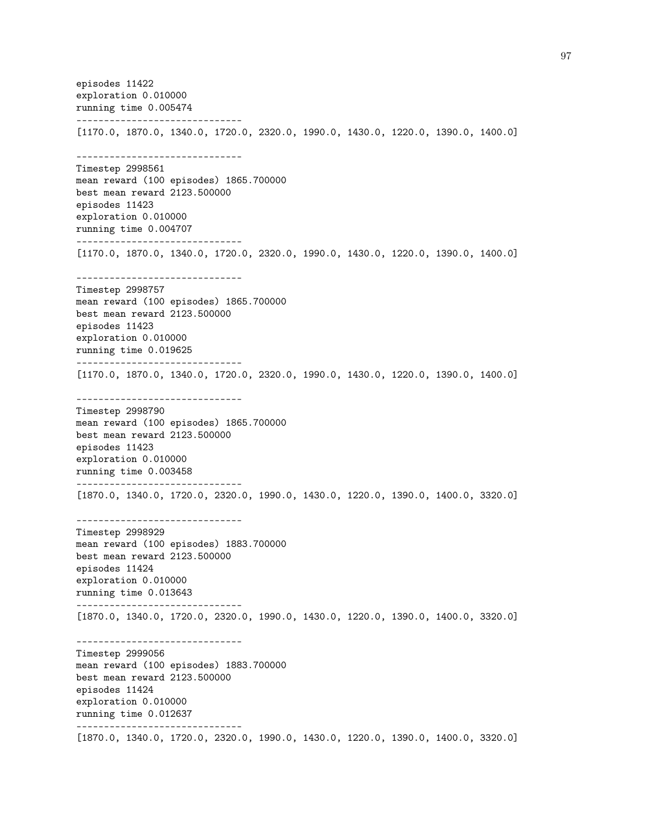episodes 11422 exploration 0.010000 running time 0.005474 ------------------------------ [1170.0, 1870.0, 1340.0, 1720.0, 2320.0, 1990.0, 1430.0, 1220.0, 1390.0, 1400.0] ------------------------------ Timestep 2998561 mean reward (100 episodes) 1865.700000 best mean reward 2123.500000 episodes 11423 exploration 0.010000 running time 0.004707 ------------------------------ [1170.0, 1870.0, 1340.0, 1720.0, 2320.0, 1990.0, 1430.0, 1220.0, 1390.0, 1400.0] ------------------------------ Timestep 2998757 mean reward (100 episodes) 1865.700000 best mean reward 2123.500000 episodes 11423 exploration 0.010000 running time 0.019625 ------------------------------ [1170.0, 1870.0, 1340.0, 1720.0, 2320.0, 1990.0, 1430.0, 1220.0, 1390.0, 1400.0] ------------------------------ Timestep 2998790 mean reward (100 episodes) 1865.700000 best mean reward 2123.500000 episodes 11423 exploration 0.010000 running time 0.003458 ------------------------------ [1870.0, 1340.0, 1720.0, 2320.0, 1990.0, 1430.0, 1220.0, 1390.0, 1400.0, 3320.0] ------------------------------ Timestep 2998929 mean reward (100 episodes) 1883.700000 best mean reward 2123.500000 episodes 11424 exploration 0.010000 running time 0.013643 ------------------------------ [1870.0, 1340.0, 1720.0, 2320.0, 1990.0, 1430.0, 1220.0, 1390.0, 1400.0, 3320.0] ------------------------------ Timestep 2999056 mean reward (100 episodes) 1883.700000 best mean reward 2123.500000 episodes 11424 exploration 0.010000 running time 0.012637 ------------------------------ [1870.0, 1340.0, 1720.0, 2320.0, 1990.0, 1430.0, 1220.0, 1390.0, 1400.0, 3320.0]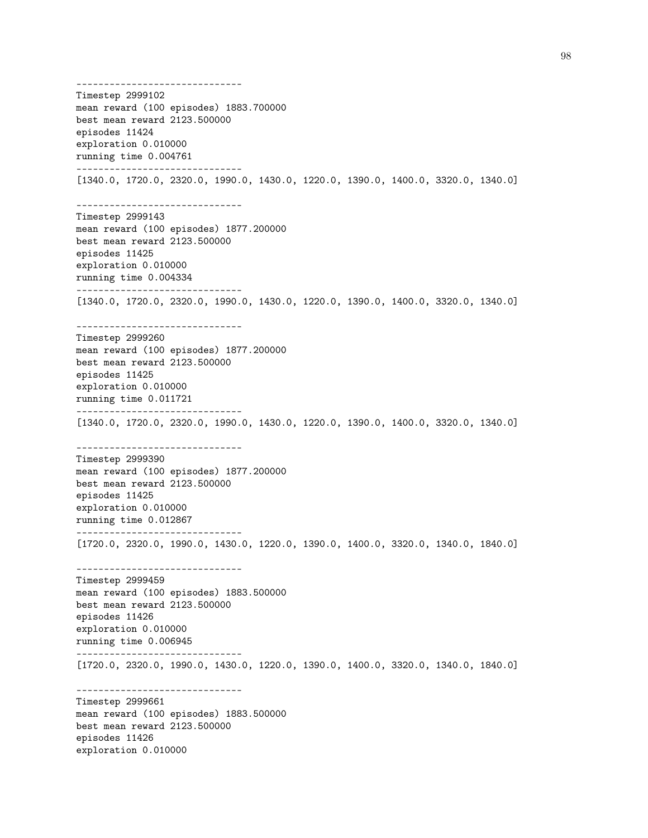------------------------------ Timestep 2999102 mean reward (100 episodes) 1883.700000 best mean reward 2123.500000 episodes 11424 exploration 0.010000 running time 0.004761 ------------------------------ [1340.0, 1720.0, 2320.0, 1990.0, 1430.0, 1220.0, 1390.0, 1400.0, 3320.0, 1340.0] ------------------------------ Timestep 2999143 mean reward (100 episodes) 1877.200000 best mean reward 2123.500000 episodes 11425 exploration 0.010000 running time 0.004334 ------------------------------ [1340.0, 1720.0, 2320.0, 1990.0, 1430.0, 1220.0, 1390.0, 1400.0, 3320.0, 1340.0] ------------------------------ Timestep 2999260 mean reward (100 episodes) 1877.200000 best mean reward 2123.500000 episodes 11425 exploration 0.010000 running time 0.011721 ------------------------------ [1340.0, 1720.0, 2320.0, 1990.0, 1430.0, 1220.0, 1390.0, 1400.0, 3320.0, 1340.0] ------------------------------ Timestep 2999390 mean reward (100 episodes) 1877.200000 best mean reward 2123.500000 episodes 11425 exploration 0.010000 running time 0.012867 ------------------------------ [1720.0, 2320.0, 1990.0, 1430.0, 1220.0, 1390.0, 1400.0, 3320.0, 1340.0, 1840.0] ------------------------------ Timestep 2999459 mean reward (100 episodes) 1883.500000 best mean reward 2123.500000 episodes 11426 exploration 0.010000 running time 0.006945 ------------------------------ [1720.0, 2320.0, 1990.0, 1430.0, 1220.0, 1390.0, 1400.0, 3320.0, 1340.0, 1840.0] ------------------------------ Timestep 2999661 mean reward (100 episodes) 1883.500000 best mean reward 2123.500000 episodes 11426 exploration 0.010000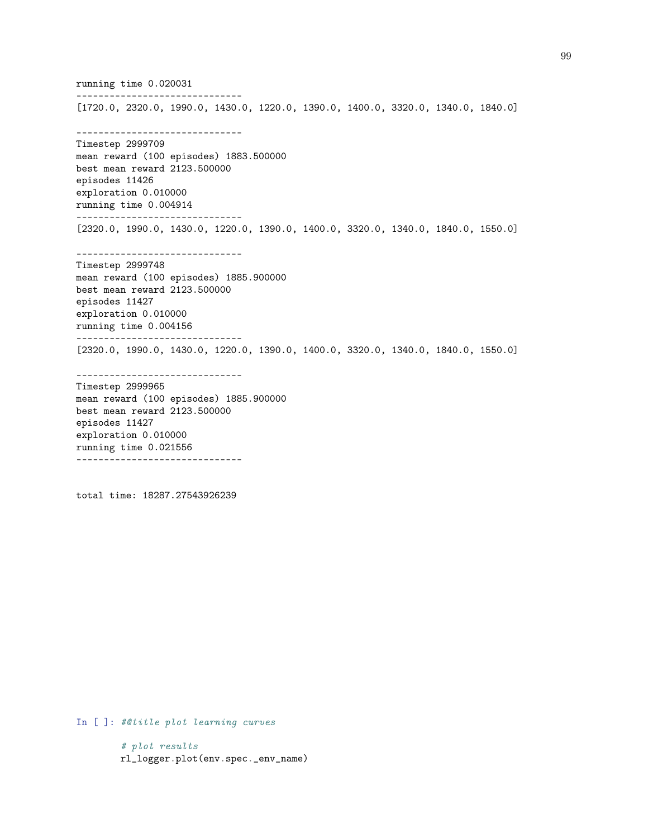running time 0.020031 ------------------------------ [1720.0, 2320.0, 1990.0, 1430.0, 1220.0, 1390.0, 1400.0, 3320.0, 1340.0, 1840.0] ------------------------------ Timestep 2999709 mean reward (100 episodes) 1883.500000 best mean reward 2123.500000 episodes 11426 exploration 0.010000 running time 0.004914 ------------------------------ [2320.0, 1990.0, 1430.0, 1220.0, 1390.0, 1400.0, 3320.0, 1340.0, 1840.0, 1550.0] ------------------------------ Timestep 2999748 mean reward (100 episodes) 1885.900000 best mean reward 2123.500000 episodes 11427 exploration 0.010000 running time 0.004156 ------------------------------ [2320.0, 1990.0, 1430.0, 1220.0, 1390.0, 1400.0, 3320.0, 1340.0, 1840.0, 1550.0] ------------------------------ Timestep 2999965 mean reward (100 episodes) 1885.900000 best mean reward 2123.500000 episodes 11427 exploration 0.010000

total time: 18287.27543926239

------------------------------

running time 0.021556

In [ ]: #@title plot learning curves

# plot results rl\_logger.plot(env.spec.\_env\_name)